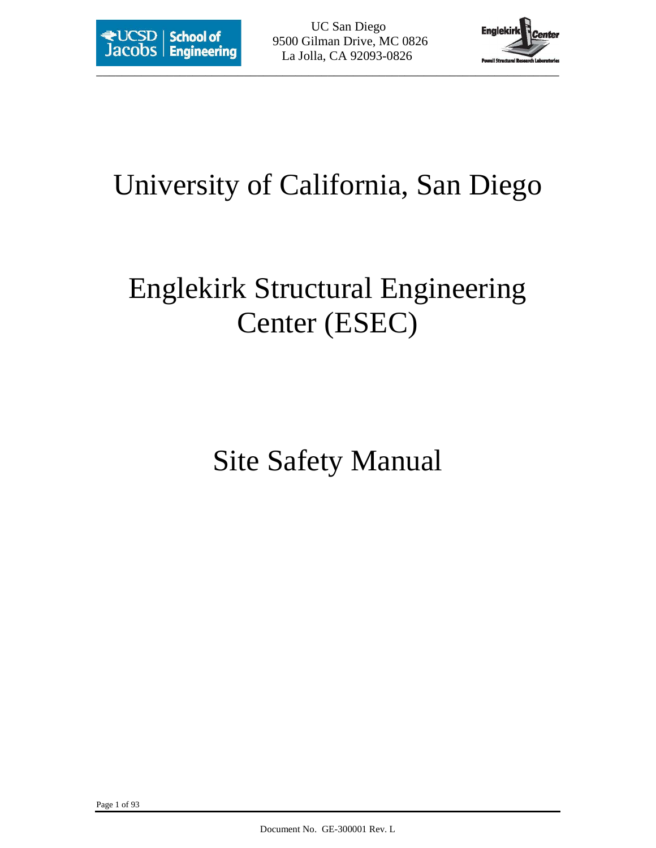

# University of California, San Diego

# Englekirk Structural Engineering Center (ESEC)

Site Safety Manual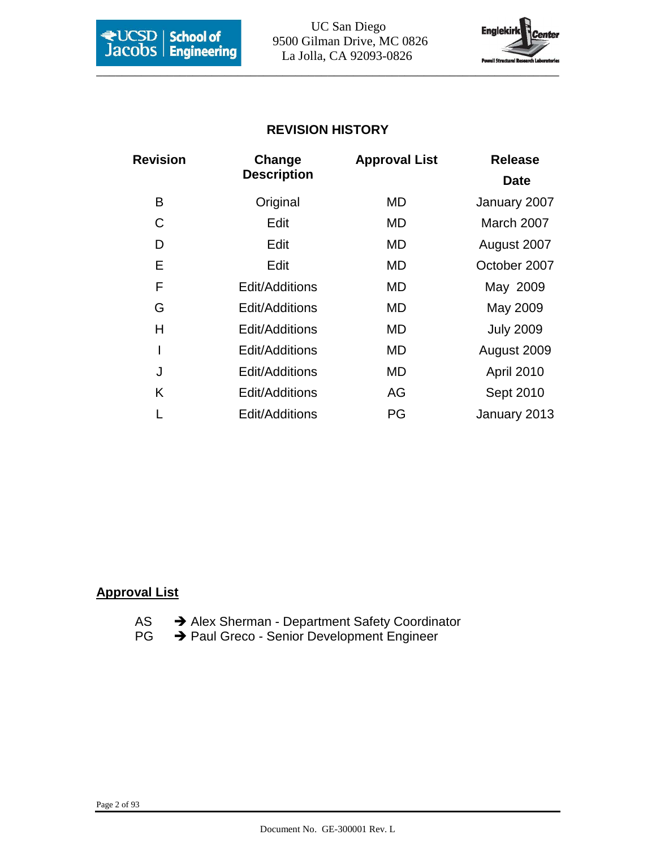

**Except School of** 9500 Gilman Drive, MC 0826 La Jolla, CA 92093-0826



# **REVISION HISTORY**

| <b>Revision</b> | Change             | <b>Approval List</b> | <b>Release</b>   |
|-----------------|--------------------|----------------------|------------------|
|                 | <b>Description</b> |                      | <b>Date</b>      |
| B               | Original           | MD                   | January 2007     |
| C               | Edit               | MD                   | March 2007       |
| D               | Edit               | MD                   | August 2007      |
| Е               | Edit               | MD                   | October 2007     |
| F               | Edit/Additions     | <b>MD</b>            | May 2009         |
| G               | Edit/Additions     | MD                   | May 2009         |
| Н               | Edit/Additions     | MD                   | <b>July 2009</b> |
| I               | Edit/Additions     | MD                   | August 2009      |
| J               | Edit/Additions     | MD                   | April 2010       |
| Κ               | Edit/Additions     | AG                   | Sept 2010        |
|                 | Edit/Additions     | PG                   | January 2013     |

#### **Approval List**

- AS  $\rightarrow$  Alex Sherman Department Safety Coordinator
- PG → Paul Greco Senior Development Engineer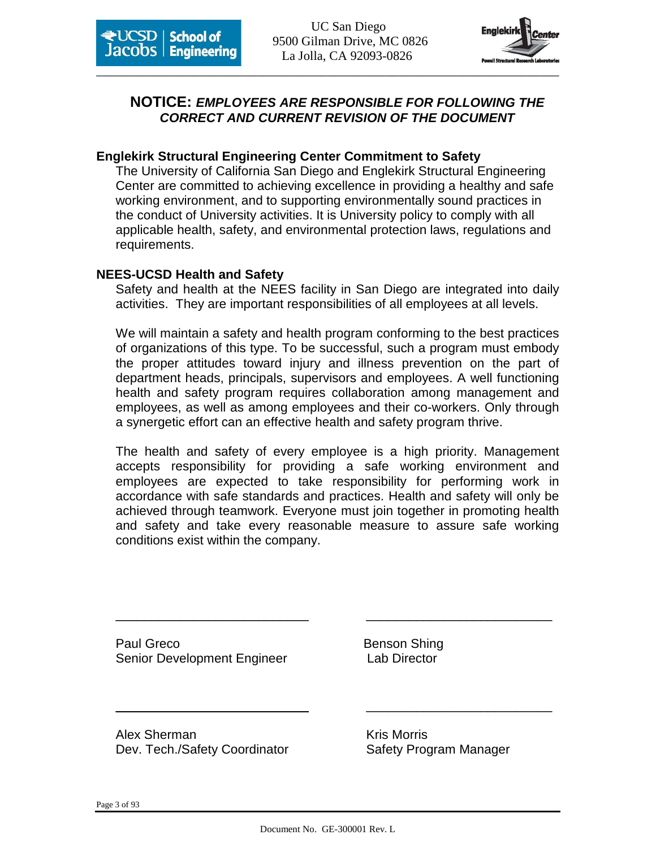



# **NOTICE: EMPLOYEES ARE RESPONSIBLE FOR FOLLOWING THE CORRECT AND CURRENT REVISION OF THE DOCUMENT**

#### **Englekirk Structural Engineering Center Commitment to Safety**

The University of California San Diego and Englekirk Structural Engineering Center are committed to achieving excellence in providing a healthy and safe working environment, and to supporting environmentally sound practices in the conduct of University activities. It is University policy to comply with all applicable health, safety, and environmental protection laws, regulations and requirements.

#### **NEES-UCSD Health and Safety**

Safety and health at the NEES facility in San Diego are integrated into daily activities. They are important responsibilities of all employees at all levels.

We will maintain a safety and health program conforming to the best practices of organizations of this type. To be successful, such a program must embody the proper attitudes toward injury and illness prevention on the part of department heads, principals, supervisors and employees. A well functioning health and safety program requires collaboration among management and employees, as well as among employees and their co-workers. Only through a synergetic effort can an effective health and safety program thrive.

The health and safety of every employee is a high priority. Management accepts responsibility for providing a safe working environment and employees are expected to take responsibility for performing work in accordance with safe standards and practices. Health and safety will only be achieved through teamwork. Everyone must join together in promoting health and safety and take every reasonable measure to assure safe working conditions exist within the company.

\_\_\_\_\_\_\_\_\_\_\_\_\_\_\_\_\_\_\_\_\_\_\_\_\_\_\_ \_\_\_\_\_\_\_\_\_\_\_\_\_\_\_\_\_\_\_\_\_\_\_\_\_\_

\_\_\_\_\_\_\_\_\_\_\_\_\_\_\_\_\_\_\_\_\_\_\_\_\_\_\_ \_\_\_\_\_\_\_\_\_\_\_\_\_\_\_\_\_\_\_\_\_\_\_\_\_\_

Paul Greco **Benson Shing** Senior Development Engineer Lab Director

Alex Sherman Kris Morris Kris Morris Dev. Tech./Safety Coordinator Safety Program Manager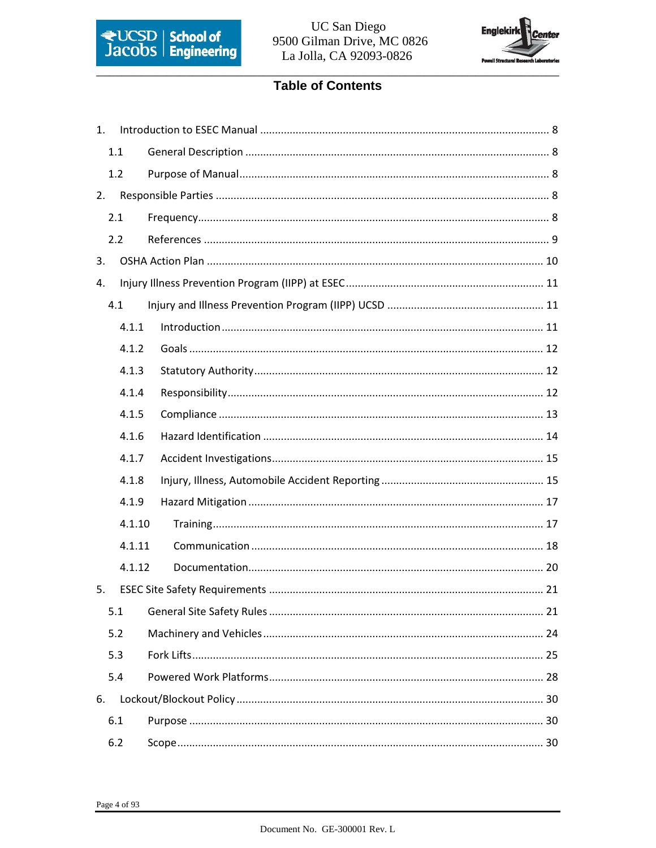



# **Table of Contents**

| 1. |        |  |
|----|--------|--|
|    | 1.1    |  |
|    | 1.2    |  |
| 2. |        |  |
|    | 2.1    |  |
|    | 2.2    |  |
| 3. |        |  |
| 4. |        |  |
|    | 4.1    |  |
|    | 4.1.1  |  |
|    | 4.1.2  |  |
|    | 4.1.3  |  |
|    | 4.1.4  |  |
|    | 4.1.5  |  |
|    | 4.1.6  |  |
|    | 4.1.7  |  |
|    | 4.1.8  |  |
|    | 4.1.9  |  |
|    | 4.1.10 |  |
|    | 4.1.11 |  |
|    | 4.1.12 |  |
| 5. |        |  |
|    | 5.1    |  |
|    | 5.2    |  |
|    | 5.3    |  |
|    | 5.4    |  |
| 6. |        |  |
|    | 6.1    |  |
|    | 6.2    |  |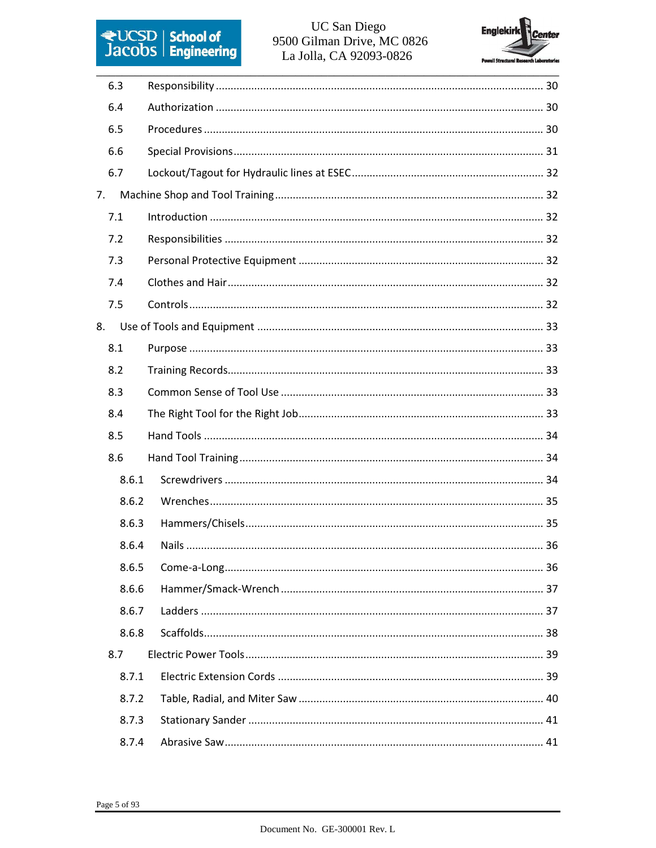# **ELICSD** School of<br>Jacobs Engineering

### UC San Diego 9500 Gilman Drive, MC 0826 La Jolla, CA 92093-0826



| 6.3   |  |
|-------|--|
| 6.4   |  |
| 6.5   |  |
| 6.6   |  |
| 6.7   |  |
| 7.    |  |
| 7.1   |  |
| 7.2   |  |
| 7.3   |  |
| 7.4   |  |
| 7.5   |  |
| 8.    |  |
| 8.1   |  |
| 8.2   |  |
| 8.3   |  |
| 8.4   |  |
| 8.5   |  |
| 8.6   |  |
| 8.6.1 |  |
| 8.6.2 |  |
| 8.6.3 |  |
| 8.6.4 |  |
| 8.6.5 |  |
| 8.6.6 |  |
| 8.6.7 |  |
| 8.6.8 |  |
| 8.7   |  |
| 8.7.1 |  |
| 8.7.2 |  |
| 8.7.3 |  |
| 8.7.4 |  |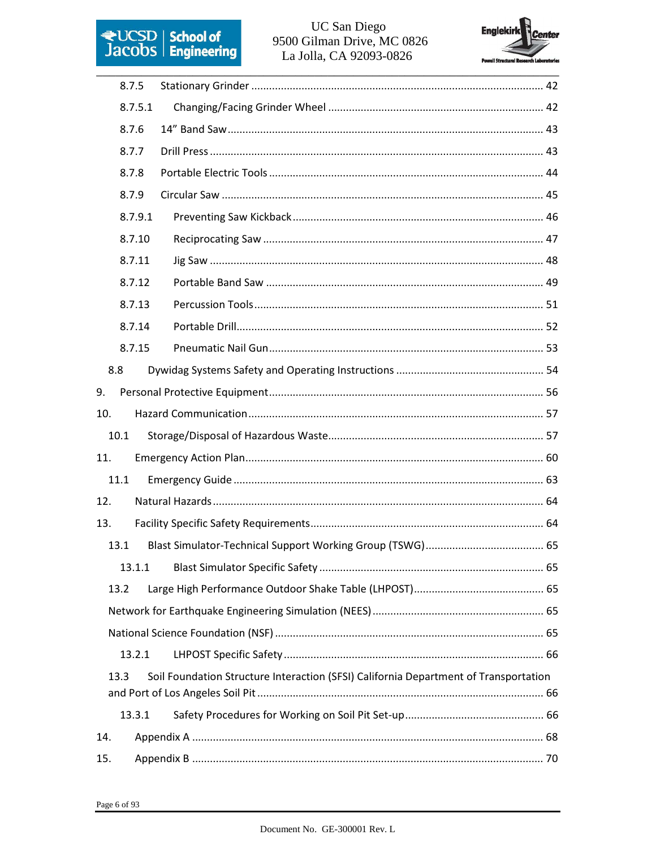

#### UC San Diego 9500 Gilman Drive, MC 0826 La Jolla, CA 92093-0826



|     | 8.7.5   |                                                                                      |  |
|-----|---------|--------------------------------------------------------------------------------------|--|
|     | 8.7.5.1 |                                                                                      |  |
|     | 8.7.6   |                                                                                      |  |
|     | 8.7.7   |                                                                                      |  |
|     | 8.7.8   |                                                                                      |  |
|     | 8.7.9   |                                                                                      |  |
|     | 8.7.9.1 |                                                                                      |  |
|     | 8.7.10  |                                                                                      |  |
|     | 8.7.11  |                                                                                      |  |
|     | 8.7.12  |                                                                                      |  |
|     | 8.7.13  |                                                                                      |  |
|     | 8.7.14  |                                                                                      |  |
|     | 8.7.15  |                                                                                      |  |
|     | 8.8     |                                                                                      |  |
| 9.  |         |                                                                                      |  |
| 10. |         |                                                                                      |  |
|     | 10.1    |                                                                                      |  |
| 11. |         |                                                                                      |  |
|     | 11.1    |                                                                                      |  |
| 12. |         |                                                                                      |  |
| 13. |         |                                                                                      |  |
|     | 13.1    |                                                                                      |  |
|     | 13.1.1  |                                                                                      |  |
|     | 13.2    |                                                                                      |  |
|     |         |                                                                                      |  |
|     |         |                                                                                      |  |
|     | 13.2.1  |                                                                                      |  |
|     | 13.3    | Soil Foundation Structure Interaction (SFSI) California Department of Transportation |  |
|     |         |                                                                                      |  |
|     | 13.3.1  |                                                                                      |  |
| 14. |         |                                                                                      |  |
| 15. |         |                                                                                      |  |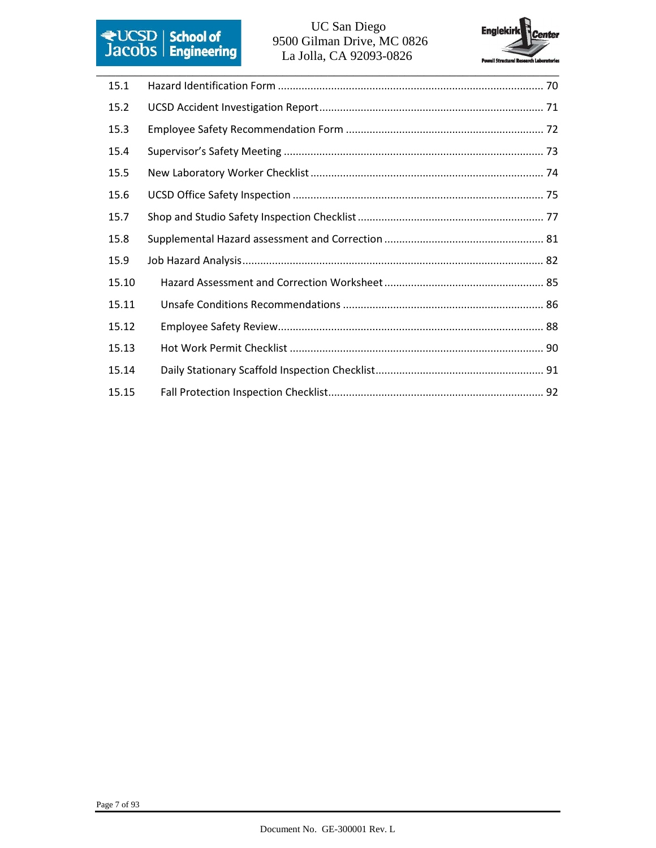

# 9500 Gilman Drive, MC 0826 La Jolla, CA 92093-0826



| 15.1  |  |
|-------|--|
| 15.2  |  |
| 15.3  |  |
| 15.4  |  |
| 15.5  |  |
| 15.6  |  |
| 15.7  |  |
| 15.8  |  |
| 15.9  |  |
| 15.10 |  |
| 15.11 |  |
| 15.12 |  |
| 15.13 |  |
| 15.14 |  |
| 15.15 |  |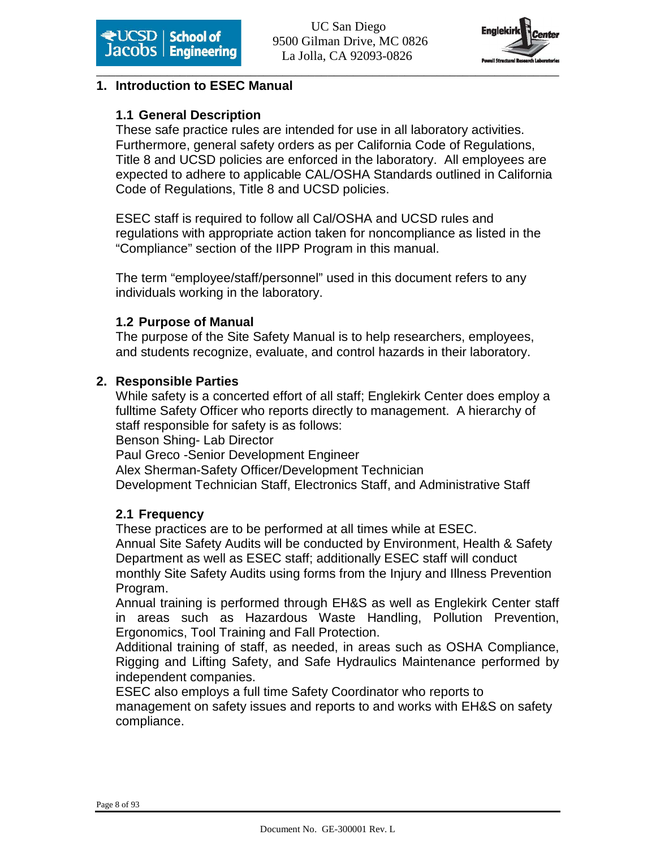

#### **1. Introduction to ESEC Manual**

# **1.1 General Description**

These safe practice rules are intended for use in all laboratory activities. Furthermore, general safety orders as per California Code of Regulations, Title 8 and UCSD policies are enforced in the laboratory. All employees are expected to adhere to applicable CAL/OSHA Standards outlined in California Code of Regulations, Title 8 and UCSD policies.

ESEC staff is required to follow all Cal/OSHA and UCSD rules and regulations with appropriate action taken for noncompliance as listed in the "Compliance" section of the IIPP Program in this manual.

The term "employee/staff/personnel" used in this document refers to any individuals working in the laboratory.

#### **1.2 Purpose of Manual**

The purpose of the Site Safety Manual is to help researchers, employees, and students recognize, evaluate, and control hazards in their laboratory.

#### **2. Responsible Parties**

While safety is a concerted effort of all staff; Englekirk Center does employ a fulltime Safety Officer who reports directly to management. A hierarchy of staff responsible for safety is as follows: Benson Shing- Lab Director

Paul Greco -Senior Development Engineer

Alex Sherman-Safety Officer/Development Technician

Development Technician Staff, Electronics Staff, and Administrative Staff

# **2.1 Frequency**

These practices are to be performed at all times while at ESEC. Annual Site Safety Audits will be conducted by Environment, Health & Safety Department as well as ESEC staff; additionally ESEC staff will conduct monthly Site Safety Audits using forms from the Injury and Illness Prevention Program.

Annual training is performed through EH&S as well as Englekirk Center staff in areas such as Hazardous Waste Handling, Pollution Prevention, Ergonomics, Tool Training and Fall Protection.

Additional training of staff, as needed, in areas such as OSHA Compliance, Rigging and Lifting Safety, and Safe Hydraulics Maintenance performed by independent companies.

ESEC also employs a full time Safety Coordinator who reports to management on safety issues and reports to and works with EH&S on safety compliance.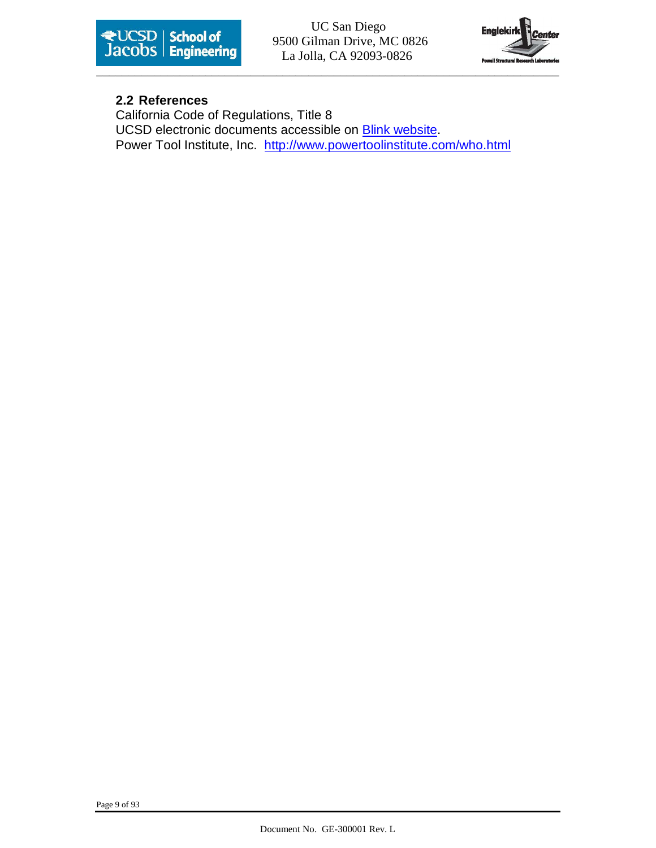

**Except School of** 9500 Gilman Drive, MC 0826 La Jolla, CA 92093-0826



#### **2.2 References**

California Code of Regulations, Title 8 UCSD electronic documents accessible on **Blink website**. Power Tool Institute, Inc. http://www.powertoolinstitute.com/who.html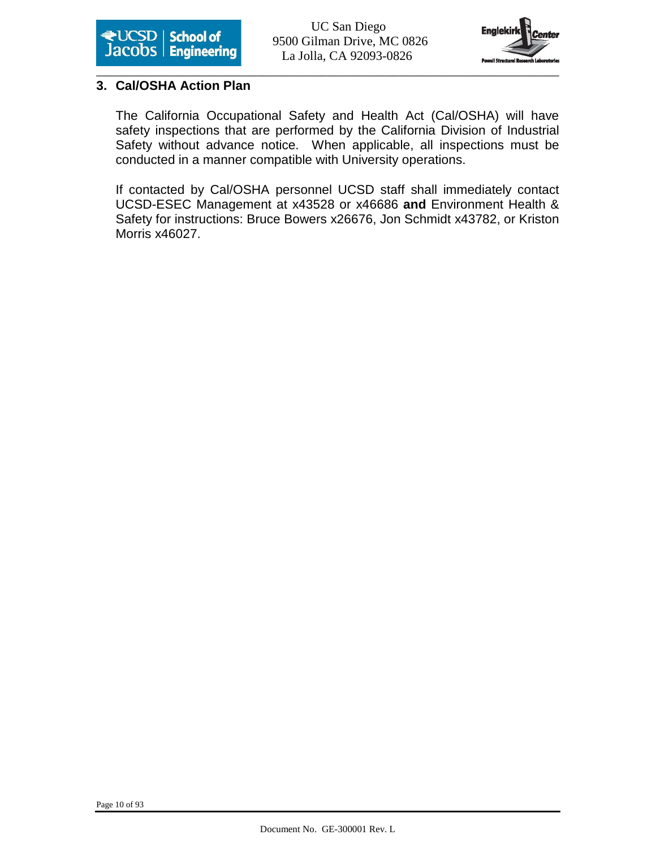



#### **3. Cal/OSHA Action Plan**

The California Occupational Safety and Health Act (Cal/OSHA) will have safety inspections that are performed by the California Division of Industrial Safety without advance notice. When applicable, all inspections must be conducted in a manner compatible with University operations.

If contacted by Cal/OSHA personnel UCSD staff shall immediately contact UCSD-ESEC Management at x43528 or x46686 **and** Environment Health & Safety for instructions: Bruce Bowers x26676, Jon Schmidt x43782, or Kriston Morris x46027.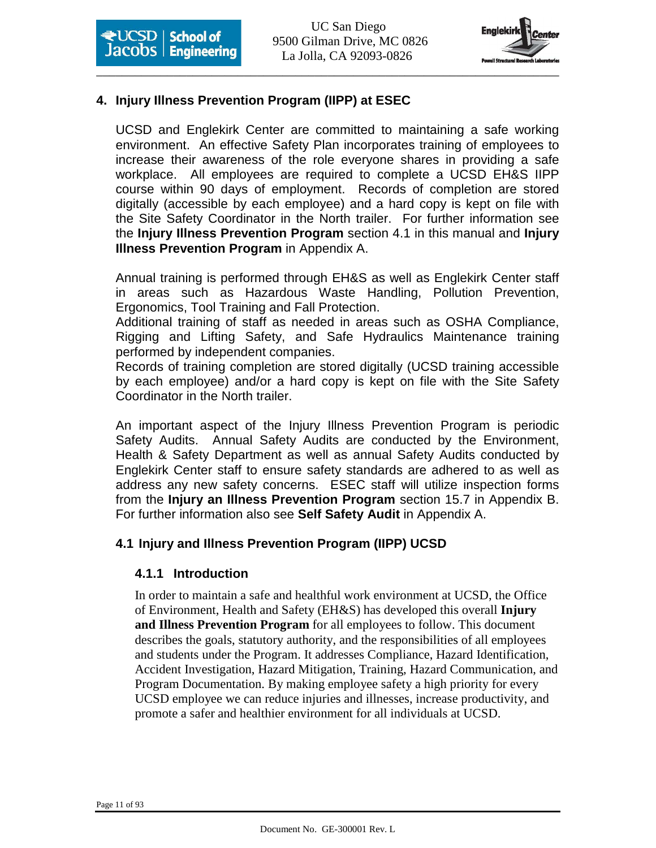

# **4. Injury Illness Prevention Program (IIPP) at ESEC**

UCSD and Englekirk Center are committed to maintaining a safe working environment. An effective Safety Plan incorporates training of employees to increase their awareness of the role everyone shares in providing a safe workplace. All employees are required to complete a UCSD EH&S IIPP course within 90 days of employment. Records of completion are stored digitally (accessible by each employee) and a hard copy is kept on file with the Site Safety Coordinator in the North trailer. For further information see the **Injury Illness Prevention Program** section 4.1 in this manual and **Injury Illness Prevention Program** in Appendix A.

Annual training is performed through EH&S as well as Englekirk Center staff in areas such as Hazardous Waste Handling, Pollution Prevention, Ergonomics, Tool Training and Fall Protection.

Additional training of staff as needed in areas such as OSHA Compliance, Rigging and Lifting Safety, and Safe Hydraulics Maintenance training performed by independent companies.

Records of training completion are stored digitally (UCSD training accessible by each employee) and/or a hard copy is kept on file with the Site Safety Coordinator in the North trailer.

An important aspect of the Injury Illness Prevention Program is periodic Safety Audits. Annual Safety Audits are conducted by the Environment, Health & Safety Department as well as annual Safety Audits conducted by Englekirk Center staff to ensure safety standards are adhered to as well as address any new safety concerns. ESEC staff will utilize inspection forms from the **Injury an Illness Prevention Program** section 15.7 in Appendix B. For further information also see **Self Safety Audit** in Appendix A.

#### **4.1 Injury and Illness Prevention Program (IIPP) UCSD**

#### **4.1.1 Introduction**

In order to maintain a safe and healthful work environment at UCSD, the Office of Environment, Health and Safety (EH&S) has developed this overall **Injury and Illness Prevention Program** for all employees to follow. This document describes the goals, statutory authority, and the responsibilities of all employees and students under the Program. It addresses Compliance, Hazard Identification, Accident Investigation, Hazard Mitigation, Training, Hazard Communication, and Program Documentation. By making employee safety a high priority for every UCSD employee we can reduce injuries and illnesses, increase productivity, and promote a safer and healthier environment for all individuals at UCSD.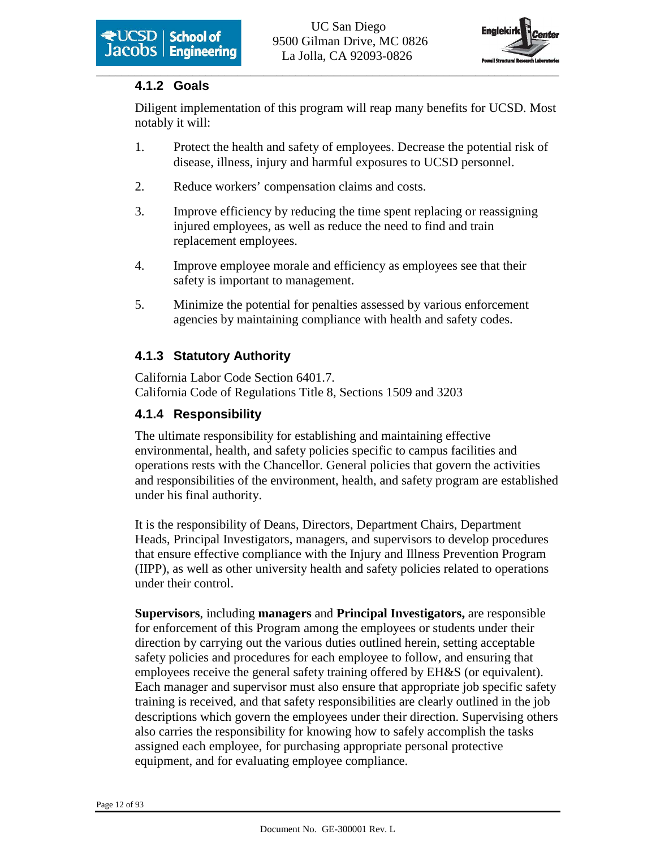

# **4.1.2 Goals**

Diligent implementation of this program will reap many benefits for UCSD. Most notably it will:

- 1. Protect the health and safety of employees. Decrease the potential risk of disease, illness, injury and harmful exposures to UCSD personnel.
- 2. Reduce workers' compensation claims and costs.
- 3. Improve efficiency by reducing the time spent replacing or reassigning injured employees, as well as reduce the need to find and train replacement employees.
- 4. Improve employee morale and efficiency as employees see that their safety is important to management.
- 5. Minimize the potential for penalties assessed by various enforcement agencies by maintaining compliance with health and safety codes.

# **4.1.3 Statutory Authority**

California Labor Code Section 6401.7. California Code of Regulations Title 8, Sections 1509 and 3203

# **4.1.4 Responsibility**

The ultimate responsibility for establishing and maintaining effective environmental, health, and safety policies specific to campus facilities and operations rests with the Chancellor. General policies that govern the activities and responsibilities of the environment, health, and safety program are established under his final authority.

It is the responsibility of Deans, Directors, Department Chairs, Department Heads, Principal Investigators, managers, and supervisors to develop procedures that ensure effective compliance with the Injury and Illness Prevention Program (IIPP), as well as other university health and safety policies related to operations under their control.

**Supervisors**, including **managers** and **Principal Investigators,** are responsible for enforcement of this Program among the employees or students under their direction by carrying out the various duties outlined herein, setting acceptable safety policies and procedures for each employee to follow, and ensuring that employees receive the general safety training offered by EH&S (or equivalent). Each manager and supervisor must also ensure that appropriate job specific safety training is received, and that safety responsibilities are clearly outlined in the job descriptions which govern the employees under their direction. Supervising others also carries the responsibility for knowing how to safely accomplish the tasks assigned each employee, for purchasing appropriate personal protective equipment, and for evaluating employee compliance.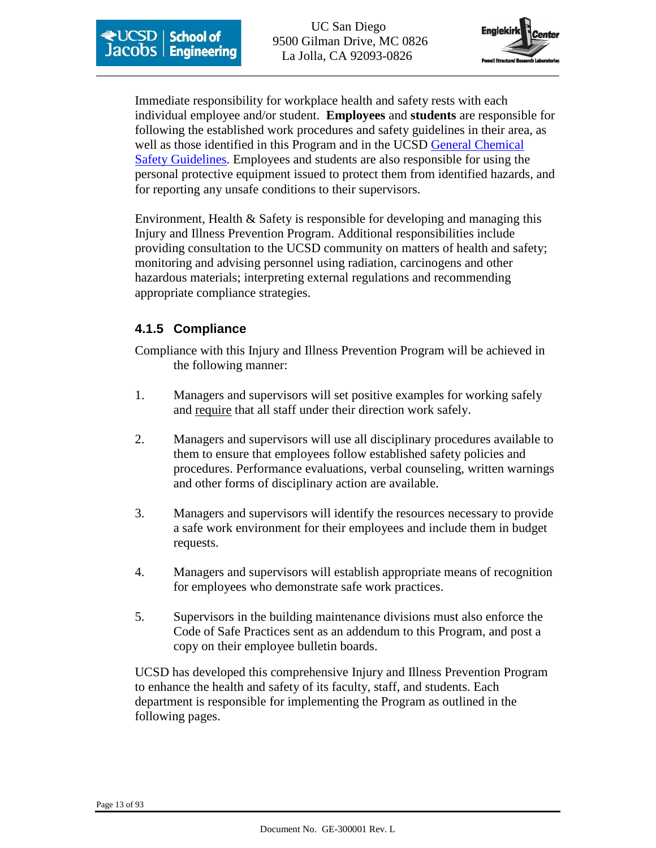



Immediate responsibility for workplace health and safety rests with each individual employee and/or student. **Employees** and **students** are responsible for following the established work procedures and safety guidelines in their area, as well as those identified in this Program and in the UCSD General Chemical Safety Guidelines. Employees and students are also responsible for using the personal protective equipment issued to protect them from identified hazards, and for reporting any unsafe conditions to their supervisors.

Environment, Health & Safety is responsible for developing and managing this Injury and Illness Prevention Program. Additional responsibilities include providing consultation to the UCSD community on matters of health and safety; monitoring and advising personnel using radiation, carcinogens and other hazardous materials; interpreting external regulations and recommending appropriate compliance strategies.

#### **4.1.5 Compliance**

Compliance with this Injury and Illness Prevention Program will be achieved in the following manner:

- 1. Managers and supervisors will set positive examples for working safely and require that all staff under their direction work safely.
- 2. Managers and supervisors will use all disciplinary procedures available to them to ensure that employees follow established safety policies and procedures. Performance evaluations, verbal counseling, written warnings and other forms of disciplinary action are available.
- 3. Managers and supervisors will identify the resources necessary to provide a safe work environment for their employees and include them in budget requests.
- 4. Managers and supervisors will establish appropriate means of recognition for employees who demonstrate safe work practices.
- 5. Supervisors in the building maintenance divisions must also enforce the Code of Safe Practices sent as an addendum to this Program, and post a copy on their employee bulletin boards.

UCSD has developed this comprehensive Injury and Illness Prevention Program to enhance the health and safety of its faculty, staff, and students. Each department is responsible for implementing the Program as outlined in the following pages.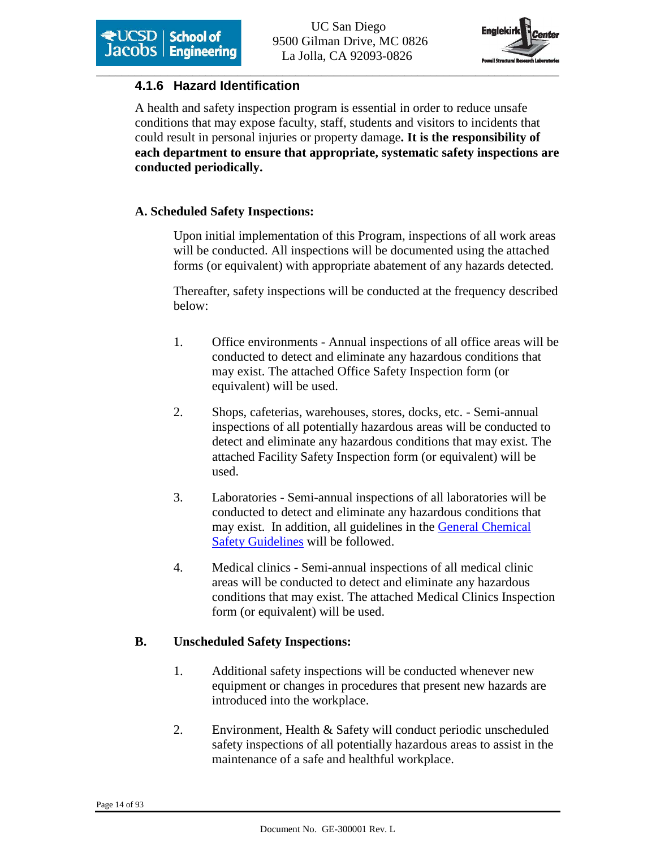

### **4.1.6 Hazard Identification**

A health and safety inspection program is essential in order to reduce unsafe conditions that may expose faculty, staff, students and visitors to incidents that could result in personal injuries or property damage**. It is the responsibility of each department to ensure that appropriate, systematic safety inspections are conducted periodically.** 

#### **A. Scheduled Safety Inspections:**

Upon initial implementation of this Program, inspections of all work areas will be conducted. All inspections will be documented using the attached forms (or equivalent) with appropriate abatement of any hazards detected.

Thereafter, safety inspections will be conducted at the frequency described below:

- 1. Office environments Annual inspections of all office areas will be conducted to detect and eliminate any hazardous conditions that may exist. The attached Office Safety Inspection form (or equivalent) will be used.
- 2. Shops, cafeterias, warehouses, stores, docks, etc. Semi-annual inspections of all potentially hazardous areas will be conducted to detect and eliminate any hazardous conditions that may exist. The attached Facility Safety Inspection form (or equivalent) will be used.
- 3. Laboratories Semi-annual inspections of all laboratories will be conducted to detect and eliminate any hazardous conditions that may exist. In addition, all guidelines in the General Chemical Safety Guidelines will be followed.
- 4. Medical clinics Semi-annual inspections of all medical clinic areas will be conducted to detect and eliminate any hazardous conditions that may exist. The attached Medical Clinics Inspection form (or equivalent) will be used.

#### **B. Unscheduled Safety Inspections:**

- 1. Additional safety inspections will be conducted whenever new equipment or changes in procedures that present new hazards are introduced into the workplace.
- 2. Environment, Health & Safety will conduct periodic unscheduled safety inspections of all potentially hazardous areas to assist in the maintenance of a safe and healthful workplace.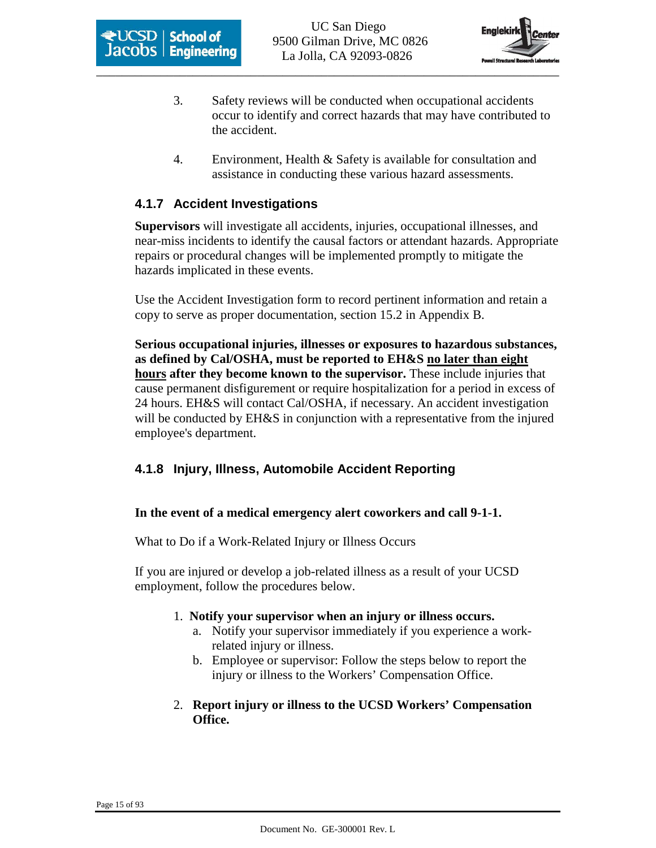



- 3. Safety reviews will be conducted when occupational accidents occur to identify and correct hazards that may have contributed to the accident.
- 4. Environment, Health & Safety is available for consultation and assistance in conducting these various hazard assessments.

#### **4.1.7 Accident Investigations**

**Supervisors** will investigate all accidents, injuries, occupational illnesses, and near-miss incidents to identify the causal factors or attendant hazards. Appropriate repairs or procedural changes will be implemented promptly to mitigate the hazards implicated in these events.

Use the Accident Investigation form to record pertinent information and retain a copy to serve as proper documentation, section 15.2 in Appendix B.

**Serious occupational injuries, illnesses or exposures to hazardous substances, as defined by Cal/OSHA, must be reported to EH&S no later than eight hours after they become known to the supervisor.** These include injuries that cause permanent disfigurement or require hospitalization for a period in excess of 24 hours. EH&S will contact Cal/OSHA, if necessary. An accident investigation will be conducted by EH&S in conjunction with a representative from the injured employee's department.

#### **4.1.8 Injury, Illness, Automobile Accident Reporting**

#### **In the event of a medical emergency alert coworkers and call 9-1-1.**

What to Do if a Work-Related Injury or Illness Occurs

If you are injured or develop a job-related illness as a result of your UCSD employment, follow the procedures below.

- 1. **Notify your supervisor when an injury or illness occurs.**
	- a. Notify your supervisor immediately if you experience a workrelated injury or illness.
	- b. Employee or supervisor: Follow the steps below to report the injury or illness to the Workers' Compensation Office.
- 2. **Report injury or illness to the UCSD Workers' Compensation Office.**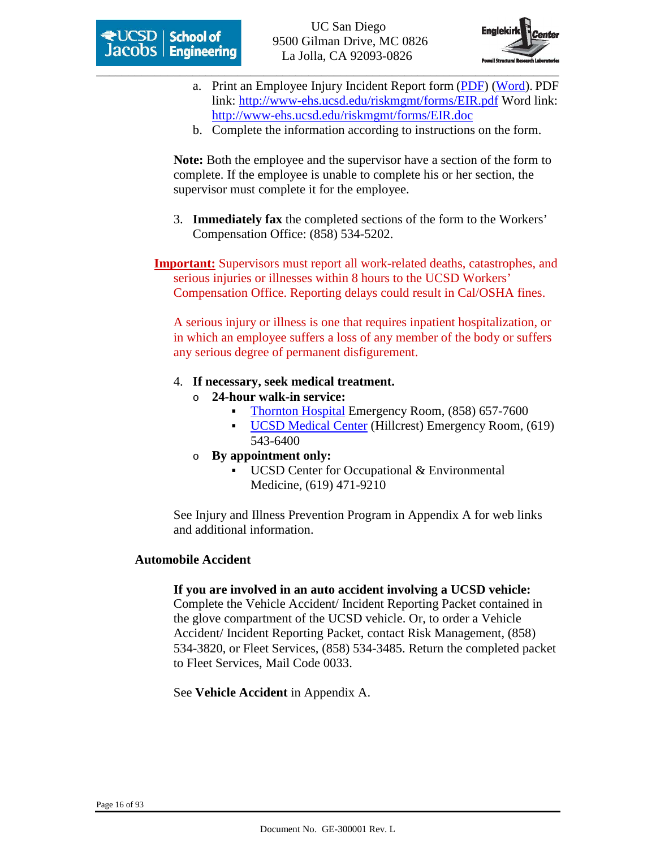

- a. Print an Employee Injury Incident Report form (PDF) (Word). PDF link: http://www-ehs.ucsd.edu/riskmgmt/forms/EIR.pdf Word link: http://www-ehs.ucsd.edu/riskmgmt/forms/EIR.doc
- b. Complete the information according to instructions on the form.

**Note:** Both the employee and the supervisor have a section of the form to complete. If the employee is unable to complete his or her section, the supervisor must complete it for the employee.

3. **Immediately fax** the completed sections of the form to the Workers' Compensation Office: (858) 534-5202.

**Important:** Supervisors must report all work-related deaths, catastrophes, and serious injuries or illnesses within 8 hours to the UCSD Workers' Compensation Office. Reporting delays could result in Cal/OSHA fines.

A serious injury or illness is one that requires inpatient hospitalization, or in which an employee suffers a loss of any member of the body or suffers any serious degree of permanent disfigurement.

- 4. **If necessary, seek medical treatment.** 
	- o **24-hour walk-in service:**
		- Thornton Hospital Emergency Room, (858) 657-7600
		- UCSD Medical Center (Hillcrest) Emergency Room, (619) 543-6400
	- o **By appointment only:**
		- UCSD Center for Occupational & Environmental Medicine, (619) 471-9210

See Injury and Illness Prevention Program in Appendix A for web links and additional information.

#### **Automobile Accident**

#### **If you are involved in an auto accident involving a UCSD vehicle:**

Complete the Vehicle Accident/ Incident Reporting Packet contained in the glove compartment of the UCSD vehicle. Or, to order a Vehicle Accident/ Incident Reporting Packet, contact Risk Management, (858) 534-3820, or Fleet Services, (858) 534-3485. Return the completed packet to Fleet Services, Mail Code 0033.

See **Vehicle Accident** in Appendix A.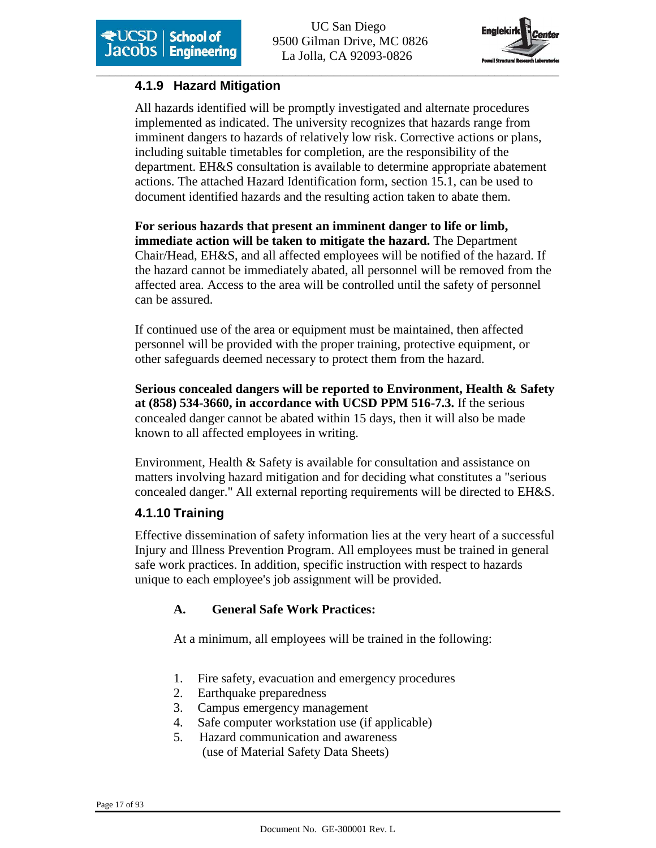

# **4.1.9 Hazard Mitigation**

All hazards identified will be promptly investigated and alternate procedures implemented as indicated. The university recognizes that hazards range from imminent dangers to hazards of relatively low risk. Corrective actions or plans, including suitable timetables for completion, are the responsibility of the department. EH&S consultation is available to determine appropriate abatement actions. The attached Hazard Identification form, section 15.1, can be used to document identified hazards and the resulting action taken to abate them.

**For serious hazards that present an imminent danger to life or limb, immediate action will be taken to mitigate the hazard.** The Department Chair/Head, EH&S, and all affected employees will be notified of the hazard. If the hazard cannot be immediately abated, all personnel will be removed from the affected area. Access to the area will be controlled until the safety of personnel can be assured.

If continued use of the area or equipment must be maintained, then affected personnel will be provided with the proper training, protective equipment, or other safeguards deemed necessary to protect them from the hazard.

**Serious concealed dangers will be reported to Environment, Health & Safety at (858) 534-3660, in accordance with UCSD PPM 516-7.3.** If the serious concealed danger cannot be abated within 15 days, then it will also be made known to all affected employees in writing.

Environment, Health & Safety is available for consultation and assistance on matters involving hazard mitigation and for deciding what constitutes a "serious concealed danger." All external reporting requirements will be directed to EH&S.

# **4.1.10 Training**

Effective dissemination of safety information lies at the very heart of a successful Injury and Illness Prevention Program. All employees must be trained in general safe work practices. In addition, specific instruction with respect to hazards unique to each employee's job assignment will be provided.

# **A. General Safe Work Practices:**

At a minimum, all employees will be trained in the following:

- 1. Fire safety, evacuation and emergency procedures
- 2. Earthquake preparedness
- 3. Campus emergency management
- 4. Safe computer workstation use (if applicable)
- 5. Hazard communication and awareness (use of Material Safety Data Sheets)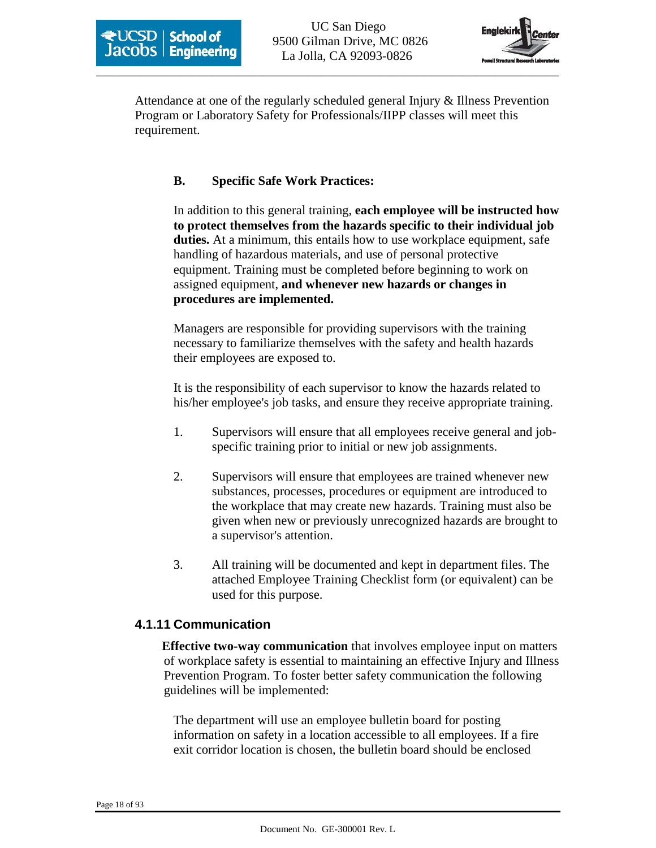

Attendance at one of the regularly scheduled general Injury & Illness Prevention Program or Laboratory Safety for Professionals/IIPP classes will meet this requirement.

#### **B. Specific Safe Work Practices:**

In addition to this general training, **each employee will be instructed how to protect themselves from the hazards specific to their individual job duties.** At a minimum, this entails how to use workplace equipment, safe handling of hazardous materials, and use of personal protective equipment. Training must be completed before beginning to work on assigned equipment, **and whenever new hazards or changes in procedures are implemented.**

Managers are responsible for providing supervisors with the training necessary to familiarize themselves with the safety and health hazards their employees are exposed to.

It is the responsibility of each supervisor to know the hazards related to his/her employee's job tasks, and ensure they receive appropriate training.

- 1. Supervisors will ensure that all employees receive general and jobspecific training prior to initial or new job assignments.
- 2. Supervisors will ensure that employees are trained whenever new substances, processes, procedures or equipment are introduced to the workplace that may create new hazards. Training must also be given when new or previously unrecognized hazards are brought to a supervisor's attention.
- 3. All training will be documented and kept in department files. The attached Employee Training Checklist form (or equivalent) can be used for this purpose.

#### **4.1.11 Communication**

**Effective two-way communication** that involves employee input on matters of workplace safety is essential to maintaining an effective Injury and Illness Prevention Program. To foster better safety communication the following guidelines will be implemented:

The department will use an employee bulletin board for posting information on safety in a location accessible to all employees. If a fire exit corridor location is chosen, the bulletin board should be enclosed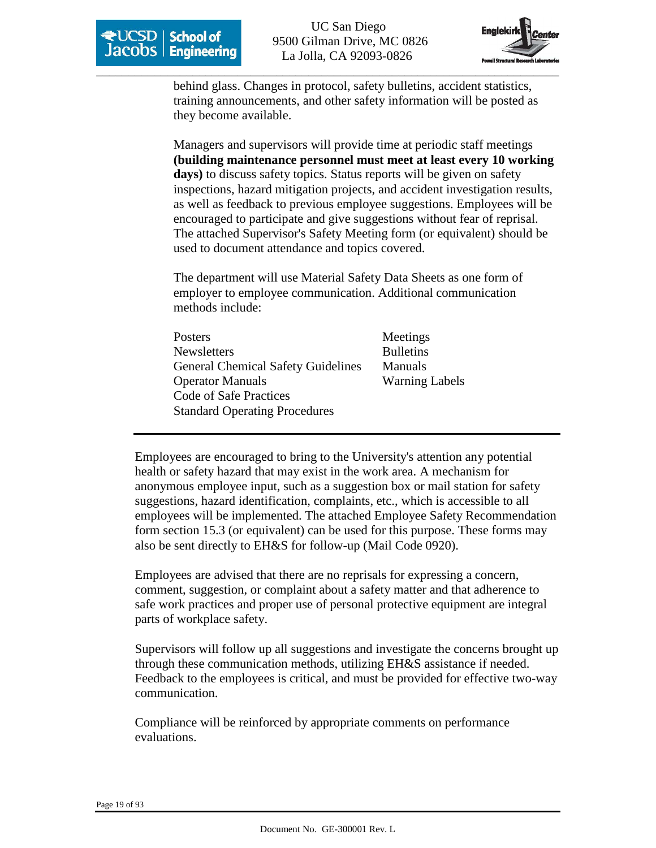

behind glass. Changes in protocol, safety bulletins, accident statistics, training announcements, and other safety information will be posted as they become available.

Managers and supervisors will provide time at periodic staff meetings **(building maintenance personnel must meet at least every 10 working**  days) to discuss safety topics. Status reports will be given on safety inspections, hazard mitigation projects, and accident investigation results, as well as feedback to previous employee suggestions. Employees will be encouraged to participate and give suggestions without fear of reprisal. The attached Supervisor's Safety Meeting form (or equivalent) should be used to document attendance and topics covered.

The department will use Material Safety Data Sheets as one form of employer to employee communication. Additional communication methods include:

| Posters                                   |  |
|-------------------------------------------|--|
| <b>Newsletters</b>                        |  |
| <b>General Chemical Safety Guidelines</b> |  |
| <b>Operator Manuals</b>                   |  |
| Code of Safe Practices                    |  |
| <b>Standard Operating Procedures</b>      |  |

Meetings **Bulletins** Manuals Warning Labels

Employees are encouraged to bring to the University's attention any potential health or safety hazard that may exist in the work area. A mechanism for anonymous employee input, such as a suggestion box or mail station for safety suggestions, hazard identification, complaints, etc., which is accessible to all employees will be implemented. The attached Employee Safety Recommendation form section 15.3 (or equivalent) can be used for this purpose. These forms may also be sent directly to EH&S for follow-up (Mail Code 0920).

Employees are advised that there are no reprisals for expressing a concern, comment, suggestion, or complaint about a safety matter and that adherence to safe work practices and proper use of personal protective equipment are integral parts of workplace safety.

Supervisors will follow up all suggestions and investigate the concerns brought up through these communication methods, utilizing EH&S assistance if needed. Feedback to the employees is critical, and must be provided for effective two-way communication.

Compliance will be reinforced by appropriate comments on performance evaluations.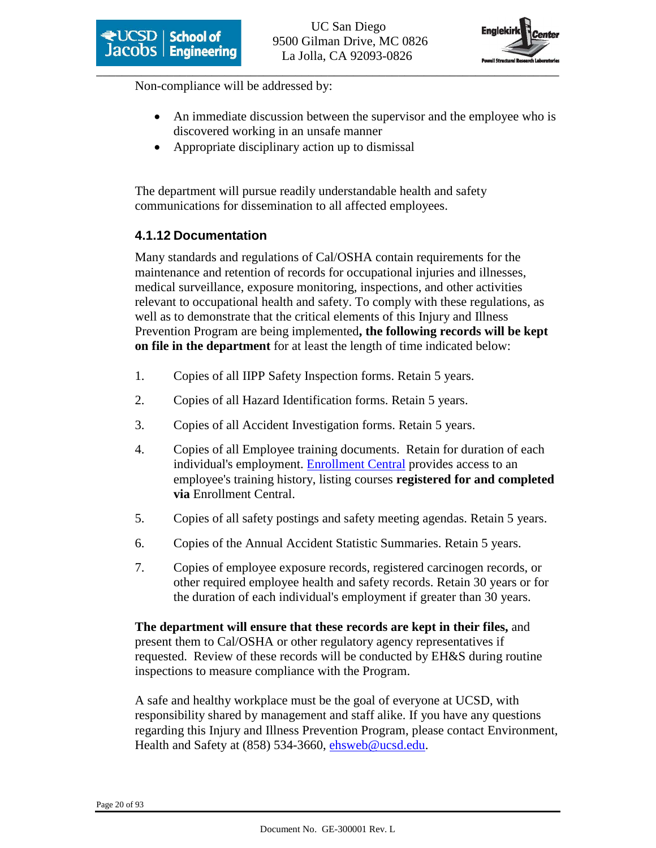

Non-compliance will be addressed by:

- An immediate discussion between the supervisor and the employee who is discovered working in an unsafe manner
- Appropriate disciplinary action up to dismissal

The department will pursue readily understandable health and safety communications for dissemination to all affected employees.

# **4.1.12 Documentation**

Many standards and regulations of Cal/OSHA contain requirements for the maintenance and retention of records for occupational injuries and illnesses, medical surveillance, exposure monitoring, inspections, and other activities relevant to occupational health and safety. To comply with these regulations, as well as to demonstrate that the critical elements of this Injury and Illness Prevention Program are being implemented**, the following records will be kept on file in the department** for at least the length of time indicated below:

- 1. Copies of all IIPP Safety Inspection forms. Retain 5 years.
- 2. Copies of all Hazard Identification forms. Retain 5 years.
- 3. Copies of all Accident Investigation forms. Retain 5 years.
- 4. Copies of all Employee training documents. Retain for duration of each individual's employment. Enrollment Central provides access to an employee's training history, listing courses **registered for and completed via** Enrollment Central.
- 5. Copies of all safety postings and safety meeting agendas. Retain 5 years.
- 6. Copies of the Annual Accident Statistic Summaries. Retain 5 years.
- 7. Copies of employee exposure records, registered carcinogen records, or other required employee health and safety records. Retain 30 years or for the duration of each individual's employment if greater than 30 years.

**The department will ensure that these records are kept in their files,** and present them to Cal/OSHA or other regulatory agency representatives if requested. Review of these records will be conducted by EH&S during routine inspections to measure compliance with the Program.

A safe and healthy workplace must be the goal of everyone at UCSD, with responsibility shared by management and staff alike. If you have any questions regarding this Injury and Illness Prevention Program, please contact Environment, Health and Safety at (858) 534-3660, ehsweb@ucsd.edu.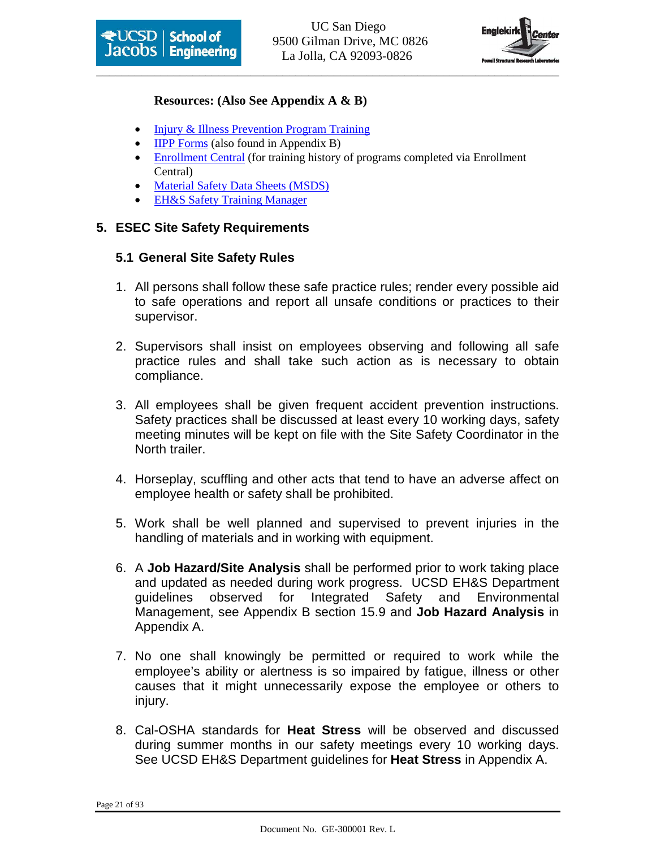



#### **Resources: (Also See Appendix A & B)**

- Injury & Illness Prevention Program Training
- **IIPP** Forms (also found in Appendix B)
- Enrollment Central (for training history of programs completed via Enrollment Central)
- Material Safety Data Sheets (MSDS)
- EH&S Safety Training Manager

#### **5. ESEC Site Safety Requirements**

#### **5.1 General Site Safety Rules**

- 1. All persons shall follow these safe practice rules; render every possible aid to safe operations and report all unsafe conditions or practices to their supervisor.
- 2. Supervisors shall insist on employees observing and following all safe practice rules and shall take such action as is necessary to obtain compliance.
- 3. All employees shall be given frequent accident prevention instructions. Safety practices shall be discussed at least every 10 working days, safety meeting minutes will be kept on file with the Site Safety Coordinator in the North trailer.
- 4. Horseplay, scuffling and other acts that tend to have an adverse affect on employee health or safety shall be prohibited.
- 5. Work shall be well planned and supervised to prevent injuries in the handling of materials and in working with equipment.
- 6. A **Job Hazard/Site Analysis** shall be performed prior to work taking place and updated as needed during work progress. UCSD EH&S Department guidelines observed for Integrated Safety and Environmental Management, see Appendix B section 15.9 and **Job Hazard Analysis** in Appendix A.
- 7. No one shall knowingly be permitted or required to work while the employee's ability or alertness is so impaired by fatigue, illness or other causes that it might unnecessarily expose the employee or others to injury.
- 8. Cal-OSHA standards for **Heat Stress** will be observed and discussed during summer months in our safety meetings every 10 working days. See UCSD EH&S Department guidelines for **Heat Stress** in Appendix A.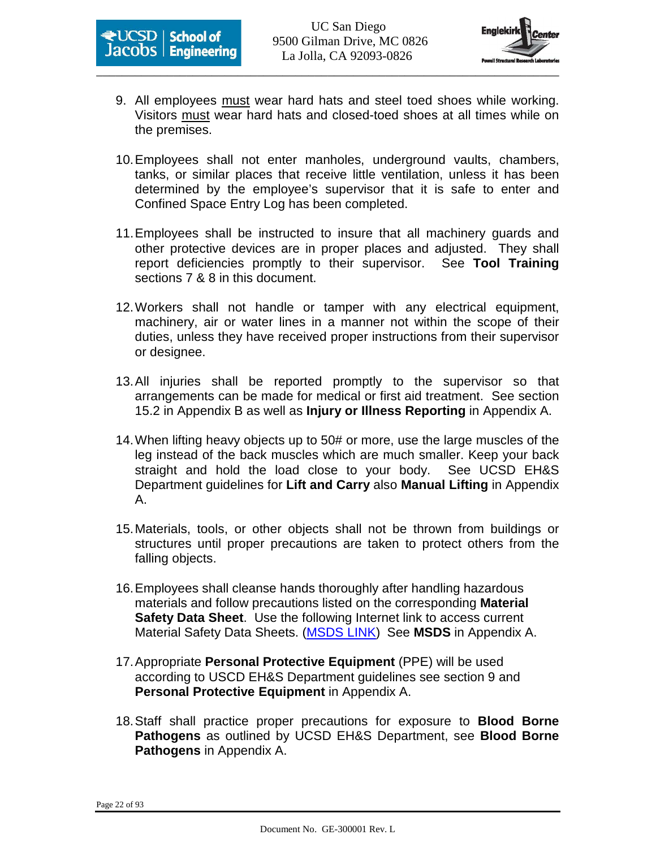



- 9. All employees must wear hard hats and steel toed shoes while working. Visitors must wear hard hats and closed-toed shoes at all times while on the premises.
- 10. Employees shall not enter manholes, underground vaults, chambers, tanks, or similar places that receive little ventilation, unless it has been determined by the employee's supervisor that it is safe to enter and Confined Space Entry Log has been completed.
- 11. Employees shall be instructed to insure that all machinery guards and other protective devices are in proper places and adjusted. They shall report deficiencies promptly to their supervisor. See **Tool Training** sections 7 & 8 in this document.
- 12. Workers shall not handle or tamper with any electrical equipment, machinery, air or water lines in a manner not within the scope of their duties, unless they have received proper instructions from their supervisor or designee.
- 13. All injuries shall be reported promptly to the supervisor so that arrangements can be made for medical or first aid treatment. See section 15.2 in Appendix B as well as **Injury or Illness Reporting** in Appendix A.
- 14. When lifting heavy objects up to 50# or more, use the large muscles of the leg instead of the back muscles which are much smaller. Keep your back straight and hold the load close to your body. See UCSD EH&S Department guidelines for **Lift and Carry** also **Manual Lifting** in Appendix A.
- 15. Materials, tools, or other objects shall not be thrown from buildings or structures until proper precautions are taken to protect others from the falling objects.
- 16. Employees shall cleanse hands thoroughly after handling hazardous materials and follow precautions listed on the corresponding **Material Safety Data Sheet**. Use the following Internet link to access current Material Safety Data Sheets. (MSDS LINK) See **MSDS** in Appendix A.
- 17. Appropriate **Personal Protective Equipment** (PPE) will be used according to USCD EH&S Department guidelines see section 9 and **Personal Protective Equipment** in Appendix A.
- 18. Staff shall practice proper precautions for exposure to **Blood Borne Pathogens** as outlined by UCSD EH&S Department, see **Blood Borne Pathogens** in Appendix A.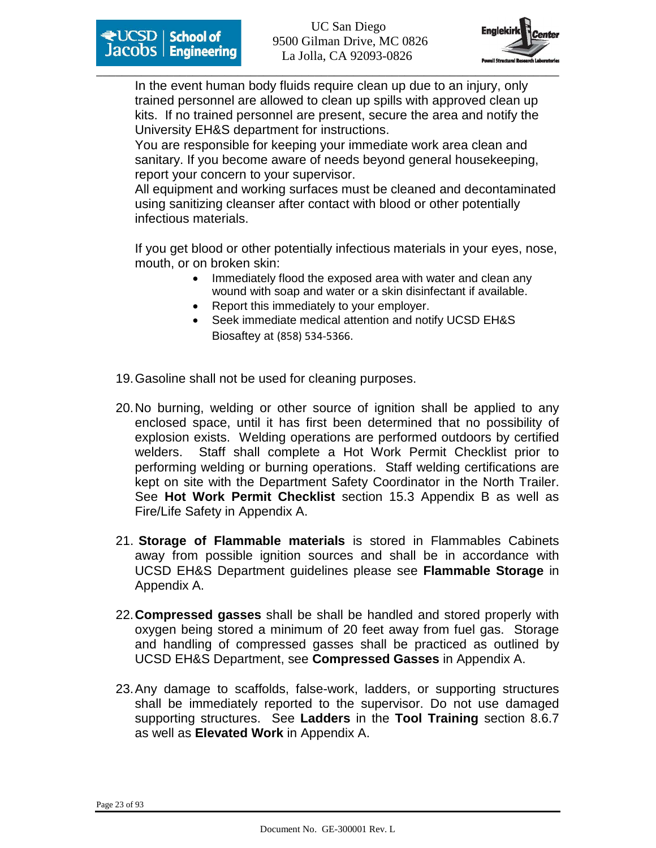



In the event human body fluids require clean up due to an injury, only trained personnel are allowed to clean up spills with approved clean up kits. If no trained personnel are present, secure the area and notify the University EH&S department for instructions.

You are responsible for keeping your immediate work area clean and sanitary. If you become aware of needs beyond general housekeeping, report your concern to your supervisor.

All equipment and working surfaces must be cleaned and decontaminated using sanitizing cleanser after contact with blood or other potentially infectious materials.

If you get blood or other potentially infectious materials in your eyes, nose, mouth, or on broken skin:

- Immediately flood the exposed area with water and clean any wound with soap and water or a skin disinfectant if available.
- Report this immediately to your employer.
- Seek immediate medical attention and notify UCSD EH&S Biosaftey at (858) 534-5366.
- 19. Gasoline shall not be used for cleaning purposes.
- 20. No burning, welding or other source of ignition shall be applied to any enclosed space, until it has first been determined that no possibility of explosion exists. Welding operations are performed outdoors by certified welders. Staff shall complete a Hot Work Permit Checklist prior to performing welding or burning operations. Staff welding certifications are kept on site with the Department Safety Coordinator in the North Trailer. See **Hot Work Permit Checklist** section 15.3 Appendix B as well as Fire/Life Safety in Appendix A.
- 21. **Storage of Flammable materials** is stored in Flammables Cabinets away from possible ignition sources and shall be in accordance with UCSD EH&S Department guidelines please see **Flammable Storage** in Appendix A.
- 22. **Compressed gasses** shall be shall be handled and stored properly with oxygen being stored a minimum of 20 feet away from fuel gas. Storage and handling of compressed gasses shall be practiced as outlined by UCSD EH&S Department, see **Compressed Gasses** in Appendix A.
- 23. Any damage to scaffolds, false-work, ladders, or supporting structures shall be immediately reported to the supervisor. Do not use damaged supporting structures. See **Ladders** in the **Tool Training** section 8.6.7 as well as **Elevated Work** in Appendix A.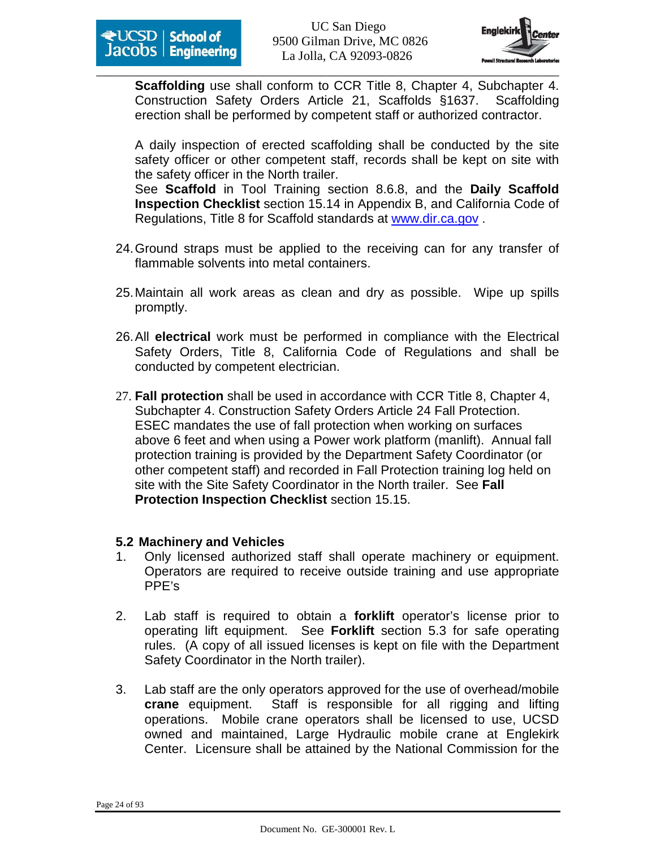

**Scaffolding** use shall conform to CCR Title 8, Chapter 4, Subchapter 4. Construction Safety Orders Article 21, Scaffolds §1637. Scaffolding erection shall be performed by competent staff or authorized contractor.

A daily inspection of erected scaffolding shall be conducted by the site safety officer or other competent staff, records shall be kept on site with the safety officer in the North trailer. See **Scaffold** in Tool Training section 8.6.8, and the **Daily Scaffold Inspection Checklist** section 15.14 in Appendix B, and California Code of Regulations, Title 8 for Scaffold standards at www.dir.ca.gov .

- 24. Ground straps must be applied to the receiving can for any transfer of flammable solvents into metal containers.
- 25. Maintain all work areas as clean and dry as possible. Wipe up spills promptly.
- 26. All **electrical** work must be performed in compliance with the Electrical Safety Orders, Title 8, California Code of Regulations and shall be conducted by competent electrician.
- 27. **Fall protection** shall be used in accordance with CCR Title 8, Chapter 4, Subchapter 4. Construction Safety Orders Article 24 Fall Protection. ESEC mandates the use of fall protection when working on surfaces above 6 feet and when using a Power work platform (manlift). Annual fall protection training is provided by the Department Safety Coordinator (or other competent staff) and recorded in Fall Protection training log held on site with the Site Safety Coordinator in the North trailer. See **Fall Protection Inspection Checklist** section 15.15.

#### **5.2 Machinery and Vehicles**

- 1. Only licensed authorized staff shall operate machinery or equipment. Operators are required to receive outside training and use appropriate PPE's
- 2. Lab staff is required to obtain a **forklift** operator's license prior to operating lift equipment. See **Forklift** section 5.3 for safe operating rules. (A copy of all issued licenses is kept on file with the Department Safety Coordinator in the North trailer).
- 3. Lab staff are the only operators approved for the use of overhead/mobile **crane** equipment. Staff is responsible for all rigging and lifting operations. Mobile crane operators shall be licensed to use, UCSD owned and maintained, Large Hydraulic mobile crane at Englekirk Center. Licensure shall be attained by the National Commission for the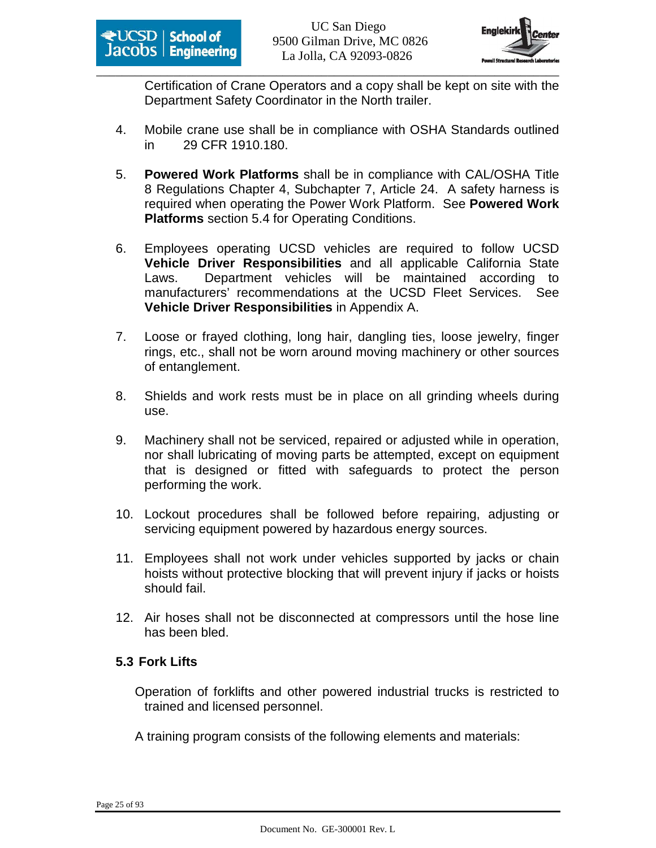

Certification of Crane Operators and a copy shall be kept on site with the Department Safety Coordinator in the North trailer.

- 4. Mobile crane use shall be in compliance with OSHA Standards outlined in 29 CFR 1910.180.
- 5. **Powered Work Platforms** shall be in compliance with CAL/OSHA Title 8 Regulations Chapter 4, Subchapter 7, Article 24. A safety harness is required when operating the Power Work Platform. See **Powered Work Platforms** section 5.4 for Operating Conditions.
- 6. Employees operating UCSD vehicles are required to follow UCSD **Vehicle Driver Responsibilities** and all applicable California State Laws. Department vehicles will be maintained according to manufacturers' recommendations at the UCSD Fleet Services. See **Vehicle Driver Responsibilities** in Appendix A.
- 7. Loose or frayed clothing, long hair, dangling ties, loose jewelry, finger rings, etc., shall not be worn around moving machinery or other sources of entanglement.
- 8. Shields and work rests must be in place on all grinding wheels during use.
- 9. Machinery shall not be serviced, repaired or adjusted while in operation, nor shall lubricating of moving parts be attempted, except on equipment that is designed or fitted with safeguards to protect the person performing the work.
- 10. Lockout procedures shall be followed before repairing, adjusting or servicing equipment powered by hazardous energy sources.
- 11. Employees shall not work under vehicles supported by jacks or chain hoists without protective blocking that will prevent injury if jacks or hoists should fail.
- 12. Air hoses shall not be disconnected at compressors until the hose line has been bled.

# **5.3 Fork Lifts**

Operation of forklifts and other powered industrial trucks is restricted to trained and licensed personnel.

A training program consists of the following elements and materials: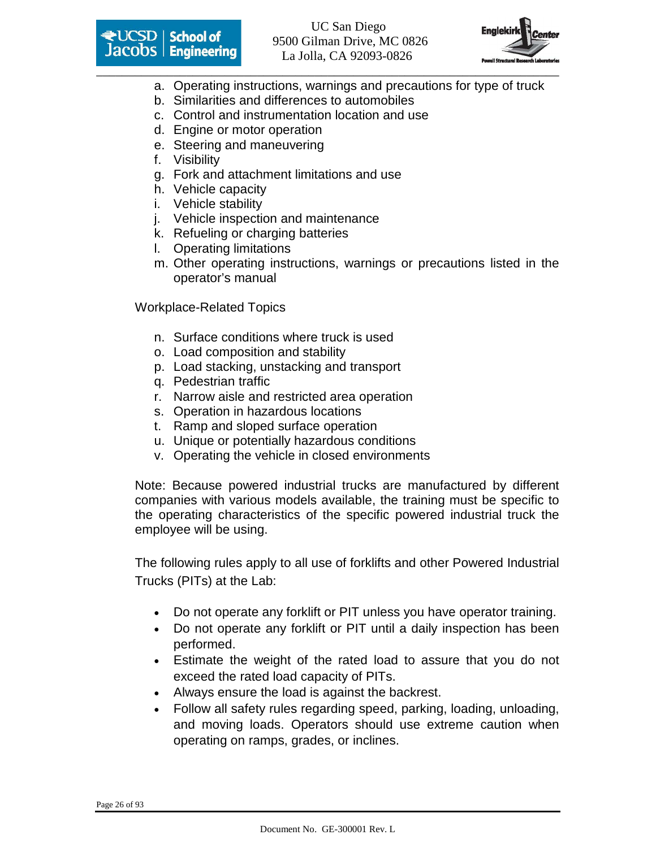



- a. Operating instructions, warnings and precautions for type of truck
- b. Similarities and differences to automobiles
- c. Control and instrumentation location and use
- d. Engine or motor operation
- e. Steering and maneuvering
- f. Visibility
- g. Fork and attachment limitations and use
- h. Vehicle capacity
- i. Vehicle stability
- j. Vehicle inspection and maintenance
- k. Refueling or charging batteries
- l. Operating limitations
- m. Other operating instructions, warnings or precautions listed in the operator's manual

Workplace-Related Topics

- n. Surface conditions where truck is used
- o. Load composition and stability
- p. Load stacking, unstacking and transport
- q. Pedestrian traffic
- r. Narrow aisle and restricted area operation
- s. Operation in hazardous locations
- t. Ramp and sloped surface operation
- u. Unique or potentially hazardous conditions
- v. Operating the vehicle in closed environments

Note: Because powered industrial trucks are manufactured by different companies with various models available, the training must be specific to the operating characteristics of the specific powered industrial truck the employee will be using.

The following rules apply to all use of forklifts and other Powered Industrial Trucks (PITs) at the Lab:

- Do not operate any forklift or PIT unless you have operator training.
- Do not operate any forklift or PIT until a daily inspection has been performed.
- Estimate the weight of the rated load to assure that you do not exceed the rated load capacity of PITs.
- Always ensure the load is against the backrest.
- Follow all safety rules regarding speed, parking, loading, unloading, and moving loads. Operators should use extreme caution when operating on ramps, grades, or inclines.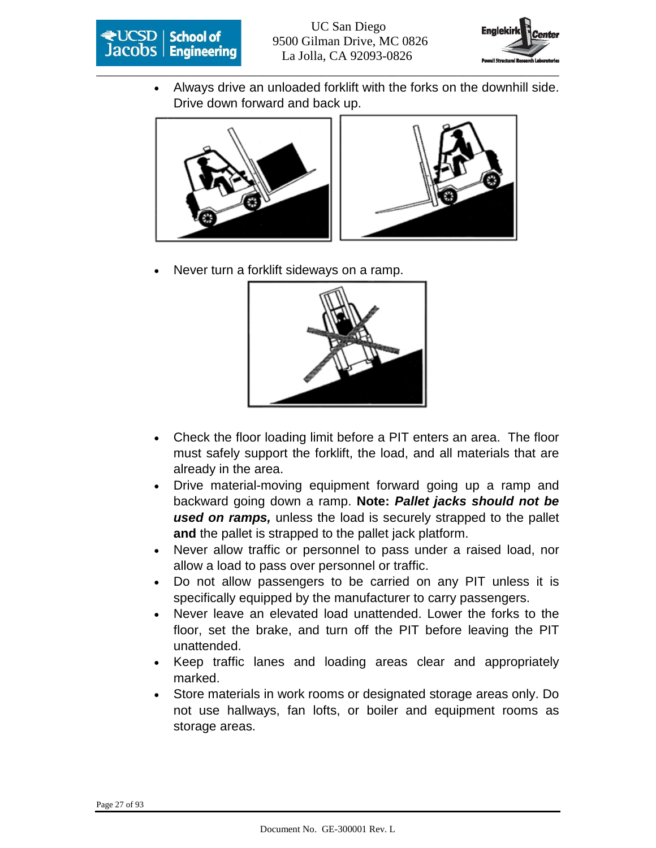



• Always drive an unloaded forklift with the forks on the downhill side. Drive down forward and back up.





• Never turn a forklift sideways on a ramp.



- Check the floor loading limit before a PIT enters an area. The floor must safely support the forklift, the load, and all materials that are already in the area.
- Drive material-moving equipment forward going up a ramp and backward going down a ramp. **Note: Pallet jacks should not be used on ramps,** unless the load is securely strapped to the pallet **and** the pallet is strapped to the pallet jack platform.
- Never allow traffic or personnel to pass under a raised load, nor allow a load to pass over personnel or traffic.
- Do not allow passengers to be carried on any PIT unless it is specifically equipped by the manufacturer to carry passengers.
- Never leave an elevated load unattended. Lower the forks to the floor, set the brake, and turn off the PIT before leaving the PIT unattended.
- Keep traffic lanes and loading areas clear and appropriately marked.
- Store materials in work rooms or designated storage areas only. Do not use hallways, fan lofts, or boiler and equipment rooms as storage areas.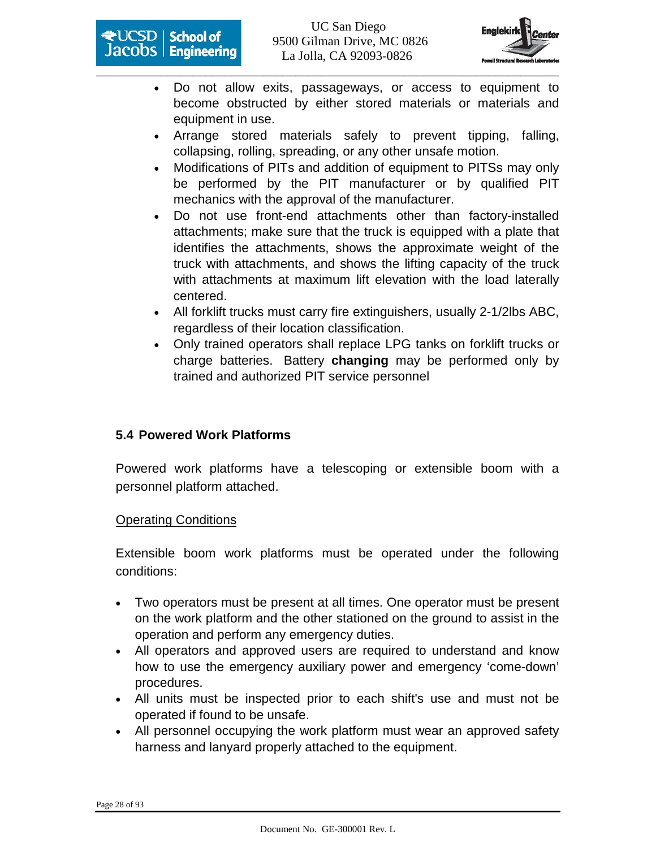



- Do not allow exits, passageways, or access to equipment to become obstructed by either stored materials or materials and equipment in use.
- Arrange stored materials safely to prevent tipping, falling, collapsing, rolling, spreading, or any other unsafe motion.
- Modifications of PITs and addition of equipment to PITSs may only be performed by the PIT manufacturer or by qualified PIT mechanics with the approval of the manufacturer.
- Do not use front-end attachments other than factory-installed attachments; make sure that the truck is equipped with a plate that identifies the attachments, shows the approximate weight of the truck with attachments, and shows the lifting capacity of the truck with attachments at maximum lift elevation with the load laterally centered.
- All forklift trucks must carry fire extinguishers, usually 2-1/2lbs ABC, regardless of their location classification.
- Only trained operators shall replace LPG tanks on forklift trucks or charge batteries. Battery **changing** may be performed only by trained and authorized PIT service personnel

# **5.4 Powered Work Platforms**

Powered work platforms have a telescoping or extensible boom with a personnel platform attached.

#### Operating Conditions

Extensible boom work platforms must be operated under the following conditions:

- Two operators must be present at all times. One operator must be present on the work platform and the other stationed on the ground to assist in the operation and perform any emergency duties.
- All operators and approved users are required to understand and know how to use the emergency auxiliary power and emergency 'come-down' procedures.
- All units must be inspected prior to each shift's use and must not be operated if found to be unsafe.
- All personnel occupying the work platform must wear an approved safety harness and lanyard properly attached to the equipment.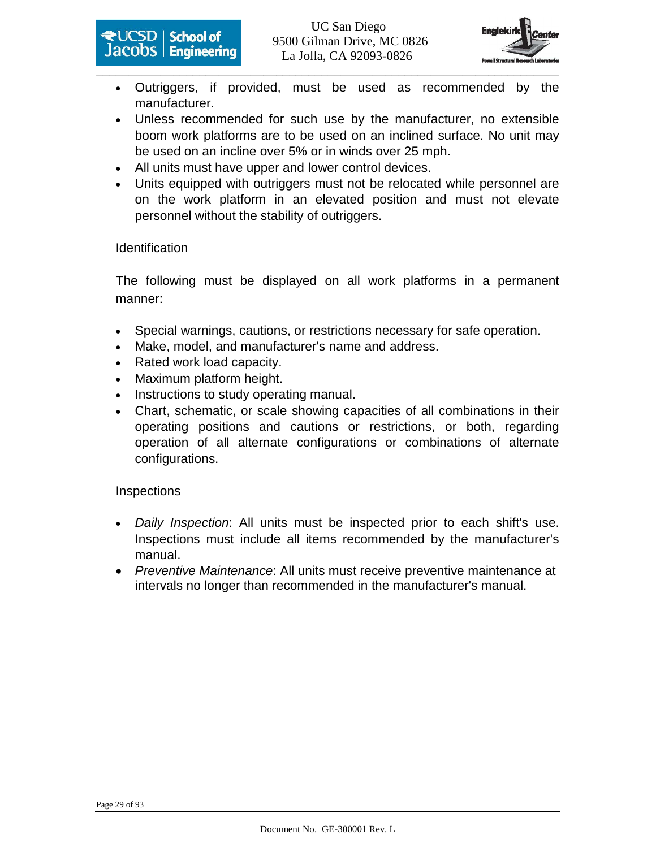



- Outriggers, if provided, must be used as recommended by the manufacturer.
- Unless recommended for such use by the manufacturer, no extensible boom work platforms are to be used on an inclined surface. No unit may be used on an incline over 5% or in winds over 25 mph.
- All units must have upper and lower control devices.
- Units equipped with outriggers must not be relocated while personnel are on the work platform in an elevated position and must not elevate personnel without the stability of outriggers.

#### Identification

The following must be displayed on all work platforms in a permanent manner:

- Special warnings, cautions, or restrictions necessary for safe operation.
- Make, model, and manufacturer's name and address.
- Rated work load capacity.
- Maximum platform height.
- Instructions to study operating manual.
- Chart, schematic, or scale showing capacities of all combinations in their operating positions and cautions or restrictions, or both, regarding operation of all alternate configurations or combinations of alternate configurations.

#### **Inspections**

- Daily Inspection: All units must be inspected prior to each shift's use. Inspections must include all items recommended by the manufacturer's manual.
- Preventive Maintenance: All units must receive preventive maintenance at intervals no longer than recommended in the manufacturer's manual.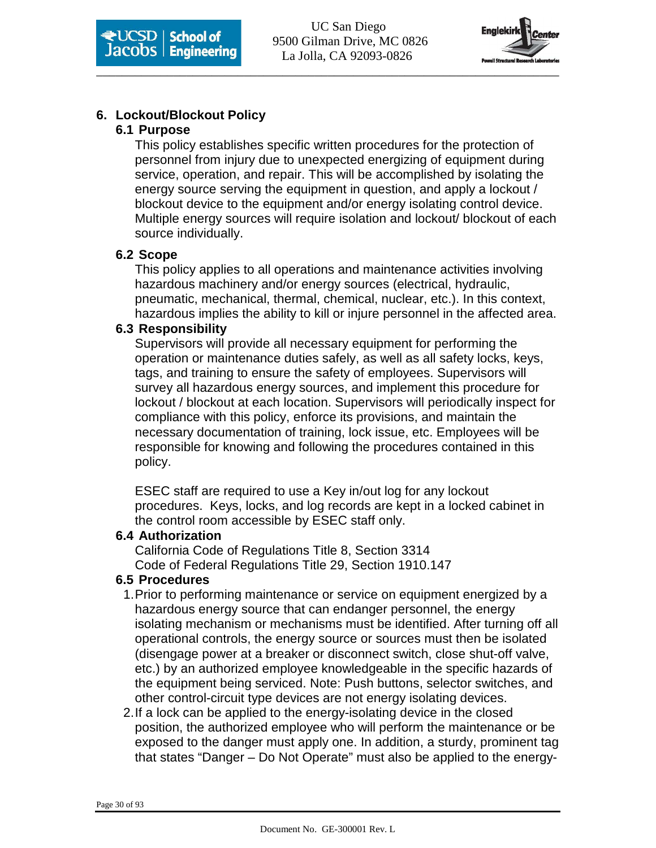

# **6. Lockout/Blockout Policy**

#### **6.1 Purpose**

This policy establishes specific written procedures for the protection of personnel from injury due to unexpected energizing of equipment during service, operation, and repair. This will be accomplished by isolating the energy source serving the equipment in question, and apply a lockout / blockout device to the equipment and/or energy isolating control device. Multiple energy sources will require isolation and lockout/ blockout of each source individually.

#### **6.2 Scope**

This policy applies to all operations and maintenance activities involving hazardous machinery and/or energy sources (electrical, hydraulic, pneumatic, mechanical, thermal, chemical, nuclear, etc.). In this context, hazardous implies the ability to kill or injure personnel in the affected area.

#### **6.3 Responsibility**

Supervisors will provide all necessary equipment for performing the operation or maintenance duties safely, as well as all safety locks, keys, tags, and training to ensure the safety of employees. Supervisors will survey all hazardous energy sources, and implement this procedure for lockout / blockout at each location. Supervisors will periodically inspect for compliance with this policy, enforce its provisions, and maintain the necessary documentation of training, lock issue, etc. Employees will be responsible for knowing and following the procedures contained in this policy.

ESEC staff are required to use a Key in/out log for any lockout procedures. Keys, locks, and log records are kept in a locked cabinet in the control room accessible by ESEC staff only.

#### **6.4 Authorization**

California Code of Regulations Title 8, Section 3314 Code of Federal Regulations Title 29, Section 1910.147

# **6.5 Procedures**

- 1. Prior to performing maintenance or service on equipment energized by a hazardous energy source that can endanger personnel, the energy isolating mechanism or mechanisms must be identified. After turning off all operational controls, the energy source or sources must then be isolated (disengage power at a breaker or disconnect switch, close shut-off valve, etc.) by an authorized employee knowledgeable in the specific hazards of the equipment being serviced. Note: Push buttons, selector switches, and other control-circuit type devices are not energy isolating devices.
- 2. If a lock can be applied to the energy-isolating device in the closed position, the authorized employee who will perform the maintenance or be exposed to the danger must apply one. In addition, a sturdy, prominent tag that states "Danger – Do Not Operate" must also be applied to the energy-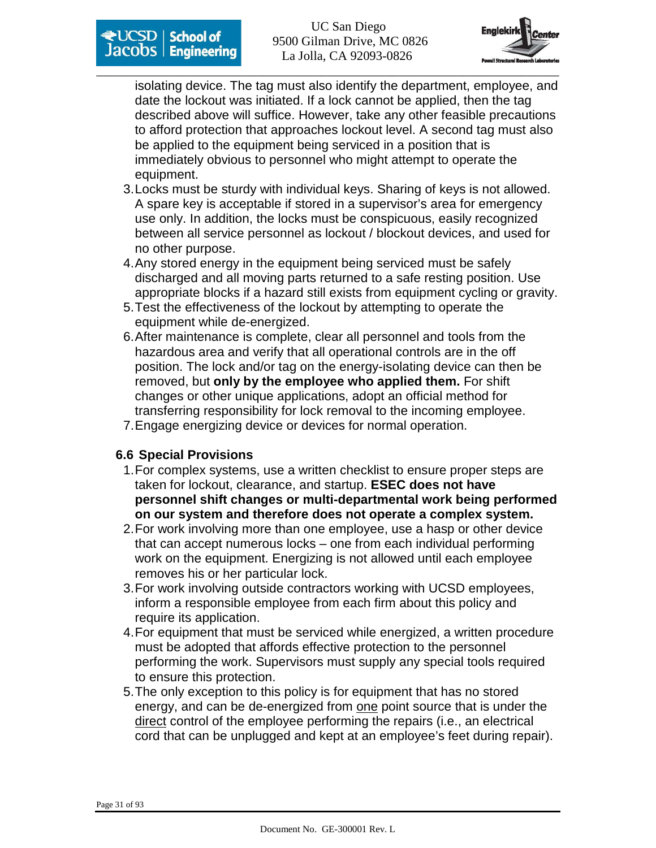

isolating device. The tag must also identify the department, employee, and date the lockout was initiated. If a lock cannot be applied, then the tag described above will suffice. However, take any other feasible precautions to afford protection that approaches lockout level. A second tag must also be applied to the equipment being serviced in a position that is immediately obvious to personnel who might attempt to operate the equipment.

- 3. Locks must be sturdy with individual keys. Sharing of keys is not allowed. A spare key is acceptable if stored in a supervisor's area for emergency use only. In addition, the locks must be conspicuous, easily recognized between all service personnel as lockout / blockout devices, and used for no other purpose.
- 4. Any stored energy in the equipment being serviced must be safely discharged and all moving parts returned to a safe resting position. Use appropriate blocks if a hazard still exists from equipment cycling or gravity.
- 5. Test the effectiveness of the lockout by attempting to operate the equipment while de-energized.
- 6. After maintenance is complete, clear all personnel and tools from the hazardous area and verify that all operational controls are in the off position. The lock and/or tag on the energy-isolating device can then be removed, but **only by the employee who applied them.** For shift changes or other unique applications, adopt an official method for transferring responsibility for lock removal to the incoming employee.
- 7. Engage energizing device or devices for normal operation.

# **6.6 Special Provisions**

- 1. For complex systems, use a written checklist to ensure proper steps are taken for lockout, clearance, and startup. **ESEC does not have personnel shift changes or multi-departmental work being performed on our system and therefore does not operate a complex system.**
- 2. For work involving more than one employee, use a hasp or other device that can accept numerous locks – one from each individual performing work on the equipment. Energizing is not allowed until each employee removes his or her particular lock.
- 3. For work involving outside contractors working with UCSD employees, inform a responsible employee from each firm about this policy and require its application.
- 4. For equipment that must be serviced while energized, a written procedure must be adopted that affords effective protection to the personnel performing the work. Supervisors must supply any special tools required to ensure this protection.
- 5. The only exception to this policy is for equipment that has no stored energy, and can be de-energized from one point source that is under the direct control of the employee performing the repairs (i.e., an electrical cord that can be unplugged and kept at an employee's feet during repair).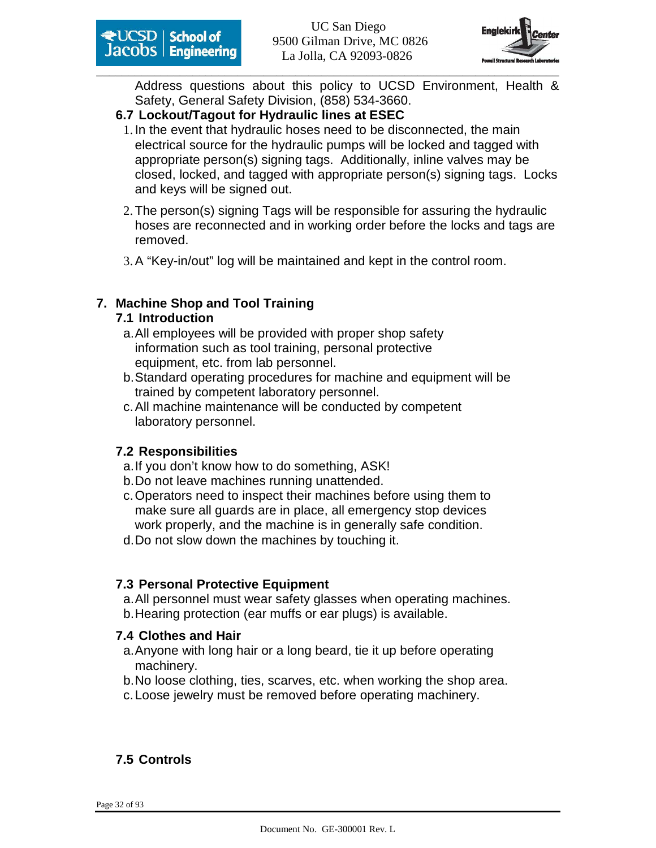

Address questions about this policy to UCSD Environment, Health & Safety, General Safety Division, (858) 534-3660.

#### **6.7 Lockout/Tagout for Hydraulic lines at ESEC**

- 1. In the event that hydraulic hoses need to be disconnected, the main electrical source for the hydraulic pumps will be locked and tagged with appropriate person(s) signing tags. Additionally, inline valves may be closed, locked, and tagged with appropriate person(s) signing tags. Locks and keys will be signed out.
- 2. The person(s) signing Tags will be responsible for assuring the hydraulic hoses are reconnected and in working order before the locks and tags are removed.
- 3. A "Key-in/out" log will be maintained and kept in the control room.

# **7. Machine Shop and Tool Training**

#### **7.1 Introduction**

- a. All employees will be provided with proper shop safety information such as tool training, personal protective equipment, etc. from lab personnel.
- b. Standard operating procedures for machine and equipment will be trained by competent laboratory personnel.
- c. All machine maintenance will be conducted by competent laboratory personnel.

#### **7.2 Responsibilities**

- a. If you don't know how to do something, ASK!
- b. Do not leave machines running unattended.
- c. Operators need to inspect their machines before using them to make sure all guards are in place, all emergency stop devices work properly, and the machine is in generally safe condition.
- d. Do not slow down the machines by touching it.

#### **7.3 Personal Protective Equipment**

a. All personnel must wear safety glasses when operating machines. b. Hearing protection (ear muffs or ear plugs) is available.

#### **7.4 Clothes and Hair**

- a. Anyone with long hair or a long beard, tie it up before operating machinery.
- b. No loose clothing, ties, scarves, etc. when working the shop area.
- c. Loose jewelry must be removed before operating machinery.

# **7.5 Controls**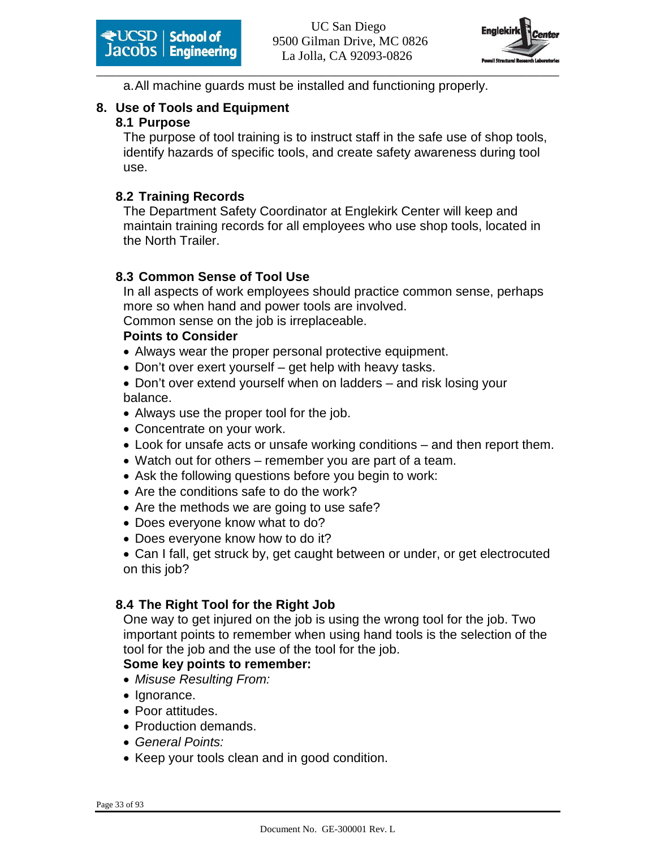

a. All machine guards must be installed and functioning properly.

# **8. Use of Tools and Equipment**

# **8.1 Purpose**

The purpose of tool training is to instruct staff in the safe use of shop tools, identify hazards of specific tools, and create safety awareness during tool use.

# **8.2 Training Records**

The Department Safety Coordinator at Englekirk Center will keep and maintain training records for all employees who use shop tools, located in the North Trailer.

# **8.3 Common Sense of Tool Use**

In all aspects of work employees should practice common sense, perhaps more so when hand and power tools are involved.

Common sense on the job is irreplaceable.

# **Points to Consider**

- Always wear the proper personal protective equipment.
- Don't over exert yourself get help with heavy tasks.
- Don't over extend yourself when on ladders and risk losing your balance.
- Always use the proper tool for the job.
- Concentrate on your work.
- Look for unsafe acts or unsafe working conditions and then report them.
- Watch out for others remember you are part of a team.
- Ask the following questions before you begin to work:
- Are the conditions safe to do the work?
- Are the methods we are going to use safe?
- Does everyone know what to do?
- Does everyone know how to do it?

• Can I fall, get struck by, get caught between or under, or get electrocuted on this job?

# **8.4 The Right Tool for the Right Job**

One way to get injured on the job is using the wrong tool for the job. Two important points to remember when using hand tools is the selection of the tool for the job and the use of the tool for the job.

# **Some key points to remember:**

- Misuse Resulting From:
- Ignorance.
- Poor attitudes.
- Production demands.
- General Points:
- Keep your tools clean and in good condition.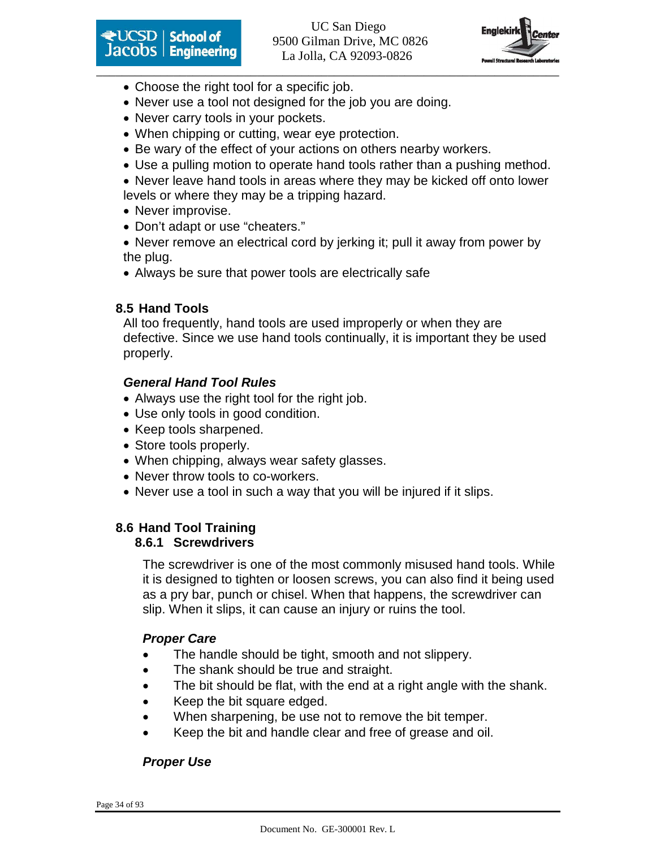

**Except School of Engineering** 9500 Gilman Drive, MC 0826 La Jolla, CA 92093-0826



- Choose the right tool for a specific job.
- Never use a tool not designed for the job you are doing.
- Never carry tools in your pockets.
- When chipping or cutting, wear eye protection.
- Be wary of the effect of your actions on others nearby workers.
- Use a pulling motion to operate hand tools rather than a pushing method.
- Never leave hand tools in areas where they may be kicked off onto lower levels or where they may be a tripping hazard.
- Never improvise.
- Don't adapt or use "cheaters."
- Never remove an electrical cord by jerking it; pull it away from power by the plug.
- Always be sure that power tools are electrically safe

#### **8.5 Hand Tools**

All too frequently, hand tools are used improperly or when they are defective. Since we use hand tools continually, it is important they be used properly.

#### **General Hand Tool Rules**

- Always use the right tool for the right job.
- Use only tools in good condition.
- Keep tools sharpened.
- Store tools properly.
- When chipping, always wear safety glasses.
- Never throw tools to co-workers.
- Never use a tool in such a way that you will be injured if it slips.

#### **8.6 Hand Tool Training 8.6.1 Screwdrivers**

The screwdriver is one of the most commonly misused hand tools. While it is designed to tighten or loosen screws, you can also find it being used as a pry bar, punch or chisel. When that happens, the screwdriver can slip. When it slips, it can cause an injury or ruins the tool.

# **Proper Care**

- The handle should be tight, smooth and not slippery.
- The shank should be true and straight.
- The bit should be flat, with the end at a right angle with the shank.
- Keep the bit square edged.
- When sharpening, be use not to remove the bit temper.
- Keep the bit and handle clear and free of grease and oil.

# **Proper Use**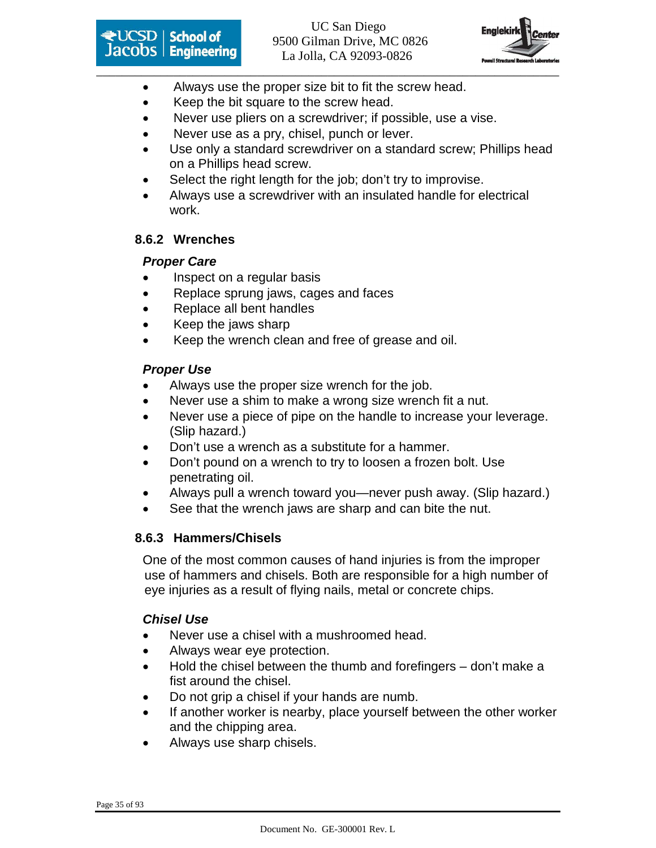



- Always use the proper size bit to fit the screw head.
- Keep the bit square to the screw head.
- Never use pliers on a screwdriver; if possible, use a vise.
- Never use as a pry, chisel, punch or lever.
- Use only a standard screwdriver on a standard screw; Phillips head on a Phillips head screw.
- Select the right length for the job; don't try to improvise.
- Always use a screwdriver with an insulated handle for electrical work.

# **8.6.2 Wrenches**

# **Proper Care**

- Inspect on a regular basis
- Replace sprung jaws, cages and faces
- Replace all bent handles
- Keep the jaws sharp
- Keep the wrench clean and free of grease and oil.

# **Proper Use**

- Always use the proper size wrench for the job.
- Never use a shim to make a wrong size wrench fit a nut.
- Never use a piece of pipe on the handle to increase your leverage. (Slip hazard.)
- Don't use a wrench as a substitute for a hammer.
- Don't pound on a wrench to try to loosen a frozen bolt. Use penetrating oil.
- Always pull a wrench toward you—never push away. (Slip hazard.)
- See that the wrench jaws are sharp and can bite the nut.

# **8.6.3 Hammers/Chisels**

One of the most common causes of hand injuries is from the improper use of hammers and chisels. Both are responsible for a high number of eye injuries as a result of flying nails, metal or concrete chips.

# **Chisel Use**

- Never use a chisel with a mushroomed head.
- Always wear eye protection.
- Hold the chisel between the thumb and forefingers don't make a fist around the chisel.
- Do not grip a chisel if your hands are numb.
- If another worker is nearby, place yourself between the other worker and the chipping area.
- Always use sharp chisels.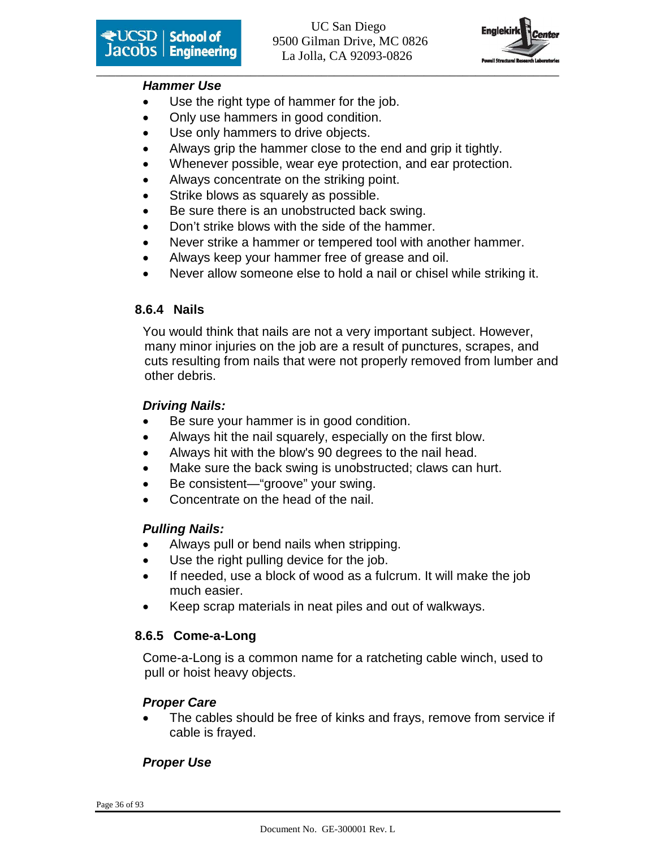

#### **Hammer Use**

- Use the right type of hammer for the job.
- Only use hammers in good condition.
- Use only hammers to drive objects.
- Always grip the hammer close to the end and grip it tightly.
- Whenever possible, wear eye protection, and ear protection.
- Always concentrate on the striking point.
- Strike blows as squarely as possible.
- Be sure there is an unobstructed back swing.
- Don't strike blows with the side of the hammer.
- Never strike a hammer or tempered tool with another hammer.
- Always keep your hammer free of grease and oil.
- Never allow someone else to hold a nail or chisel while striking it.

# **8.6.4 Nails**

You would think that nails are not a very important subject. However, many minor injuries on the job are a result of punctures, scrapes, and cuts resulting from nails that were not properly removed from lumber and other debris.

# **Driving Nails:**

- Be sure your hammer is in good condition.
- Always hit the nail squarely, especially on the first blow.
- Always hit with the blow's 90 degrees to the nail head.
- Make sure the back swing is unobstructed; claws can hurt.
- Be consistent—"groove" your swing.
- Concentrate on the head of the nail.

# **Pulling Nails:**

- Always pull or bend nails when stripping.
- Use the right pulling device for the job.
- If needed, use a block of wood as a fulcrum. It will make the job much easier.
- Keep scrap materials in neat piles and out of walkways.

# **8.6.5 Come-a-Long**

Come-a-Long is a common name for a ratcheting cable winch, used to pull or hoist heavy objects.

# **Proper Care**

The cables should be free of kinks and frays, remove from service if cable is frayed.

# **Proper Use**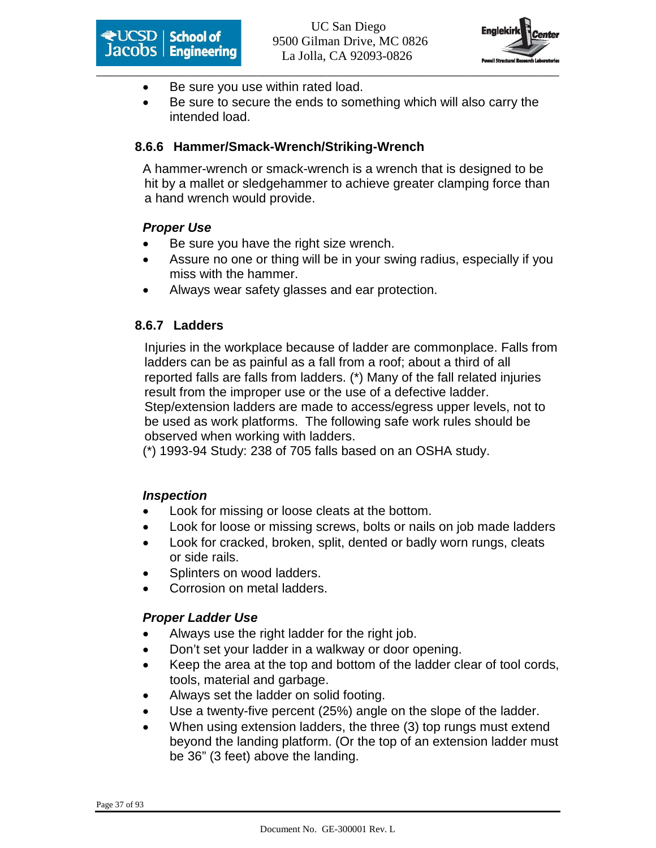



- Be sure you use within rated load.
- Be sure to secure the ends to something which will also carry the intended load.

#### **8.6.6 Hammer/Smack-Wrench/Striking-Wrench**

A hammer-wrench or smack-wrench is a wrench that is designed to be hit by a mallet or sledgehammer to achieve greater clamping force than a hand wrench would provide.

#### **Proper Use**

- Be sure you have the right size wrench.
- Assure no one or thing will be in your swing radius, especially if you miss with the hammer.
- Always wear safety glasses and ear protection.

#### **8.6.7 Ladders**

Injuries in the workplace because of ladder are commonplace. Falls from ladders can be as painful as a fall from a roof; about a third of all reported falls are falls from ladders. (\*) Many of the fall related injuries result from the improper use or the use of a defective ladder. Step/extension ladders are made to access/egress upper levels, not to be used as work platforms. The following safe work rules should be observed when working with ladders.

(\*) 1993-94 Study: 238 of 705 falls based on an OSHA study.

#### **Inspection**

- Look for missing or loose cleats at the bottom.
- Look for loose or missing screws, bolts or nails on job made ladders
- Look for cracked, broken, split, dented or badly worn rungs, cleats or side rails.
- Splinters on wood ladders.
- Corrosion on metal ladders.

#### **Proper Ladder Use**

- Always use the right ladder for the right job.
- Don't set your ladder in a walkway or door opening.
- Keep the area at the top and bottom of the ladder clear of tool cords, tools, material and garbage.
- Always set the ladder on solid footing.
- Use a twenty-five percent (25%) angle on the slope of the ladder.
- When using extension ladders, the three (3) top rungs must extend beyond the landing platform. (Or the top of an extension ladder must be 36" (3 feet) above the landing.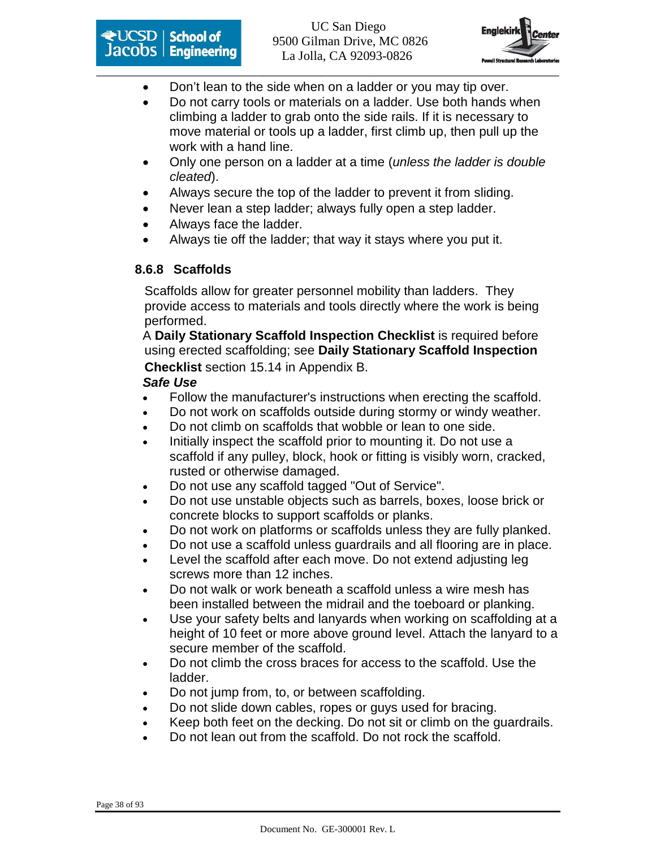



- Don't lean to the side when on a ladder or you may tip over.
- Do not carry tools or materials on a ladder. Use both hands when climbing a ladder to grab onto the side rails. If it is necessary to move material or tools up a ladder, first climb up, then pull up the work with a hand line.
- Only one person on a ladder at a time (*unless the ladder is double* cleated).
- Always secure the top of the ladder to prevent it from sliding.
- Never lean a step ladder; always fully open a step ladder.
- Always face the ladder.
- Always tie off the ladder; that way it stays where you put it.

#### **8.6.8 Scaffolds**

Scaffolds allow for greater personnel mobility than ladders. They provide access to materials and tools directly where the work is being performed.

A **Daily Stationary Scaffold Inspection Checklist** is required before using erected scaffolding; see **Daily Stationary Scaffold Inspection Checklist** section 15.14 in Appendix B.

#### **Safe Use**

- Follow the manufacturer's instructions when erecting the scaffold.
- Do not work on scaffolds outside during stormy or windy weather.
- Do not climb on scaffolds that wobble or lean to one side.
- Initially inspect the scaffold prior to mounting it. Do not use a scaffold if any pulley, block, hook or fitting is visibly worn, cracked, rusted or otherwise damaged.
- Do not use any scaffold tagged "Out of Service".
- Do not use unstable objects such as barrels, boxes, loose brick or concrete blocks to support scaffolds or planks.
- Do not work on platforms or scaffolds unless they are fully planked.
- Do not use a scaffold unless guardrails and all flooring are in place.
- Level the scaffold after each move. Do not extend adjusting leg screws more than 12 inches.
- Do not walk or work beneath a scaffold unless a wire mesh has been installed between the midrail and the toeboard or planking.
- Use your safety belts and lanyards when working on scaffolding at a height of 10 feet or more above ground level. Attach the lanyard to a secure member of the scaffold.
- Do not climb the cross braces for access to the scaffold. Use the ladder.
- Do not jump from, to, or between scaffolding.
- Do not slide down cables, ropes or guys used for bracing.
- Keep both feet on the decking. Do not sit or climb on the guardrails.
- Do not lean out from the scaffold. Do not rock the scaffold.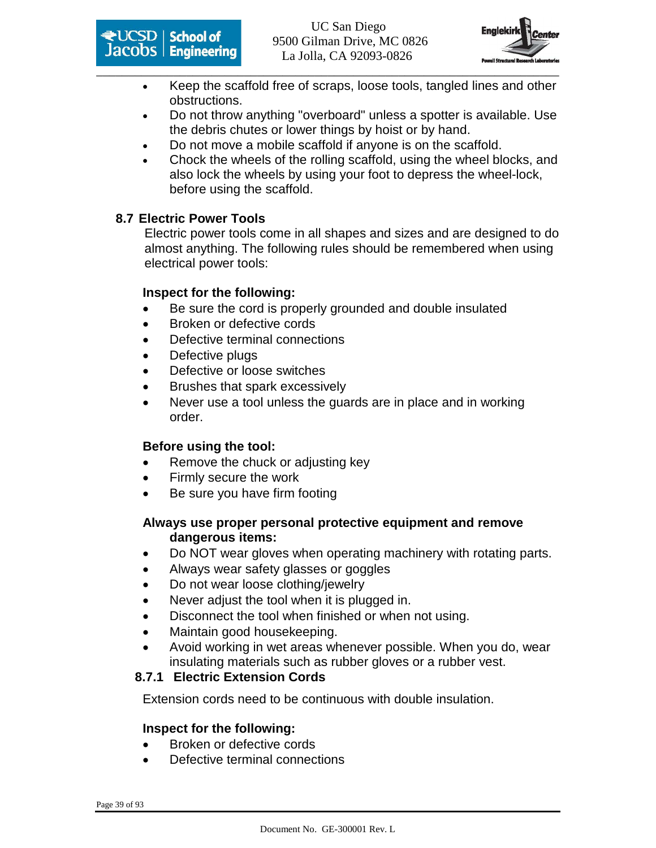



- Keep the scaffold free of scraps, loose tools, tangled lines and other obstructions.
- Do not throw anything "overboard" unless a spotter is available. Use the debris chutes or lower things by hoist or by hand.
- Do not move a mobile scaffold if anyone is on the scaffold.
- Chock the wheels of the rolling scaffold, using the wheel blocks, and also lock the wheels by using your foot to depress the wheel-lock, before using the scaffold.

#### **8.7 Electric Power Tools**

Electric power tools come in all shapes and sizes and are designed to do almost anything. The following rules should be remembered when using electrical power tools:

#### **Inspect for the following:**

- Be sure the cord is properly grounded and double insulated
- Broken or defective cords
- Defective terminal connections
- Defective plugs
- Defective or loose switches
- Brushes that spark excessively
- Never use a tool unless the quards are in place and in working order.

#### **Before using the tool:**

- Remove the chuck or adjusting key
- Firmly secure the work
- Be sure you have firm footing

#### **Always use proper personal protective equipment and remove dangerous items:**

- Do NOT wear gloves when operating machinery with rotating parts.
- Always wear safety glasses or goggles
- Do not wear loose clothing/jewelry
- Never adjust the tool when it is plugged in.
- Disconnect the tool when finished or when not using.
- Maintain good housekeeping.
- Avoid working in wet areas whenever possible. When you do, wear insulating materials such as rubber gloves or a rubber vest.

#### **8.7.1 Electric Extension Cords**

Extension cords need to be continuous with double insulation.

#### **Inspect for the following:**

- Broken or defective cords
- Defective terminal connections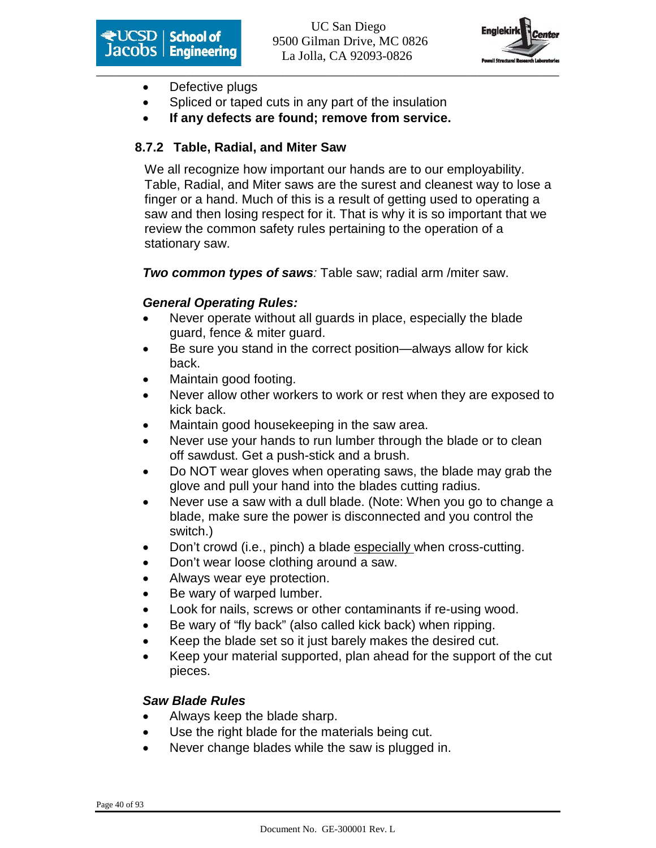



- Defective plugs
- Spliced or taped cuts in any part of the insulation
- **If any defects are found; remove from service.**

#### **8.7.2 Table, Radial, and Miter Saw**

We all recognize how important our hands are to our employability. Table, Radial, and Miter saws are the surest and cleanest way to lose a finger or a hand. Much of this is a result of getting used to operating a saw and then losing respect for it. That is why it is so important that we review the common safety rules pertaining to the operation of a stationary saw.

**Two common types of saws**: Table saw; radial arm /miter saw.

#### **General Operating Rules:**

- Never operate without all guards in place, especially the blade guard, fence & miter guard.
- Be sure you stand in the correct position—always allow for kick back.
- Maintain good footing.
- Never allow other workers to work or rest when they are exposed to kick back.
- Maintain good housekeeping in the saw area.
- Never use your hands to run lumber through the blade or to clean off sawdust. Get a push-stick and a brush.
- Do NOT wear gloves when operating saws, the blade may grab the glove and pull your hand into the blades cutting radius.
- Never use a saw with a dull blade. (Note: When you go to change a blade, make sure the power is disconnected and you control the switch.)
- Don't crowd (i.e., pinch) a blade especially when cross-cutting.
- Don't wear loose clothing around a saw.
- Always wear eye protection.
- Be wary of warped lumber.
- Look for nails, screws or other contaminants if re-using wood.
- Be wary of "fly back" (also called kick back) when ripping.
- Keep the blade set so it just barely makes the desired cut.
- Keep your material supported, plan ahead for the support of the cut pieces.

#### **Saw Blade Rules**

- Always keep the blade sharp.
- Use the right blade for the materials being cut.
- Never change blades while the saw is plugged in.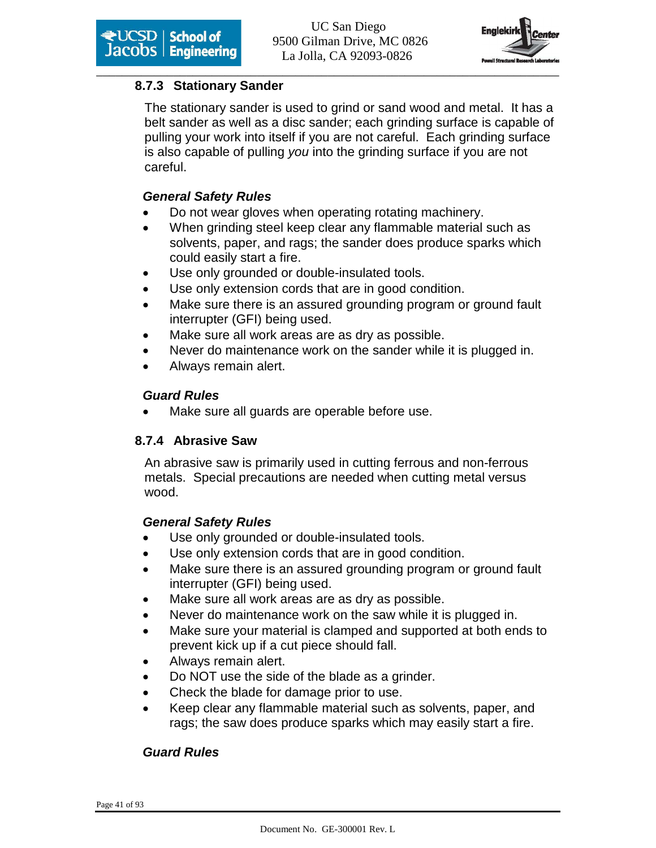

#### **8.7.3 Stationary Sander**

The stationary sander is used to grind or sand wood and metal. It has a belt sander as well as a disc sander; each grinding surface is capable of pulling your work into itself if you are not careful. Each grinding surface is also capable of pulling you into the grinding surface if you are not careful.

#### **General Safety Rules**

- Do not wear gloves when operating rotating machinery.
- When grinding steel keep clear any flammable material such as solvents, paper, and rags; the sander does produce sparks which could easily start a fire.
- Use only grounded or double-insulated tools.
- Use only extension cords that are in good condition.
- Make sure there is an assured grounding program or ground fault interrupter (GFI) being used.
- Make sure all work areas are as dry as possible.
- Never do maintenance work on the sander while it is plugged in.
- Always remain alert.

#### **Guard Rules**

Make sure all guards are operable before use.

#### **8.7.4 Abrasive Saw**

An abrasive saw is primarily used in cutting ferrous and non-ferrous metals. Special precautions are needed when cutting metal versus wood.

#### **General Safety Rules**

- Use only grounded or double-insulated tools.
- Use only extension cords that are in good condition.
- Make sure there is an assured grounding program or ground fault interrupter (GFI) being used.
- Make sure all work areas are as dry as possible.
- Never do maintenance work on the saw while it is plugged in.
- Make sure your material is clamped and supported at both ends to prevent kick up if a cut piece should fall.
- Always remain alert.
- Do NOT use the side of the blade as a grinder.
- Check the blade for damage prior to use.
- Keep clear any flammable material such as solvents, paper, and rags; the saw does produce sparks which may easily start a fire.

#### **Guard Rules**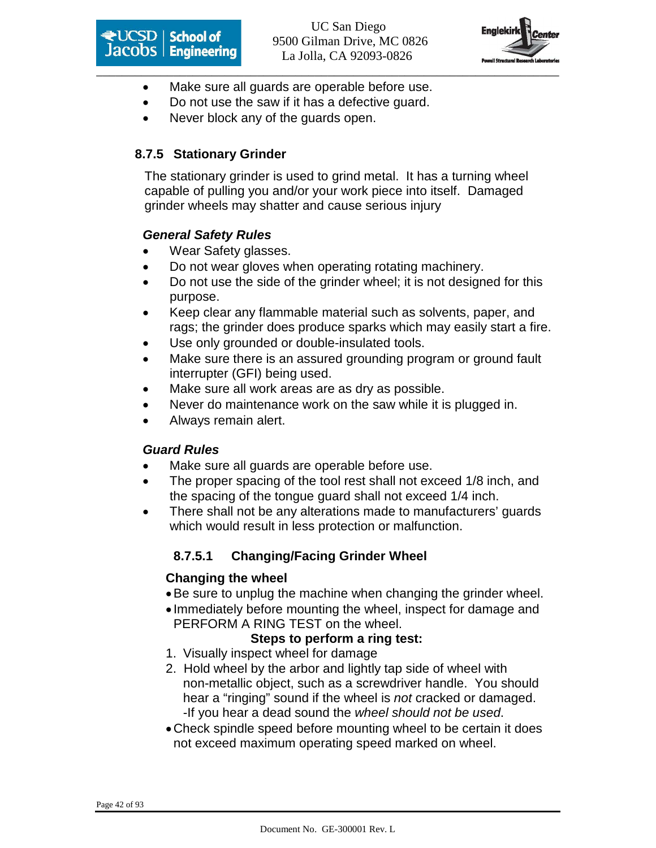



- Make sure all guards are operable before use.
- Do not use the saw if it has a defective guard.
- Never block any of the guards open.

#### **8.7.5 Stationary Grinder**

The stationary grinder is used to grind metal. It has a turning wheel capable of pulling you and/or your work piece into itself. Damaged grinder wheels may shatter and cause serious injury

#### **General Safety Rules**

- Wear Safety glasses.
- Do not wear gloves when operating rotating machinery.
- Do not use the side of the grinder wheel; it is not designed for this purpose.
- Keep clear any flammable material such as solvents, paper, and rags; the grinder does produce sparks which may easily start a fire.
- Use only grounded or double-insulated tools.
- Make sure there is an assured grounding program or ground fault interrupter (GFI) being used.
- Make sure all work areas are as dry as possible.
- Never do maintenance work on the saw while it is plugged in.
- Always remain alert.

#### **Guard Rules**

- Make sure all guards are operable before use.
- The proper spacing of the tool rest shall not exceed 1/8 inch, and the spacing of the tongue guard shall not exceed 1/4 inch.
- There shall not be any alterations made to manufacturers' guards which would result in less protection or malfunction.

### **8.7.5.1 Changing/Facing Grinder Wheel**

#### **Changing the wheel**

- Be sure to unplug the machine when changing the grinder wheel.
- Immediately before mounting the wheel, inspect for damage and PERFORM A RING TEST on the wheel.

#### **Steps to perform a ring test:**

- 1. Visually inspect wheel for damage
- 2. Hold wheel by the arbor and lightly tap side of wheel with non-metallic object, such as a screwdriver handle. You should hear a "ringing" sound if the wheel is not cracked or damaged. -If you hear a dead sound the wheel should not be used.
- Check spindle speed before mounting wheel to be certain it does not exceed maximum operating speed marked on wheel.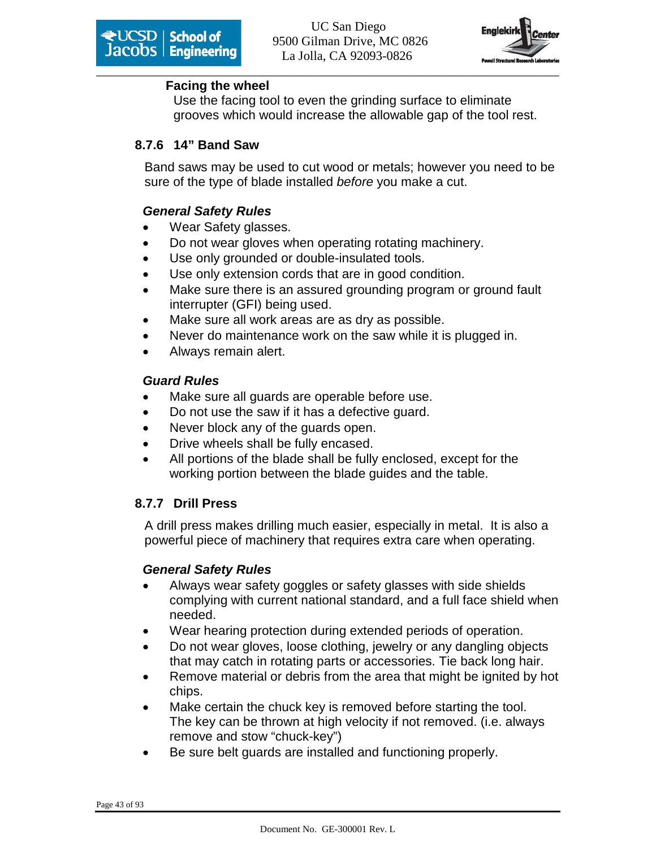

#### **Facing the wheel**

Use the facing tool to even the grinding surface to eliminate grooves which would increase the allowable gap of the tool rest.

#### **8.7.6 14" Band Saw**

Band saws may be used to cut wood or metals; however you need to be sure of the type of blade installed before you make a cut.

#### **General Safety Rules**

- Wear Safety glasses.
- Do not wear gloves when operating rotating machinery.
- Use only grounded or double-insulated tools.
- Use only extension cords that are in good condition.
- Make sure there is an assured grounding program or ground fault interrupter (GFI) being used.
- Make sure all work areas are as dry as possible.
- Never do maintenance work on the saw while it is plugged in.
- Always remain alert.

#### **Guard Rules**

- Make sure all guards are operable before use.
- Do not use the saw if it has a defective guard.
- Never block any of the guards open.
- Drive wheels shall be fully encased.
- All portions of the blade shall be fully enclosed, except for the working portion between the blade guides and the table.

#### **8.7.7 Drill Press**

A drill press makes drilling much easier, especially in metal. It is also a powerful piece of machinery that requires extra care when operating.

#### **General Safety Rules**

- Always wear safety goggles or safety glasses with side shields complying with current national standard, and a full face shield when needed.
- Wear hearing protection during extended periods of operation.
- Do not wear gloves, loose clothing, jewelry or any dangling objects that may catch in rotating parts or accessories. Tie back long hair.
- Remove material or debris from the area that might be ignited by hot chips.
- Make certain the chuck key is removed before starting the tool. The key can be thrown at high velocity if not removed. (i.e. always remove and stow "chuck-key")
- Be sure belt guards are installed and functioning properly.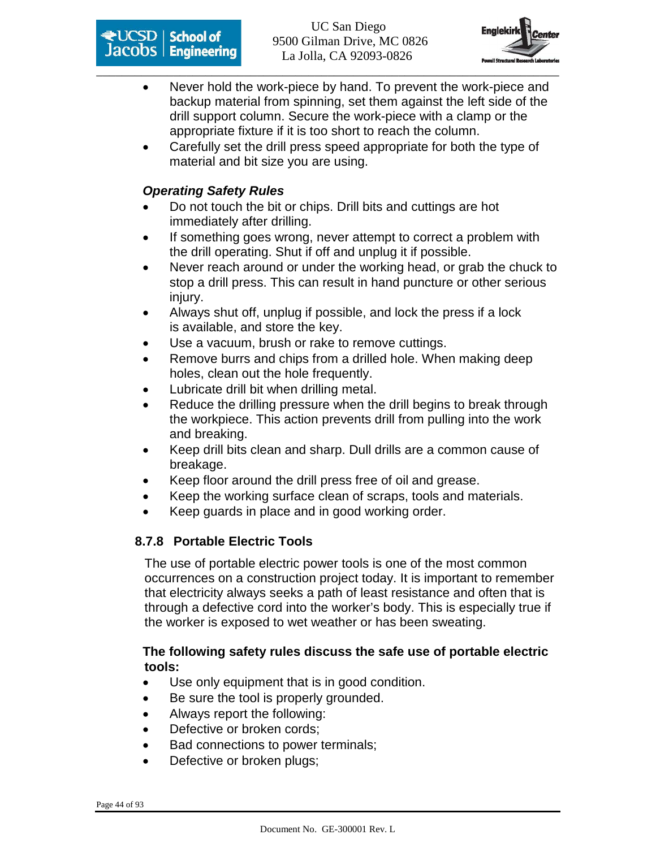



- Never hold the work-piece by hand. To prevent the work-piece and backup material from spinning, set them against the left side of the drill support column. Secure the work-piece with a clamp or the appropriate fixture if it is too short to reach the column.
- Carefully set the drill press speed appropriate for both the type of material and bit size you are using.

#### **Operating Safety Rules**

- Do not touch the bit or chips. Drill bits and cuttings are hot immediately after drilling.
- If something goes wrong, never attempt to correct a problem with the drill operating. Shut if off and unplug it if possible.
- Never reach around or under the working head, or grab the chuck to stop a drill press. This can result in hand puncture or other serious injury.
- Always shut off, unplug if possible, and lock the press if a lock is available, and store the key.
- Use a vacuum, brush or rake to remove cuttings.
- Remove burrs and chips from a drilled hole. When making deep holes, clean out the hole frequently.
- Lubricate drill bit when drilling metal.
- Reduce the drilling pressure when the drill begins to break through the workpiece. This action prevents drill from pulling into the work and breaking.
- Keep drill bits clean and sharp. Dull drills are a common cause of breakage.
- Keep floor around the drill press free of oil and grease.
- Keep the working surface clean of scraps, tools and materials.
- Keep guards in place and in good working order.

#### **8.7.8 Portable Electric Tools**

The use of portable electric power tools is one of the most common occurrences on a construction project today. It is important to remember that electricity always seeks a path of least resistance and often that is through a defective cord into the worker's body. This is especially true if the worker is exposed to wet weather or has been sweating.

#### **The following safety rules discuss the safe use of portable electric tools:**

- Use only equipment that is in good condition.
- Be sure the tool is properly grounded.
- Always report the following:
- Defective or broken cords;
- Bad connections to power terminals;
- Defective or broken plugs;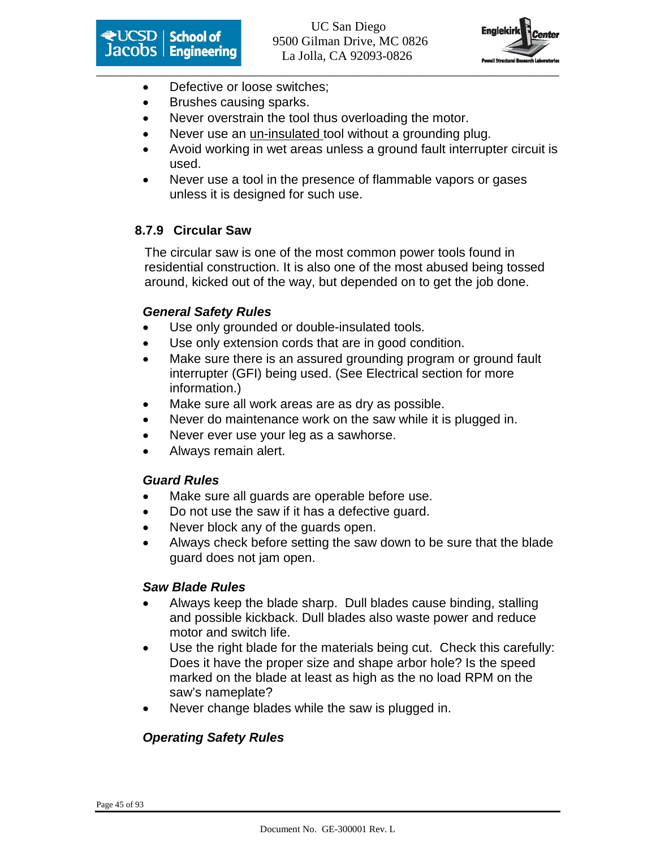



- Defective or loose switches;
- Brushes causing sparks.
- Never overstrain the tool thus overloading the motor.
- Never use an un-insulated tool without a grounding plug.
- Avoid working in wet areas unless a ground fault interrupter circuit is used.
- Never use a tool in the presence of flammable vapors or gases unless it is designed for such use.

#### **8.7.9 Circular Saw**

The circular saw is one of the most common power tools found in residential construction. It is also one of the most abused being tossed around, kicked out of the way, but depended on to get the job done.

#### **General Safety Rules**

- Use only grounded or double-insulated tools.
- Use only extension cords that are in good condition.
- Make sure there is an assured grounding program or ground fault interrupter (GFI) being used. (See Electrical section for more information.)
- Make sure all work areas are as dry as possible.
- Never do maintenance work on the saw while it is plugged in.
- Never ever use your leg as a sawhorse.
- Always remain alert.

#### **Guard Rules**

- Make sure all guards are operable before use.
- Do not use the saw if it has a defective guard.
- Never block any of the quards open.
- Always check before setting the saw down to be sure that the blade guard does not jam open.

#### **Saw Blade Rules**

- Always keep the blade sharp. Dull blades cause binding, stalling and possible kickback. Dull blades also waste power and reduce motor and switch life.
- Use the right blade for the materials being cut. Check this carefully: Does it have the proper size and shape arbor hole? Is the speed marked on the blade at least as high as the no load RPM on the saw's nameplate?
- Never change blades while the saw is plugged in.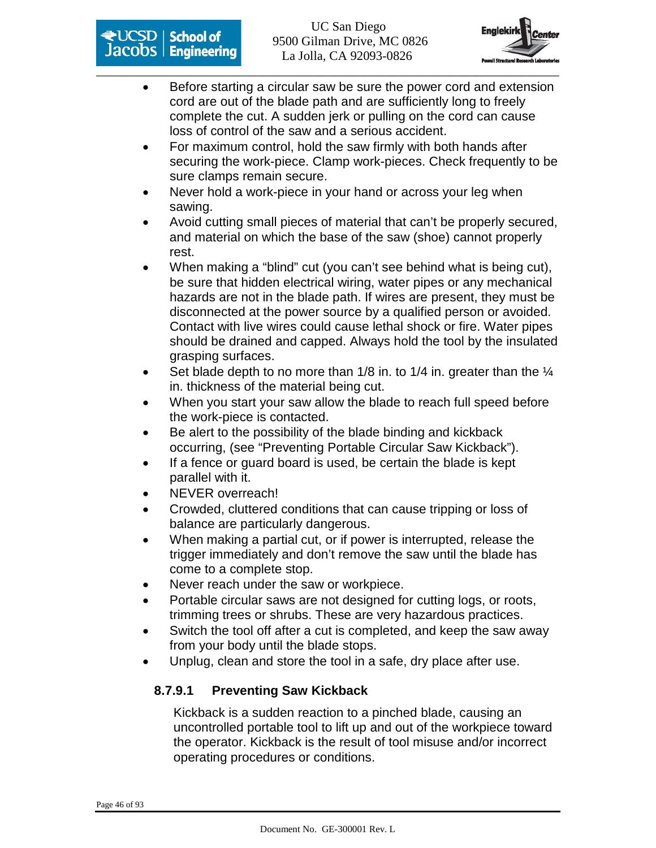



- Before starting a circular saw be sure the power cord and extension cord are out of the blade path and are sufficiently long to freely complete the cut. A sudden jerk or pulling on the cord can cause loss of control of the saw and a serious accident.
- For maximum control, hold the saw firmly with both hands after securing the work-piece. Clamp work-pieces. Check frequently to be sure clamps remain secure.
- Never hold a work-piece in your hand or across your leg when sawing.
- Avoid cutting small pieces of material that can't be properly secured, and material on which the base of the saw (shoe) cannot properly rest.
- When making a "blind" cut (you can't see behind what is being cut), be sure that hidden electrical wiring, water pipes or any mechanical hazards are not in the blade path. If wires are present, they must be disconnected at the power source by a qualified person or avoided. Contact with live wires could cause lethal shock or fire. Water pipes should be drained and capped. Always hold the tool by the insulated grasping surfaces.
- Set blade depth to no more than  $1/8$  in. to  $1/4$  in. greater than the  $\frac{1}{4}$ in. thickness of the material being cut.
- When you start your saw allow the blade to reach full speed before the work-piece is contacted.
- Be alert to the possibility of the blade binding and kickback occurring, (see "Preventing Portable Circular Saw Kickback").
- If a fence or guard board is used, be certain the blade is kept parallel with it.
- NEVER overreach!
- Crowded, cluttered conditions that can cause tripping or loss of balance are particularly dangerous.
- When making a partial cut, or if power is interrupted, release the trigger immediately and don't remove the saw until the blade has come to a complete stop.
- Never reach under the saw or workpiece.
- Portable circular saws are not designed for cutting logs, or roots, trimming trees or shrubs. These are very hazardous practices.
- Switch the tool off after a cut is completed, and keep the saw away from your body until the blade stops.
- Unplug, clean and store the tool in a safe, dry place after use.

### **8.7.9.1 Preventing Saw Kickback**

Kickback is a sudden reaction to a pinched blade, causing an uncontrolled portable tool to lift up and out of the workpiece toward the operator. Kickback is the result of tool misuse and/or incorrect operating procedures or conditions.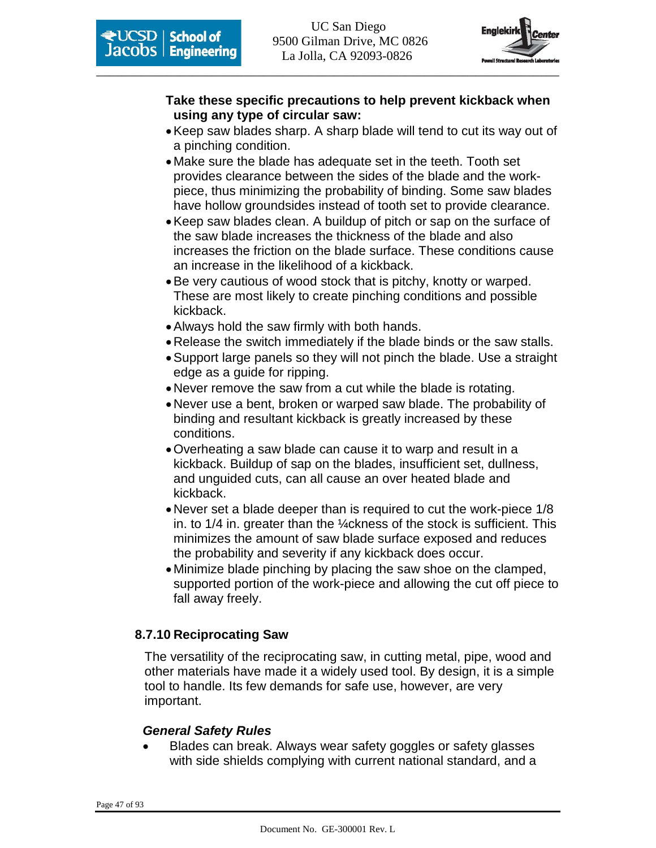

#### **Take these specific precautions to help prevent kickback when using any type of circular saw:**

- Keep saw blades sharp. A sharp blade will tend to cut its way out of a pinching condition.
- Make sure the blade has adequate set in the teeth. Tooth set provides clearance between the sides of the blade and the workpiece, thus minimizing the probability of binding. Some saw blades have hollow groundsides instead of tooth set to provide clearance.
- Keep saw blades clean. A buildup of pitch or sap on the surface of the saw blade increases the thickness of the blade and also increases the friction on the blade surface. These conditions cause an increase in the likelihood of a kickback.
- Be very cautious of wood stock that is pitchy, knotty or warped. These are most likely to create pinching conditions and possible kickback.
- Always hold the saw firmly with both hands.
- Release the switch immediately if the blade binds or the saw stalls.
- Support large panels so they will not pinch the blade. Use a straight edge as a guide for ripping.
- Never remove the saw from a cut while the blade is rotating.
- Never use a bent, broken or warped saw blade. The probability of binding and resultant kickback is greatly increased by these conditions.
- Overheating a saw blade can cause it to warp and result in a kickback. Buildup of sap on the blades, insufficient set, dullness, and unguided cuts, can all cause an over heated blade and kickback.
- Never set a blade deeper than is required to cut the work-piece 1/8 in. to 1/4 in. greater than the ¼ckness of the stock is sufficient. This minimizes the amount of saw blade surface exposed and reduces the probability and severity if any kickback does occur.
- Minimize blade pinching by placing the saw shoe on the clamped, supported portion of the work-piece and allowing the cut off piece to fall away freely.

#### **8.7.10 Reciprocating Saw**

The versatility of the reciprocating saw, in cutting metal, pipe, wood and other materials have made it a widely used tool. By design, it is a simple tool to handle. Its few demands for safe use, however, are very important.

#### **General Safety Rules**

• Blades can break. Always wear safety goggles or safety glasses with side shields complying with current national standard, and a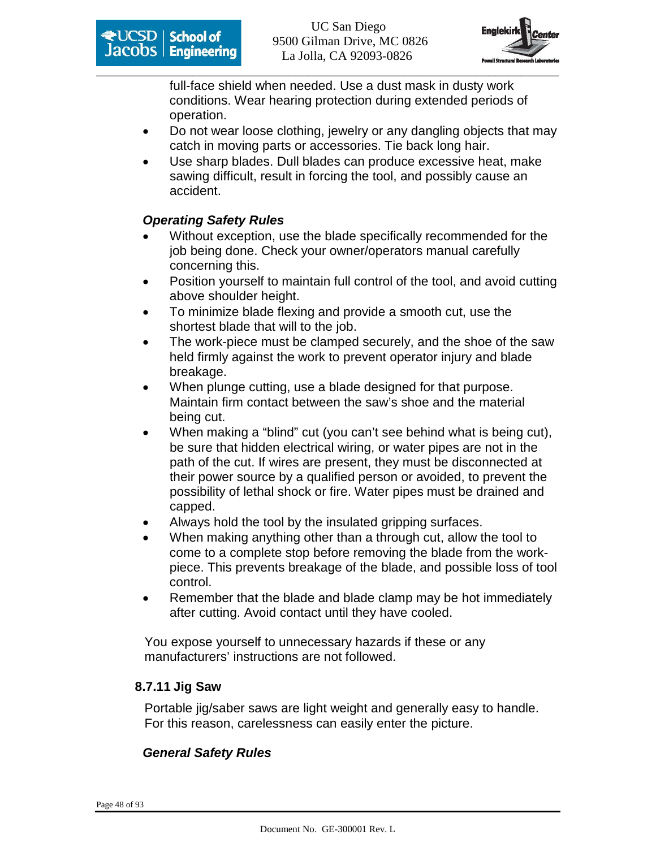

full-face shield when needed. Use a dust mask in dusty work conditions. Wear hearing protection during extended periods of operation.

- Do not wear loose clothing, jewelry or any dangling objects that may catch in moving parts or accessories. Tie back long hair.
- Use sharp blades. Dull blades can produce excessive heat, make sawing difficult, result in forcing the tool, and possibly cause an accident.

#### **Operating Safety Rules**

- Without exception, use the blade specifically recommended for the job being done. Check your owner/operators manual carefully concerning this.
- Position yourself to maintain full control of the tool, and avoid cutting above shoulder height.
- To minimize blade flexing and provide a smooth cut, use the shortest blade that will to the job.
- The work-piece must be clamped securely, and the shoe of the saw held firmly against the work to prevent operator injury and blade breakage.
- When plunge cutting, use a blade designed for that purpose. Maintain firm contact between the saw's shoe and the material being cut.
- When making a "blind" cut (you can't see behind what is being cut), be sure that hidden electrical wiring, or water pipes are not in the path of the cut. If wires are present, they must be disconnected at their power source by a qualified person or avoided, to prevent the possibility of lethal shock or fire. Water pipes must be drained and capped.
- Always hold the tool by the insulated gripping surfaces.
- When making anything other than a through cut, allow the tool to come to a complete stop before removing the blade from the workpiece. This prevents breakage of the blade, and possible loss of tool control.
- Remember that the blade and blade clamp may be hot immediately after cutting. Avoid contact until they have cooled.

You expose yourself to unnecessary hazards if these or any manufacturers' instructions are not followed.

#### **8.7.11 Jig Saw**

Portable jig/saber saws are light weight and generally easy to handle. For this reason, carelessness can easily enter the picture.

#### **General Safety Rules**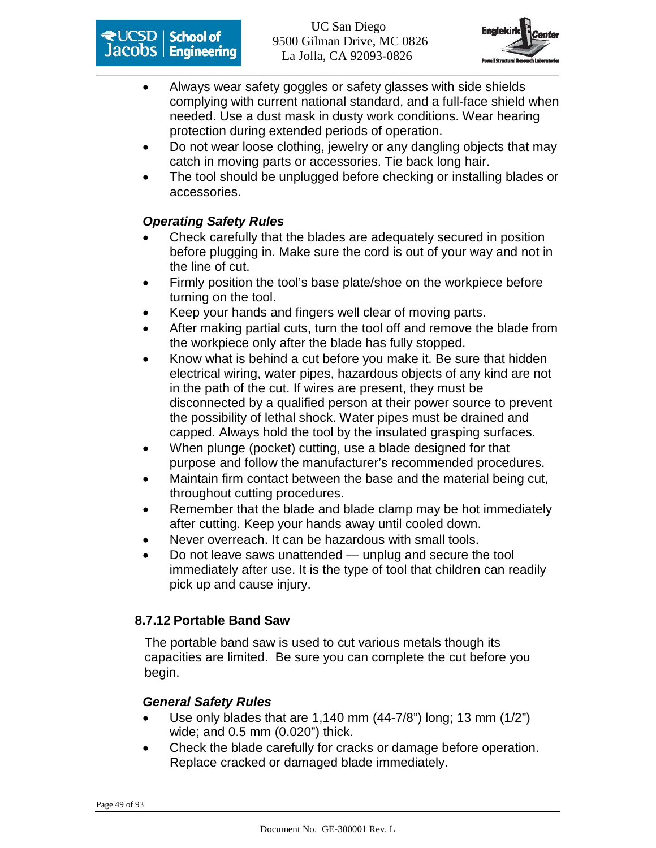



- Always wear safety goggles or safety glasses with side shields complying with current national standard, and a full-face shield when needed. Use a dust mask in dusty work conditions. Wear hearing protection during extended periods of operation.
- Do not wear loose clothing, jewelry or any dangling objects that may catch in moving parts or accessories. Tie back long hair.
- The tool should be unplugged before checking or installing blades or accessories.

#### **Operating Safety Rules**

- Check carefully that the blades are adequately secured in position before plugging in. Make sure the cord is out of your way and not in the line of cut.
- Firmly position the tool's base plate/shoe on the workpiece before turning on the tool.
- Keep your hands and fingers well clear of moving parts.
- After making partial cuts, turn the tool off and remove the blade from the workpiece only after the blade has fully stopped.
- Know what is behind a cut before you make it. Be sure that hidden electrical wiring, water pipes, hazardous objects of any kind are not in the path of the cut. If wires are present, they must be disconnected by a qualified person at their power source to prevent the possibility of lethal shock. Water pipes must be drained and capped. Always hold the tool by the insulated grasping surfaces.
- When plunge (pocket) cutting, use a blade designed for that purpose and follow the manufacturer's recommended procedures.
- Maintain firm contact between the base and the material being cut, throughout cutting procedures.
- Remember that the blade and blade clamp may be hot immediately after cutting. Keep your hands away until cooled down.
- Never overreach. It can be hazardous with small tools.
- Do not leave saws unattended unplug and secure the tool immediately after use. It is the type of tool that children can readily pick up and cause injury.

### **8.7.12 Portable Band Saw**

The portable band saw is used to cut various metals though its capacities are limited. Be sure you can complete the cut before you begin.

#### **General Safety Rules**

- Use only blades that are 1,140 mm (44-7/8") long; 13 mm (1/2") wide; and 0.5 mm (0.020") thick.
- Check the blade carefully for cracks or damage before operation. Replace cracked or damaged blade immediately.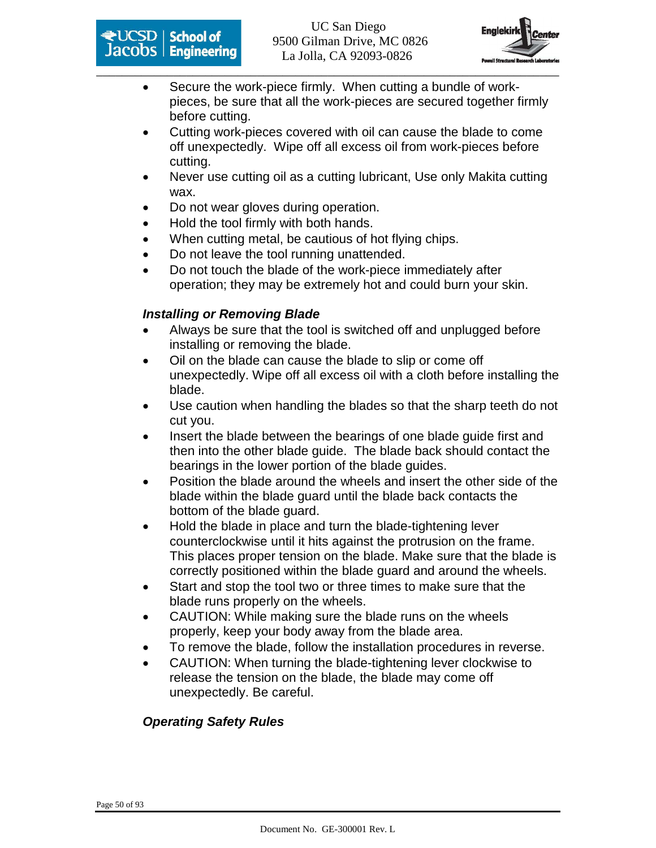



- Secure the work-piece firmly. When cutting a bundle of workpieces, be sure that all the work-pieces are secured together firmly before cutting.
- Cutting work-pieces covered with oil can cause the blade to come off unexpectedly. Wipe off all excess oil from work-pieces before cutting.
- Never use cutting oil as a cutting lubricant, Use only Makita cutting wax.
- Do not wear gloves during operation.
- Hold the tool firmly with both hands.
- When cutting metal, be cautious of hot flying chips.
- Do not leave the tool running unattended.
- Do not touch the blade of the work-piece immediately after operation; they may be extremely hot and could burn your skin.

#### **Installing or Removing Blade**

- Always be sure that the tool is switched off and unplugged before installing or removing the blade.
- Oil on the blade can cause the blade to slip or come off unexpectedly. Wipe off all excess oil with a cloth before installing the blade.
- Use caution when handling the blades so that the sharp teeth do not cut you.
- Insert the blade between the bearings of one blade guide first and then into the other blade guide. The blade back should contact the bearings in the lower portion of the blade guides.
- Position the blade around the wheels and insert the other side of the blade within the blade guard until the blade back contacts the bottom of the blade guard.
- Hold the blade in place and turn the blade-tightening lever counterclockwise until it hits against the protrusion on the frame. This places proper tension on the blade. Make sure that the blade is correctly positioned within the blade guard and around the wheels.
- Start and stop the tool two or three times to make sure that the blade runs properly on the wheels.
- CAUTION: While making sure the blade runs on the wheels properly, keep your body away from the blade area.
- To remove the blade, follow the installation procedures in reverse.
- CAUTION: When turning the blade-tightening lever clockwise to release the tension on the blade, the blade may come off unexpectedly. Be careful.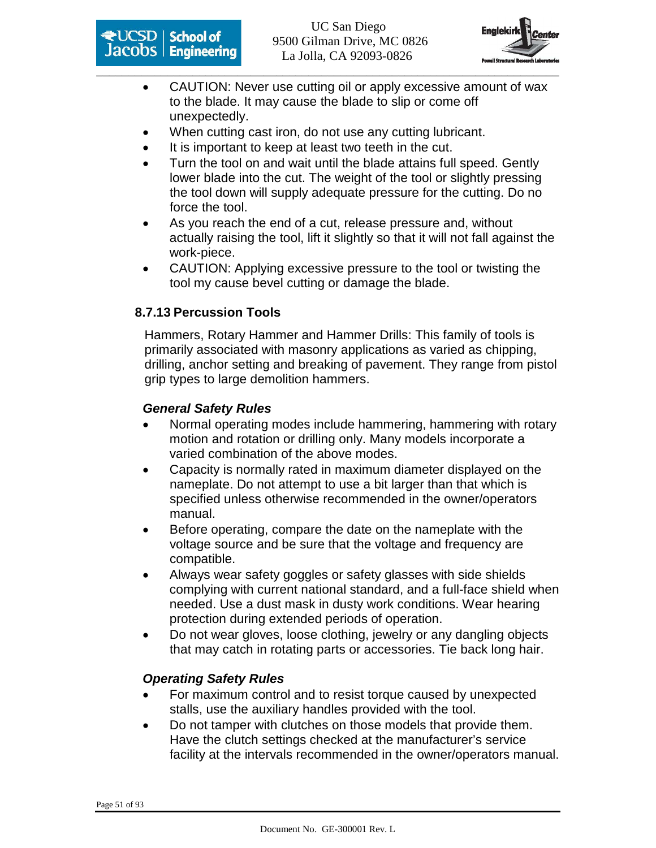



- CAUTION: Never use cutting oil or apply excessive amount of wax to the blade. It may cause the blade to slip or come off unexpectedly.
- When cutting cast iron, do not use any cutting lubricant.
- It is important to keep at least two teeth in the cut.
- Turn the tool on and wait until the blade attains full speed. Gently lower blade into the cut. The weight of the tool or slightly pressing the tool down will supply adequate pressure for the cutting. Do no force the tool.
- As you reach the end of a cut, release pressure and, without actually raising the tool, lift it slightly so that it will not fall against the work-piece.
- CAUTION: Applying excessive pressure to the tool or twisting the tool my cause bevel cutting or damage the blade.

#### **8.7.13 Percussion Tools**

Hammers, Rotary Hammer and Hammer Drills: This family of tools is primarily associated with masonry applications as varied as chipping, drilling, anchor setting and breaking of pavement. They range from pistol grip types to large demolition hammers.

#### **General Safety Rules**

- Normal operating modes include hammering, hammering with rotary motion and rotation or drilling only. Many models incorporate a varied combination of the above modes.
- Capacity is normally rated in maximum diameter displayed on the nameplate. Do not attempt to use a bit larger than that which is specified unless otherwise recommended in the owner/operators manual.
- Before operating, compare the date on the nameplate with the voltage source and be sure that the voltage and frequency are compatible.
- Always wear safety goggles or safety glasses with side shields complying with current national standard, and a full-face shield when needed. Use a dust mask in dusty work conditions. Wear hearing protection during extended periods of operation.
- Do not wear gloves, loose clothing, jewelry or any dangling objects that may catch in rotating parts or accessories. Tie back long hair.

- For maximum control and to resist torque caused by unexpected stalls, use the auxiliary handles provided with the tool.
- Do not tamper with clutches on those models that provide them. Have the clutch settings checked at the manufacturer's service facility at the intervals recommended in the owner/operators manual.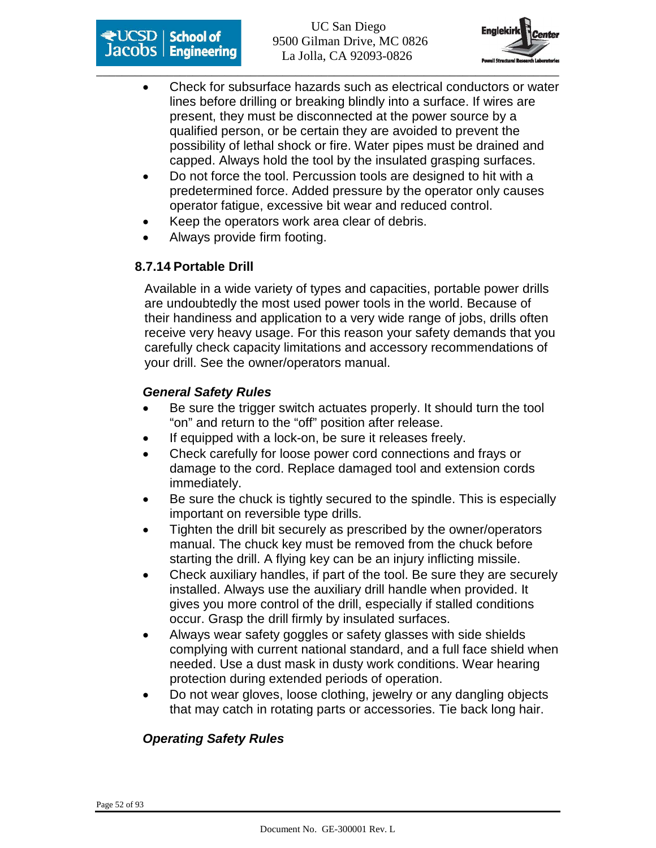



- Check for subsurface hazards such as electrical conductors or water lines before drilling or breaking blindly into a surface. If wires are present, they must be disconnected at the power source by a qualified person, or be certain they are avoided to prevent the possibility of lethal shock or fire. Water pipes must be drained and capped. Always hold the tool by the insulated grasping surfaces.
- Do not force the tool. Percussion tools are designed to hit with a predetermined force. Added pressure by the operator only causes operator fatigue, excessive bit wear and reduced control.
- Keep the operators work area clear of debris.
- Always provide firm footing.

#### **8.7.14 Portable Drill**

Available in a wide variety of types and capacities, portable power drills are undoubtedly the most used power tools in the world. Because of their handiness and application to a very wide range of jobs, drills often receive very heavy usage. For this reason your safety demands that you carefully check capacity limitations and accessory recommendations of your drill. See the owner/operators manual.

#### **General Safety Rules**

- Be sure the trigger switch actuates properly. It should turn the tool "on" and return to the "off" position after release.
- If equipped with a lock-on, be sure it releases freely.
- Check carefully for loose power cord connections and frays or damage to the cord. Replace damaged tool and extension cords immediately.
- Be sure the chuck is tightly secured to the spindle. This is especially important on reversible type drills.
- Tighten the drill bit securely as prescribed by the owner/operators manual. The chuck key must be removed from the chuck before starting the drill. A flying key can be an injury inflicting missile.
- Check auxiliary handles, if part of the tool. Be sure they are securely installed. Always use the auxiliary drill handle when provided. It gives you more control of the drill, especially if stalled conditions occur. Grasp the drill firmly by insulated surfaces.
- Always wear safety goggles or safety glasses with side shields complying with current national standard, and a full face shield when needed. Use a dust mask in dusty work conditions. Wear hearing protection during extended periods of operation.
- Do not wear gloves, loose clothing, jewelry or any dangling objects that may catch in rotating parts or accessories. Tie back long hair.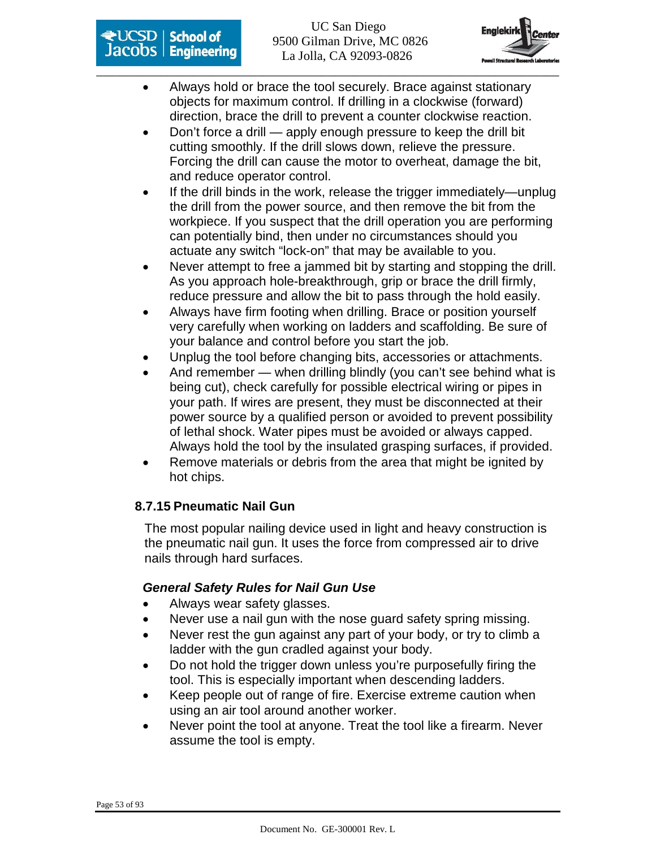



- Always hold or brace the tool securely. Brace against stationary objects for maximum control. If drilling in a clockwise (forward) direction, brace the drill to prevent a counter clockwise reaction.
- Don't force a drill apply enough pressure to keep the drill bit cutting smoothly. If the drill slows down, relieve the pressure. Forcing the drill can cause the motor to overheat, damage the bit, and reduce operator control.
- If the drill binds in the work, release the trigger immediately—unplug the drill from the power source, and then remove the bit from the workpiece. If you suspect that the drill operation you are performing can potentially bind, then under no circumstances should you actuate any switch "lock-on" that may be available to you.
- Never attempt to free a jammed bit by starting and stopping the drill. As you approach hole-breakthrough, grip or brace the drill firmly, reduce pressure and allow the bit to pass through the hold easily.
- Always have firm footing when drilling. Brace or position yourself very carefully when working on ladders and scaffolding. Be sure of your balance and control before you start the job.
- Unplug the tool before changing bits, accessories or attachments.
- And remember when drilling blindly (you can't see behind what is being cut), check carefully for possible electrical wiring or pipes in your path. If wires are present, they must be disconnected at their power source by a qualified person or avoided to prevent possibility of lethal shock. Water pipes must be avoided or always capped. Always hold the tool by the insulated grasping surfaces, if provided.
- Remove materials or debris from the area that might be ignited by hot chips.

#### **8.7.15 Pneumatic Nail Gun**

The most popular nailing device used in light and heavy construction is the pneumatic nail gun. It uses the force from compressed air to drive nails through hard surfaces.

#### **General Safety Rules for Nail Gun Use**

- Always wear safety glasses.
- Never use a nail gun with the nose guard safety spring missing.
- Never rest the gun against any part of your body, or try to climb a ladder with the gun cradled against your body.
- Do not hold the trigger down unless you're purposefully firing the tool. This is especially important when descending ladders.
- Keep people out of range of fire. Exercise extreme caution when using an air tool around another worker.
- Never point the tool at anyone. Treat the tool like a firearm. Never assume the tool is empty.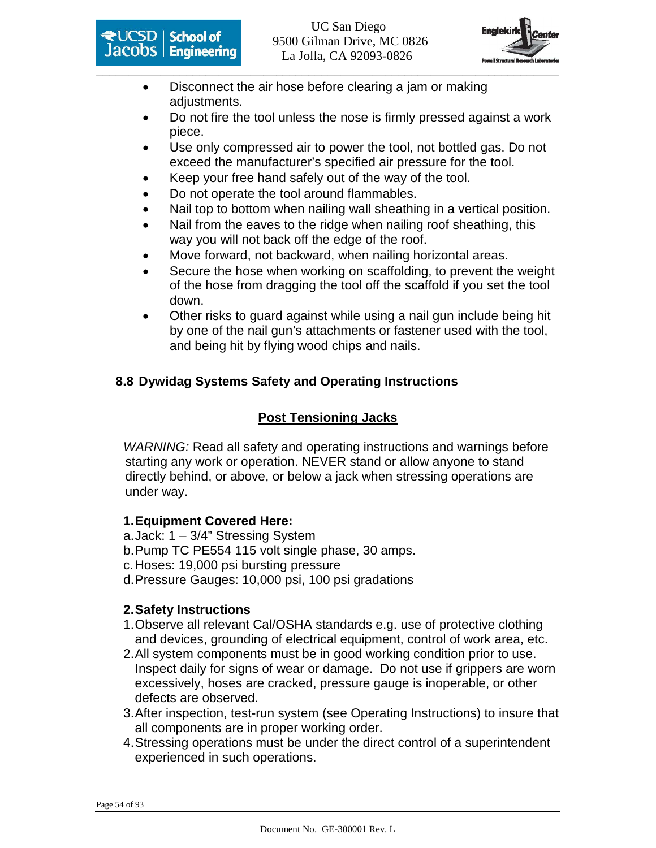



- Disconnect the air hose before clearing a jam or making adjustments.
- Do not fire the tool unless the nose is firmly pressed against a work piece.
- Use only compressed air to power the tool, not bottled gas. Do not exceed the manufacturer's specified air pressure for the tool.
- Keep your free hand safely out of the way of the tool.
- Do not operate the tool around flammables.
- Nail top to bottom when nailing wall sheathing in a vertical position.
- Nail from the eaves to the ridge when nailing roof sheathing, this way you will not back off the edge of the roof.
- Move forward, not backward, when nailing horizontal areas.
- Secure the hose when working on scaffolding, to prevent the weight of the hose from dragging the tool off the scaffold if you set the tool down.
- Other risks to guard against while using a nail gun include being hit by one of the nail gun's attachments or fastener used with the tool, and being hit by flying wood chips and nails.

### **8.8 Dywidag Systems Safety and Operating Instructions**

### **Post Tensioning Jacks**

WARNING: Read all safety and operating instructions and warnings before starting any work or operation. NEVER stand or allow anyone to stand directly behind, or above, or below a jack when stressing operations are under way.

#### **1. Equipment Covered Here:**

- a. Jack: 1 3/4" Stressing System
- b. Pump TC PE554 115 volt single phase, 30 amps.
- c. Hoses: 19,000 psi bursting pressure
- d. Pressure Gauges: 10,000 psi, 100 psi gradations

#### **2. Safety Instructions**

- 1. Observe all relevant Cal/OSHA standards e.g. use of protective clothing and devices, grounding of electrical equipment, control of work area, etc.
- 2. All system components must be in good working condition prior to use. Inspect daily for signs of wear or damage. Do not use if grippers are worn excessively, hoses are cracked, pressure gauge is inoperable, or other defects are observed.
- 3. After inspection, test-run system (see Operating Instructions) to insure that all components are in proper working order.
- 4. Stressing operations must be under the direct control of a superintendent experienced in such operations.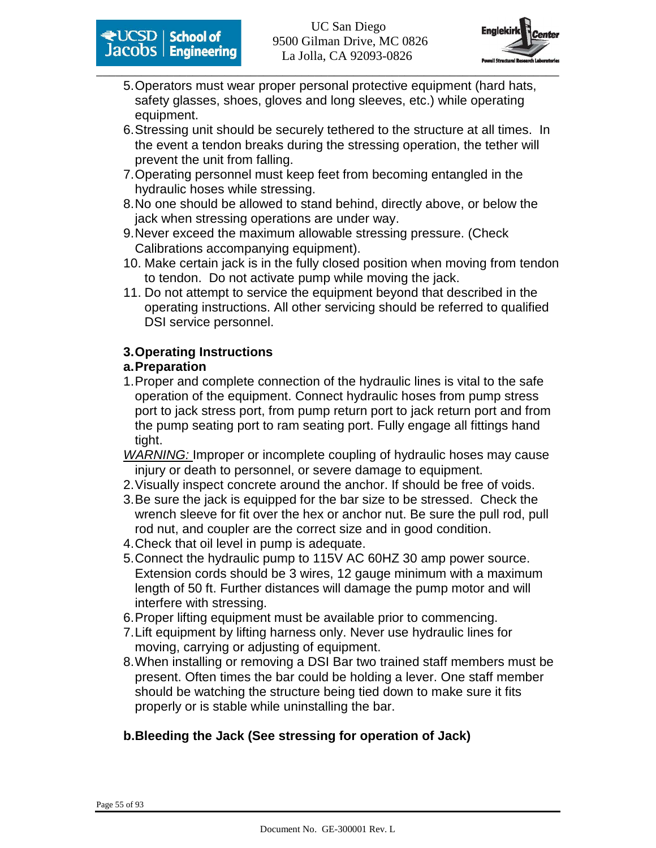

- 5. Operators must wear proper personal protective equipment (hard hats, safety glasses, shoes, gloves and long sleeves, etc.) while operating equipment.
- 6. Stressing unit should be securely tethered to the structure at all times. In the event a tendon breaks during the stressing operation, the tether will prevent the unit from falling.
- 7. Operating personnel must keep feet from becoming entangled in the hydraulic hoses while stressing.
- 8. No one should be allowed to stand behind, directly above, or below the jack when stressing operations are under way.
- 9. Never exceed the maximum allowable stressing pressure. (Check Calibrations accompanying equipment).
- 10. Make certain jack is in the fully closed position when moving from tendon to tendon. Do not activate pump while moving the jack.
- 11. Do not attempt to service the equipment beyond that described in the operating instructions. All other servicing should be referred to qualified DSI service personnel.

#### **3. Operating Instructions**

#### **a. Preparation**

- 1. Proper and complete connection of the hydraulic lines is vital to the safe operation of the equipment. Connect hydraulic hoses from pump stress port to jack stress port, from pump return port to jack return port and from the pump seating port to ram seating port. Fully engage all fittings hand tight.
- WARNING: Improper or incomplete coupling of hydraulic hoses may cause injury or death to personnel, or severe damage to equipment.
- 2. Visually inspect concrete around the anchor. If should be free of voids.
- 3. Be sure the jack is equipped for the bar size to be stressed. Check the wrench sleeve for fit over the hex or anchor nut. Be sure the pull rod, pull rod nut, and coupler are the correct size and in good condition.
- 4. Check that oil level in pump is adequate.
- 5. Connect the hydraulic pump to 115V AC 60HZ 30 amp power source. Extension cords should be 3 wires, 12 gauge minimum with a maximum length of 50 ft. Further distances will damage the pump motor and will interfere with stressing.
- 6. Proper lifting equipment must be available prior to commencing.
- 7. Lift equipment by lifting harness only. Never use hydraulic lines for moving, carrying or adjusting of equipment.
- 8. When installing or removing a DSI Bar two trained staff members must be present. Often times the bar could be holding a lever. One staff member should be watching the structure being tied down to make sure it fits properly or is stable while uninstalling the bar.

### **b. Bleeding the Jack (See stressing for operation of Jack)**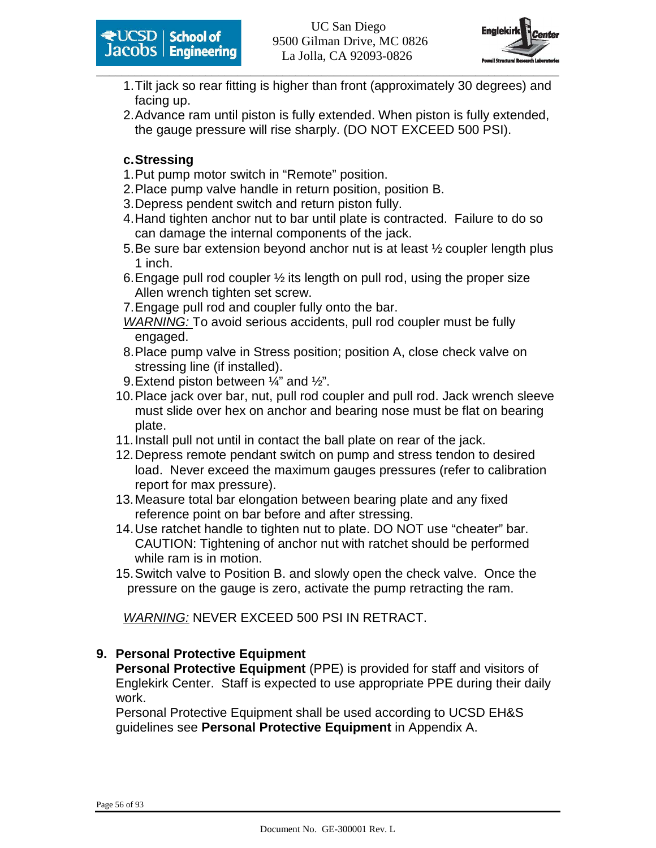



- 1. Tilt jack so rear fitting is higher than front (approximately 30 degrees) and facing up.
- 2. Advance ram until piston is fully extended. When piston is fully extended, the gauge pressure will rise sharply. (DO NOT EXCEED 500 PSI).

#### **c. Stressing**

- 1. Put pump motor switch in "Remote" position.
- 2. Place pump valve handle in return position, position B.
- 3. Depress pendent switch and return piston fully.
- 4. Hand tighten anchor nut to bar until plate is contracted. Failure to do so can damage the internal components of the jack.
- 5. Be sure bar extension beyond anchor nut is at least ½ coupler length plus 1 inch.
- 6. Engage pull rod coupler  $\frac{1}{2}$  its length on pull rod, using the proper size Allen wrench tighten set screw.
- 7. Engage pull rod and coupler fully onto the bar.
- WARNING: To avoid serious accidents, pull rod coupler must be fully engaged.
- 8. Place pump valve in Stress position; position A, close check valve on stressing line (if installed).
- 9. Extend piston between  $\frac{1}{4}$  and  $\frac{1}{2}$ ".
- 10. Place jack over bar, nut, pull rod coupler and pull rod. Jack wrench sleeve must slide over hex on anchor and bearing nose must be flat on bearing plate.
- 11. Install pull not until in contact the ball plate on rear of the jack.
- 12. Depress remote pendant switch on pump and stress tendon to desired load. Never exceed the maximum gauges pressures (refer to calibration report for max pressure).
- 13. Measure total bar elongation between bearing plate and any fixed reference point on bar before and after stressing.
- 14. Use ratchet handle to tighten nut to plate. DO NOT use "cheater" bar. CAUTION: Tightening of anchor nut with ratchet should be performed while ram is in motion.
- 15. Switch valve to Position B. and slowly open the check valve. Once the pressure on the gauge is zero, activate the pump retracting the ram.

WARNING: NEVER EXCEED 500 PSI IN RETRACT.

#### **9. Personal Protective Equipment**

**Personal Protective Equipment** (PPE) is provided for staff and visitors of Englekirk Center. Staff is expected to use appropriate PPE during their daily work.

Personal Protective Equipment shall be used according to UCSD EH&S guidelines see **Personal Protective Equipment** in Appendix A.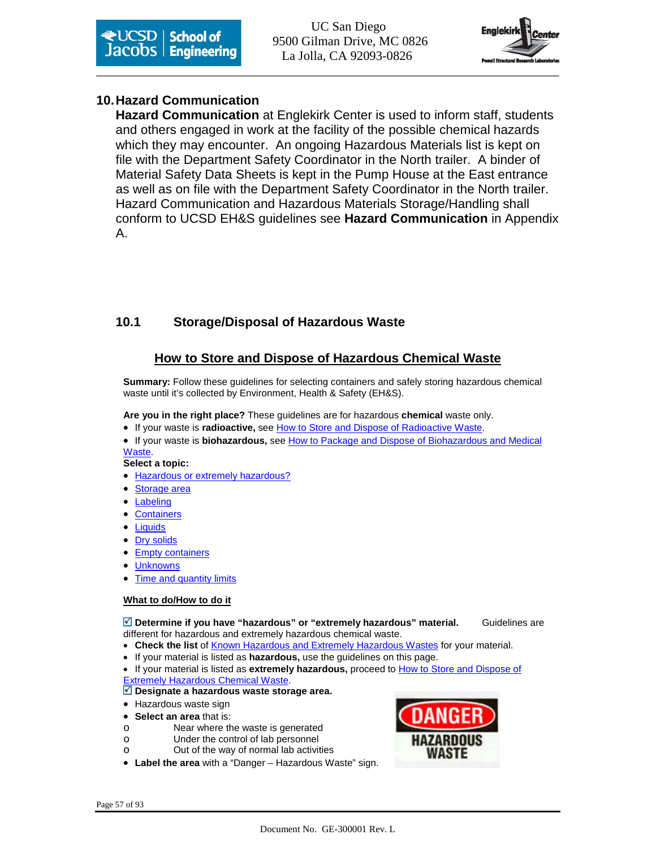**School of** UC San Diego **Except School of Engineering** 9500 Gilman Drive, MC 0826 La Jolla, CA 92093-0826



#### **10. Hazard Communication**

**Hazard Communication** at Englekirk Center is used to inform staff, students and others engaged in work at the facility of the possible chemical hazards which they may encounter. An ongoing Hazardous Materials list is kept on file with the Department Safety Coordinator in the North trailer. A binder of Material Safety Data Sheets is kept in the Pump House at the East entrance as well as on file with the Department Safety Coordinator in the North trailer. Hazard Communication and Hazardous Materials Storage/Handling shall conform to UCSD EH&S guidelines see **Hazard Communication** in Appendix A.

#### **10.1 Storage/Disposal of Hazardous Waste**

#### **How to Store and Dispose of Hazardous Chemical Waste**

**Summary:** Follow these guidelines for selecting containers and safely storing hazardous chemical waste until it's collected by Environment, Health & Safety (EH&S).

**Are you in the right place?** These guidelines are for hazardous **chemical** waste only.

• If your waste is **radioactive,** see How to Store and Dispose of Radioactive Waste.

• If your waste is **biohazardous,** see How to Package and Dispose of Biohazardous and Medical Waste.

**Select a topic:**

- Hazardous or extremely hazardous?
- Storage area
- **Labeling**
- **Containers**
- Liquids
- Dry solids
- Empty containers
- Unknowns
- Time and quantity limits

#### **What to do/How to do it**

**Determine if you have "hazardous" or "extremely hazardous" material.** Guidelines are different for hazardous and extremely hazardous chemical waste.

- **Check the list** of Known Hazardous and Extremely Hazardous Wastes for your material.
- If your material is listed as **hazardous,** use the guidelines on this page.
- If your material is listed as **extremely hazardous,** proceed to How to Store and Dispose of Extremely Hazardous Chemical Waste.

#### **Designate a hazardous waste storage area.**

- Hazardous waste sign
- **Select an area** that is:
- o Near where the waste is generated
- o Under the control of lab personnel
- o Out of the way of normal lab activities
- **Label the area** with a "Danger Hazardous Waste" sign.

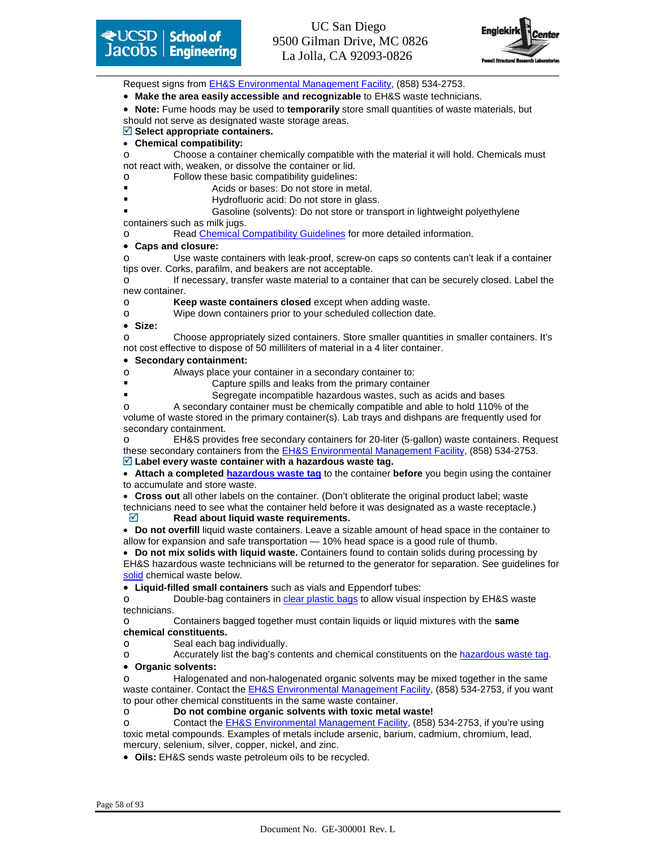



Request signs from EH&S Environmental Management Facility, (858) 534-2753.

- **Make the area easily accessible and recognizable** to EH&S waste technicians.
- **Note:** Fume hoods may be used to **temporarily** store small quantities of waste materials, but

should not serve as designated waste storage areas.

#### **Select appropriate containers.**

• **Chemical compatibility:** o Choose a container chemically compatible with the material it will hold. Chemicals must

not react with, weaken, or dissolve the container or lid.

- o Follow these basic compatibility guidelines:
- Acids or bases: Do not store in metal.
- Hydrofluoric acid: Do not store in glass.

 Gasoline (solvents): Do not store or transport in lightweight polyethylene containers such as milk jugs.

o Read Chemical Compatibility Guidelines for more detailed information.

#### • **Caps and closure:**

o Use waste containers with leak-proof, screw-on caps so contents can't leak if a container tips over. Corks, parafilm, and beakers are not acceptable.

o If necessary, transfer waste material to a container that can be securely closed. Label the new container.

o **Keep waste containers closed** except when adding waste.

o Wipe down containers prior to your scheduled collection date.

• **Size:**

o Choose appropriately sized containers. Store smaller quantities in smaller containers. It's not cost effective to dispose of 50 milliliters of material in a 4 liter container.

#### • **Secondary containment:**

o Always place your container in a secondary container to:

- Capture spills and leaks from the primary container
- Segregate incompatible hazardous wastes, such as acids and bases

A secondary container must be chemically compatible and able to hold 110% of the volume of waste stored in the primary container(s). Lab trays and dishpans are frequently used for secondary containment.

EH&S provides free secondary containers for 20-liter (5-gallon) waste containers. Request these secondary containers from the **EH&S Environmental Management Facility**, (858) 534-2753. **Label every waste container with a hazardous waste tag.**

• **Attach a completed hazardous waste tag** to the container **before** you begin using the container to accumulate and store waste.

• **Cross out** all other labels on the container. (Don't obliterate the original product label; waste technicians need to see what the container held before it was designated as a waste receptacle.)

**Read about liquid waste requirements.** 

• **Do not overfill** liquid waste containers. Leave a sizable amount of head space in the container to allow for expansion and safe transportation — 10% head space is a good rule of thumb.

• **Do not mix solids with liquid waste.** Containers found to contain solids during processing by EH&S hazardous waste technicians will be returned to the generator for separation. See guidelines for solid chemical waste below.

• **Liquid-filled small containers** such as vials and Eppendorf tubes:

o Double-bag containers in clear plastic bags to allow visual inspection by EH&S waste technicians.

o Containers bagged together must contain liquids or liquid mixtures with the **same chemical constituents.**

o Seal each bag individually.

o Accurately list the bag's contents and chemical constituents on the hazardous waste tag.

#### • **Organic solvents:**

Halogenated and non-halogenated organic solvents may be mixed together in the same waste container. Contact the EH&S Environmental Management Facility, (858) 534-2753, if you want to pour other chemical constituents in the same waste container.

Do not combine organic solvents with toxic metal waste!

Contact the **EH&S Environmental Management Facility**, (858) 534-2753, if you're using toxic metal compounds. Examples of metals include arsenic, barium, cadmium, chromium, lead, mercury, selenium, silver, copper, nickel, and zinc.

• **Oils:** EH&S sends waste petroleum oils to be recycled.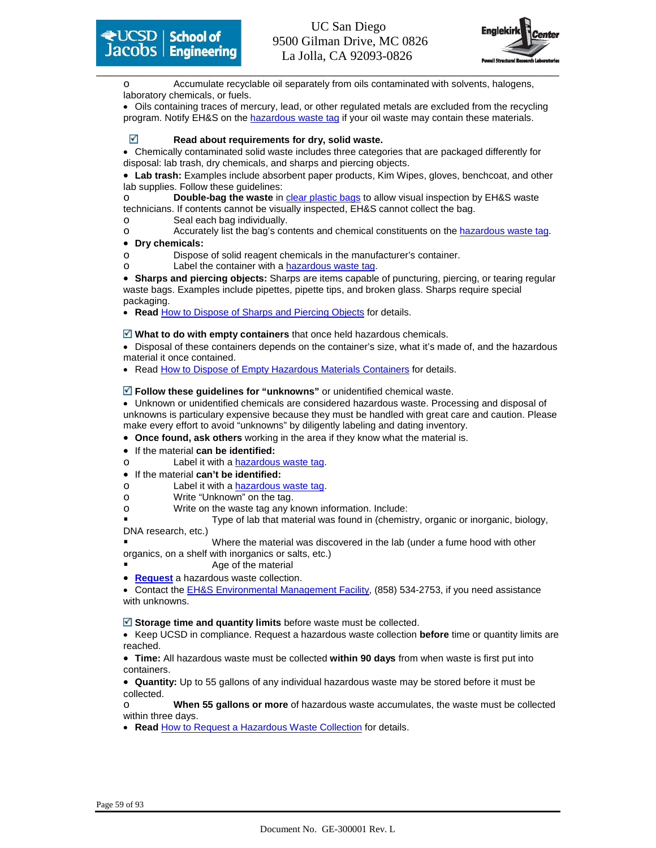

Accumulate recyclable oil separately from oils contaminated with solvents, halogens, laboratory chemicals, or fuels.

• Oils containing traces of mercury, lead, or other regulated metals are excluded from the recycling program. Notify EH&S on the hazardous waste tag if your oil waste may contain these materials.

#### **Read about requirements for dry, solid waste.**

• Chemically contaminated solid waste includes three categories that are packaged differently for disposal: lab trash, dry chemicals, and sharps and piercing objects.

• **Lab trash:** Examples include absorbent paper products, Kim Wipes, gloves, benchcoat, and other lab supplies. Follow these guidelines:

o **Double-bag the waste** in clear plastic bags to allow visual inspection by EH&S waste technicians. If contents cannot be visually inspected, EH&S cannot collect the bag.

o Seal each bag individually.

o Accurately list the bag's contents and chemical constituents on the hazardous waste tag.

#### • **Dry chemicals:**

- o Dispose of solid reagent chemicals in the manufacturer's container.
- o Label the container with a hazardous waste tag.

• **Sharps and piercing objects:** Sharps are items capable of puncturing, piercing, or tearing regular waste bags. Examples include pipettes, pipette tips, and broken glass. Sharps require special packaging.

• **Read** How to Dispose of Sharps and Piercing Objects for details.

**What to do with empty containers** that once held hazardous chemicals.

• Disposal of these containers depends on the container's size, what it's made of, and the hazardous material it once contained.

• Read How to Dispose of Empty Hazardous Materials Containers for details.

#### **Follow these guidelines for "unknowns"** or unidentified chemical waste.

• Unknown or unidentified chemicals are considered hazardous waste. Processing and disposal of unknowns is particulary expensive because they must be handled with great care and caution. Please make every effort to avoid "unknowns" by diligently labeling and dating inventory.

• **Once found, ask others** working in the area if they know what the material is.

- If the material **can be identified:**
- o Label it with a hazardous waste tag.
- If the material **can't be identified:**

o Label it with a hazardous waste tag.

- o Write "Unknown" on the tag.
- o Write on the waste tag any known information. Include:

 Type of lab that material was found in (chemistry, organic or inorganic, biology, DNA research, etc.)

 Where the material was discovered in the lab (under a fume hood with other organics, on a shelf with inorganics or salts, etc.)

- Age of the material
- **Request** a hazardous waste collection.

• Contact the EH&S Environmental Management Facility, (858) 534-2753, if you need assistance with unknowns.

■ Storage time and quantity limits before waste must be collected.

• Keep UCSD in compliance. Request a hazardous waste collection **before** time or quantity limits are reached.

• **Time:** All hazardous waste must be collected **within 90 days** from when waste is first put into containers.

• **Quantity:** Up to 55 gallons of any individual hazardous waste may be stored before it must be collected.

o **When 55 gallons or more** of hazardous waste accumulates, the waste must be collected within three days.

• **Read** How to Request a Hazardous Waste Collection for details.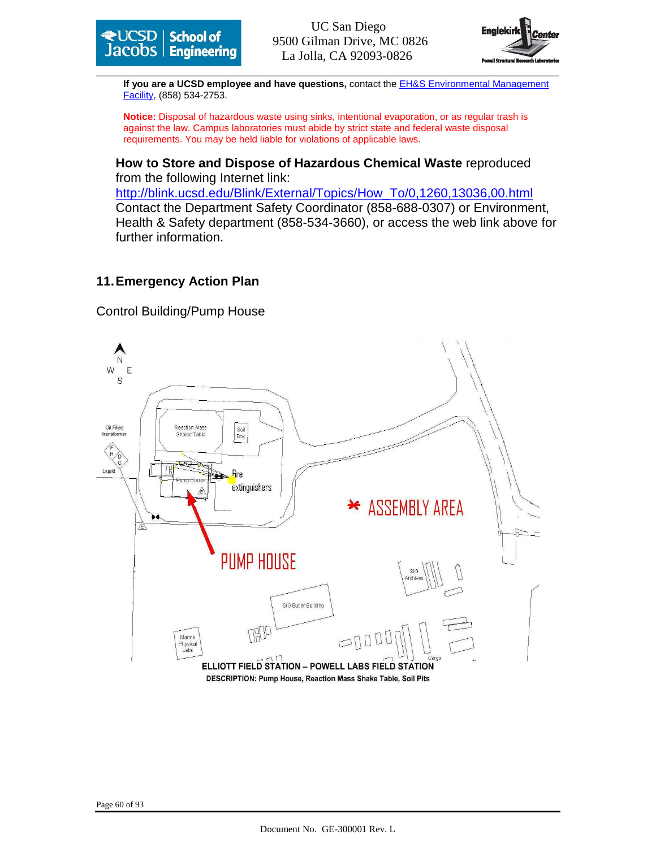



\_\_\_\_\_\_\_\_\_\_\_\_\_\_\_\_\_\_\_\_\_\_\_\_\_\_\_\_\_\_\_\_\_\_\_\_\_\_\_\_\_\_\_\_\_\_\_\_\_\_\_\_\_\_\_\_\_\_\_\_\_\_\_\_\_\_\_\_\_\_\_\_ **If you are a UCSD employee and have questions,** contact the EH&S Environmental Management Facility, (858) 534-2753.

**Notice:** Disposal of hazardous waste using sinks, intentional evaporation, or as regular trash is against the law. Campus laboratories must abide by strict state and federal waste disposal requirements. You may be held liable for violations of applicable laws.

**How to Store and Dispose of Hazardous Chemical Waste** reproduced from the following Internet link:

http://blink.ucsd.edu/Blink/External/Topics/How\_To/0,1260,13036,00.html Contact the Department Safety Coordinator (858-688-0307) or Environment, Health & Safety department (858-534-3660), or access the web link above for further information.

#### **11. Emergency Action Plan**

Control Building/Pump House

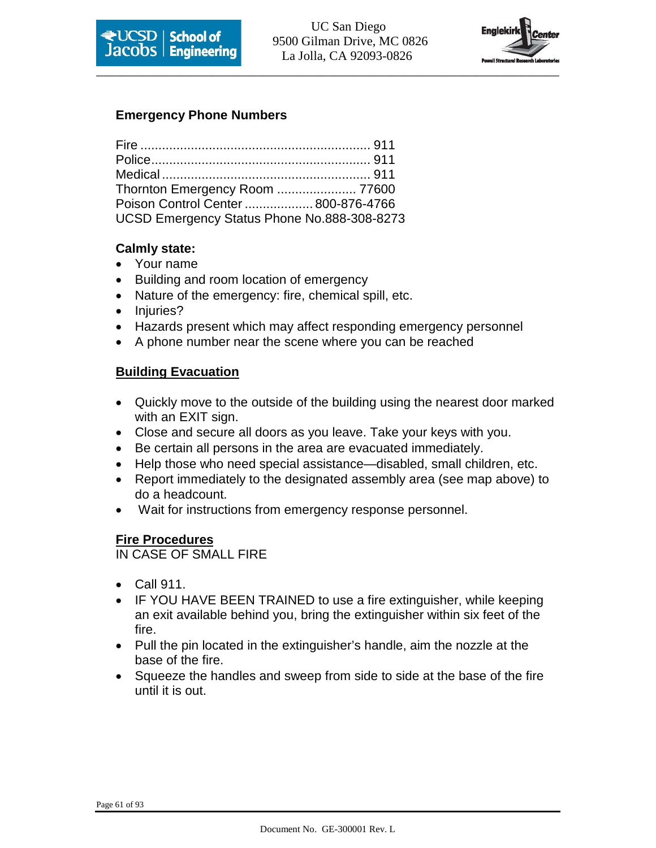



#### **Emergency Phone Numbers**

| Poison Control Center  800-876-4766         |  |
|---------------------------------------------|--|
| UCSD Emergency Status Phone No.888-308-8273 |  |

#### **Calmly state:**

- Your name
- Building and room location of emergency
- Nature of the emergency: fire, chemical spill, etc.
- Injuries?
- Hazards present which may affect responding emergency personnel
- A phone number near the scene where you can be reached

#### **Building Evacuation**

- Quickly move to the outside of the building using the nearest door marked with an EXIT sign.
- Close and secure all doors as you leave. Take your keys with you.
- Be certain all persons in the area are evacuated immediately.
- Help those who need special assistance—disabled, small children, etc.
- Report immediately to the designated assembly area (see map above) to do a headcount.
- Wait for instructions from emergency response personnel.

#### **Fire Procedures**

IN CASE OF SMALL FIRE

- Call 911.
- IF YOU HAVE BEEN TRAINED to use a fire extinguisher, while keeping an exit available behind you, bring the extinguisher within six feet of the fire.
- Pull the pin located in the extinguisher's handle, aim the nozzle at the base of the fire.
- Squeeze the handles and sweep from side to side at the base of the fire until it is out.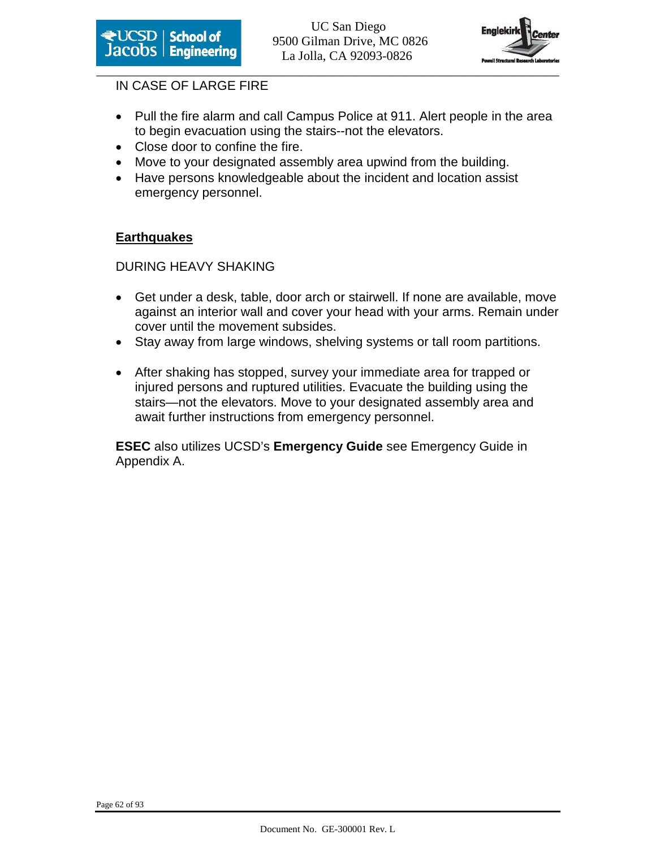



#### IN CASE OF LARGE FIRE

- Pull the fire alarm and call Campus Police at 911. Alert people in the area to begin evacuation using the stairs--not the elevators.
- Close door to confine the fire.
- Move to your designated assembly area upwind from the building.
- Have persons knowledgeable about the incident and location assist emergency personnel.

#### **Earthquakes**

#### DURING HEAVY SHAKING

- Get under a desk, table, door arch or stairwell. If none are available, move against an interior wall and cover your head with your arms. Remain under cover until the movement subsides.
- Stay away from large windows, shelving systems or tall room partitions.
- After shaking has stopped, survey your immediate area for trapped or injured persons and ruptured utilities. Evacuate the building using the stairs—not the elevators. Move to your designated assembly area and await further instructions from emergency personnel.

**ESEC** also utilizes UCSD's **Emergency Guide** see Emergency Guide in Appendix A.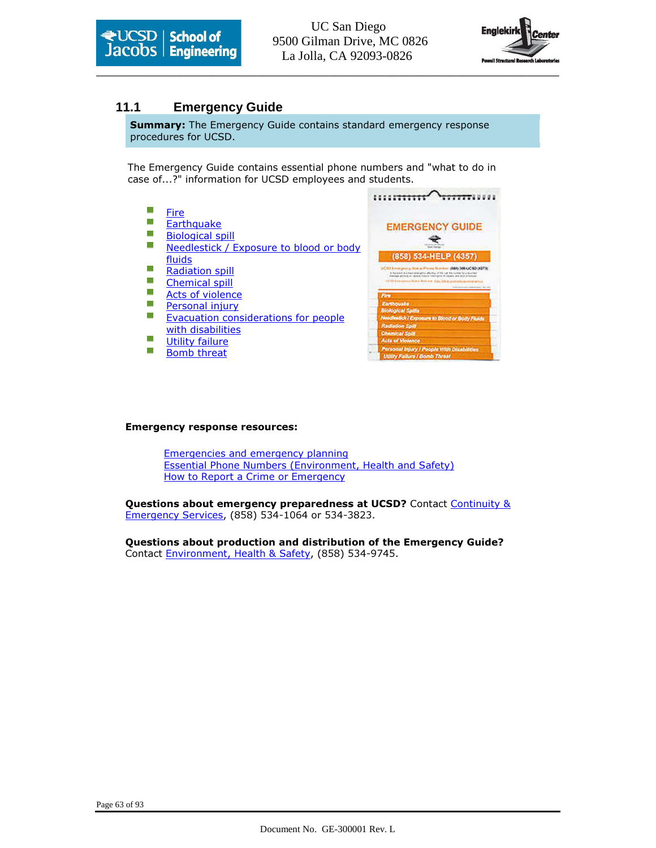



 $\sim$ 

#### **11.1 Emergency Guide**

**Summary:** The Emergency Guide contains standard emergency response procedures for UCSD.

The Emergency Guide contains essential phone numbers and "what to do in case of...?" information for UCSD employees and students.

| Fire                                    |                                                                                                                                                                                                  |
|-----------------------------------------|--------------------------------------------------------------------------------------------------------------------------------------------------------------------------------------------------|
| Earthquake                              | <b>EMERGENCY GUIDE</b>                                                                                                                                                                           |
| <b>Biological spill</b>                 |                                                                                                                                                                                                  |
| Needlestick / Exposure to blood or body |                                                                                                                                                                                                  |
| fluids                                  | (858) 534-HELP (4357)                                                                                                                                                                            |
| <b>Radiation spill</b>                  | UC10 3 margood at \$6.00 at \$7.000 \$1.00 pm \$1.000 \$2.000 \$2.000 \$2.000 \$2.000 \$2.000 \$2.000 \$2.000 \$<br>In the source driving an analysis is affecting in this case from Summar last |
| <b>Chemical spill</b>                   | on advokeds on registrate showing between the formation with dealership<br>130 00 Enterprise Hutuf William Edg. To his initiative                                                                |
| Acts of violence                        | Fire                                                                                                                                                                                             |
| Personal injury                         | Earthquate                                                                                                                                                                                       |
| Evacuation considerations for people    | <b>Biological Spills</b><br>Needlestick / Exposure to Blood or Body Fluids                                                                                                                       |
|                                         | <b>Rediation Spill</b>                                                                                                                                                                           |
| with disabilities                       | <b>Chemical Solar</b>                                                                                                                                                                            |
| <b>Utility failure</b>                  | <b>Acts of Violence</b>                                                                                                                                                                          |
| <b>Bomb threat</b>                      | Personal Injury / People With Disabilities                                                                                                                                                       |
|                                         | Utility Failure I Bomb Threat                                                                                                                                                                    |

#### Emergency response resources:

Emergencies and emergency planning Essential Phone Numbers (Environment, Health and Safety) How to Report a Crime or Emergency

Questions about emergency preparedness at UCSD? Contact Continuity & Emergency Services, (858) 534-1064 or 534-3823.

Questions about production and distribution of the Emergency Guide? Contact Environment, Health & Safety, (858) 534-9745.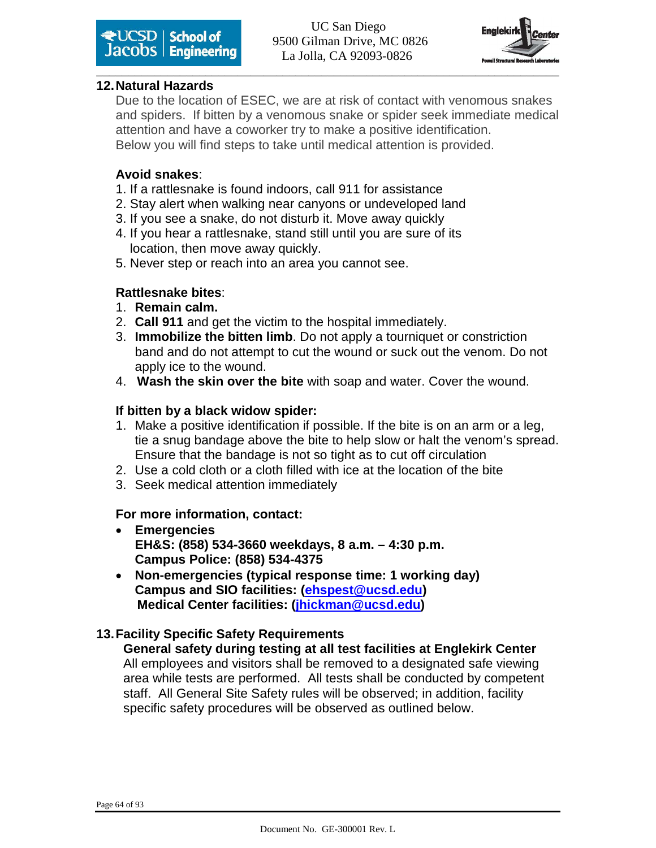



#### **12. Natural Hazards**

Due to the location of ESEC, we are at risk of contact with venomous snakes and spiders. If bitten by a venomous snake or spider seek immediate medical attention and have a coworker try to make a positive identification. Below you will find steps to take until medical attention is provided.

#### **Avoid snakes**:

- 1. If a rattlesnake is found indoors, call 911 for assistance
- 2. Stay alert when walking near canyons or undeveloped land
- 3. If you see a snake, do not disturb it. Move away quickly
- 4. If you hear a rattlesnake, stand still until you are sure of its location, then move away quickly.
- 5. Never step or reach into an area you cannot see.

#### **Rattlesnake bites**:

- 1. **Remain calm.**
- 2. **Call 911** and get the victim to the hospital immediately.
- 3. **Immobilize the bitten limb**. Do not apply a tourniquet or constriction band and do not attempt to cut the wound or suck out the venom. Do not apply ice to the wound.
- 4. **Wash the skin over the bite** with soap and water. Cover the wound.

#### **If bitten by a black widow spider:**

- 1. Make a positive identification if possible. If the bite is on an arm or a leg, tie a snug bandage above the bite to help slow or halt the venom's spread. Ensure that the bandage is not so tight as to cut off circulation
- 2. Use a cold cloth or a cloth filled with ice at the location of the bite
- 3. Seek medical attention immediately

#### **For more information, contact:**

- **Emergencies EH&S: (858) 534-3660 weekdays, 8 a.m. – 4:30 p.m. Campus Police: (858) 534-4375**
- **Non-emergencies (typical response time: 1 working day) Campus and SIO facilities: (ehspest@ucsd.edu) Medical Center facilities: (jhickman@ucsd.edu)**

#### **13. Facility Specific Safety Requirements**

**General safety during testing at all test facilities at Englekirk Center**  All employees and visitors shall be removed to a designated safe viewing area while tests are performed. All tests shall be conducted by competent staff. All General Site Safety rules will be observed; in addition, facility specific safety procedures will be observed as outlined below.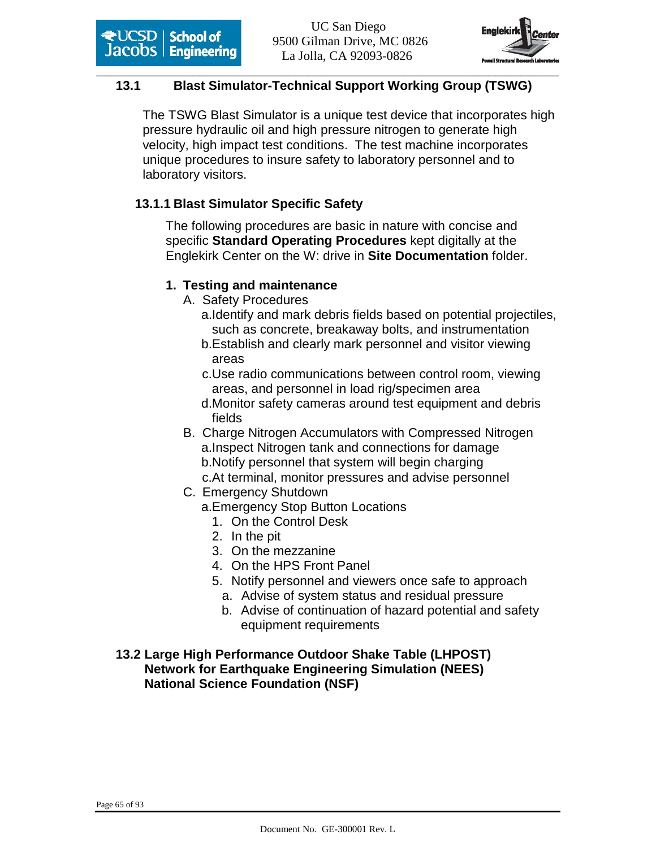

#### \_\_\_\_\_\_\_\_\_\_\_\_\_\_\_\_\_\_\_\_\_\_\_\_\_\_\_\_\_\_\_\_\_\_\_\_\_\_\_\_\_\_\_\_\_\_\_\_\_\_\_\_\_\_\_\_\_\_\_\_\_\_\_\_\_\_\_\_\_\_\_\_ **13.1 Blast Simulator-Technical Support Working Group (TSWG)**

The TSWG Blast Simulator is a unique test device that incorporates high pressure hydraulic oil and high pressure nitrogen to generate high velocity, high impact test conditions. The test machine incorporates unique procedures to insure safety to laboratory personnel and to laboratory visitors.

### **13.1.1 Blast Simulator Specific Safety**

The following procedures are basic in nature with concise and specific **Standard Operating Procedures** kept digitally at the Englekirk Center on the W: drive in **Site Documentation** folder.

#### **1. Testing and maintenance**

- A. Safety Procedures
	- a.Identify and mark debris fields based on potential projectiles, such as concrete, breakaway bolts, and instrumentation
	- b.Establish and clearly mark personnel and visitor viewing areas
	- c.Use radio communications between control room, viewing areas, and personnel in load rig/specimen area
	- d.Monitor safety cameras around test equipment and debris fields
- B. Charge Nitrogen Accumulators with Compressed Nitrogen a.Inspect Nitrogen tank and connections for damage b.Notify personnel that system will begin charging
	- c.At terminal, monitor pressures and advise personnel
- C. Emergency Shutdown
	- a.Emergency Stop Button Locations
		- 1. On the Control Desk
		- 2. In the pit
		- 3. On the mezzanine
		- 4. On the HPS Front Panel
		- 5. Notify personnel and viewers once safe to approach
			- a. Advise of system status and residual pressure
			- b. Advise of continuation of hazard potential and safety equipment requirements
- **13.2 Large High Performance Outdoor Shake Table (LHPOST) Network for Earthquake Engineering Simulation (NEES) National Science Foundation (NSF)**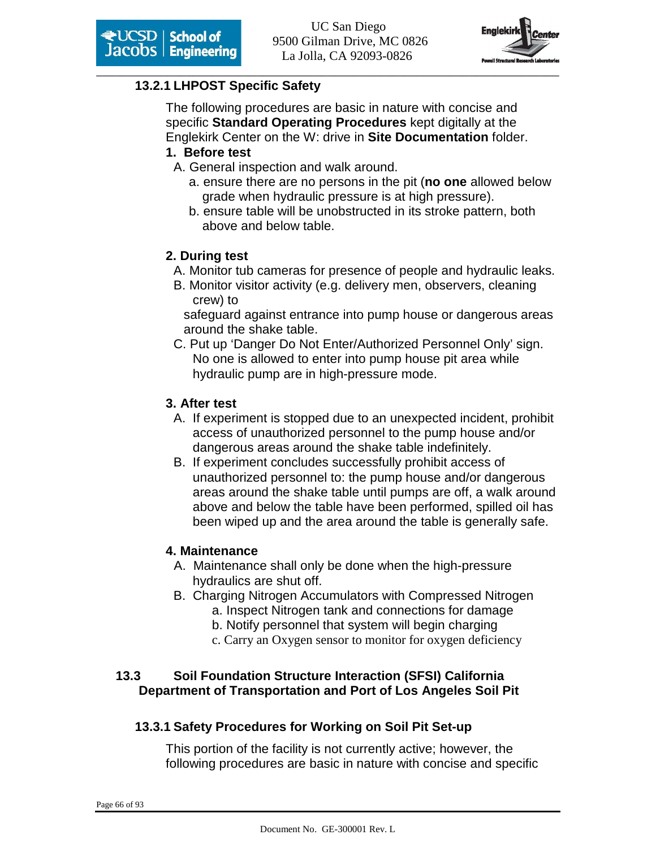

#### **13.2.1 LHPOST Specific Safety**

The following procedures are basic in nature with concise and specific **Standard Operating Procedures** kept digitally at the Englekirk Center on the W: drive in **Site Documentation** folder.

#### **1. Before test**

- A. General inspection and walk around.
	- a. ensure there are no persons in the pit (**no one** allowed below grade when hydraulic pressure is at high pressure).
	- b. ensure table will be unobstructed in its stroke pattern, both above and below table.

#### **2. During test**

- A. Monitor tub cameras for presence of people and hydraulic leaks.
- B. Monitor visitor activity (e.g. delivery men, observers, cleaning crew) to

 safeguard against entrance into pump house or dangerous areas around the shake table.

C. Put up 'Danger Do Not Enter/Authorized Personnel Only' sign. No one is allowed to enter into pump house pit area while hydraulic pump are in high-pressure mode.

#### **3. After test**

- A. If experiment is stopped due to an unexpected incident, prohibit access of unauthorized personnel to the pump house and/or dangerous areas around the shake table indefinitely.
- B. If experiment concludes successfully prohibit access of unauthorized personnel to: the pump house and/or dangerous areas around the shake table until pumps are off, a walk around above and below the table have been performed, spilled oil has been wiped up and the area around the table is generally safe.

#### **4. Maintenance**

- A. Maintenance shall only be done when the high-pressure hydraulics are shut off.
- B. Charging Nitrogen Accumulators with Compressed Nitrogen a. Inspect Nitrogen tank and connections for damage
	- b. Notify personnel that system will begin charging
	- c. Carry an Oxygen sensor to monitor for oxygen deficiency

#### **13.3 Soil Foundation Structure Interaction (SFSI) California Department of Transportation and Port of Los Angeles Soil Pit**

#### **13.3.1 Safety Procedures for Working on Soil Pit Set-up**

This portion of the facility is not currently active; however, the following procedures are basic in nature with concise and specific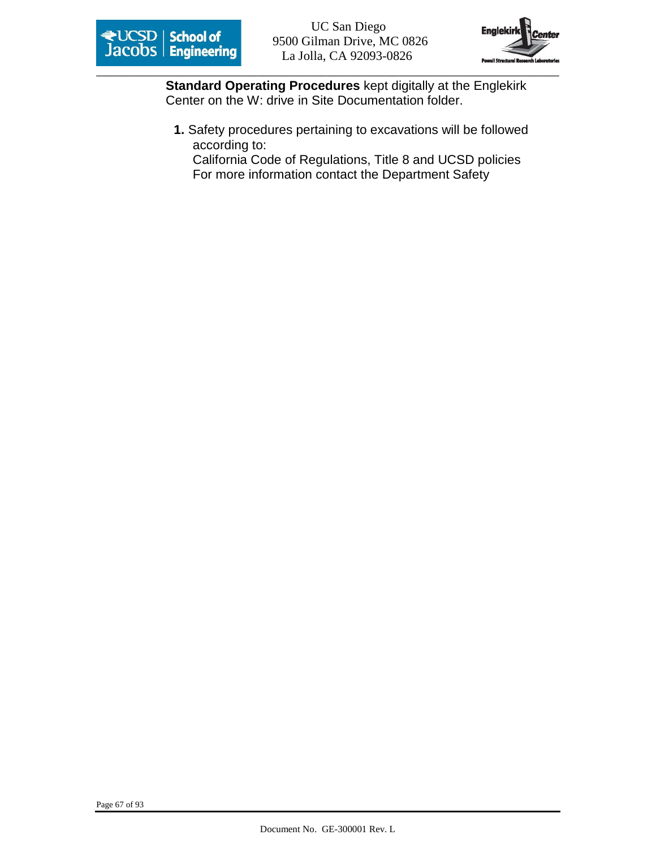



**Standard Operating Procedures** kept digitally at the Englekirk Center on the W: drive in Site Documentation folder.

**1.** Safety procedures pertaining to excavations will be followed according to:

California Code of Regulations, Title 8 and UCSD policies For more information contact the Department Safety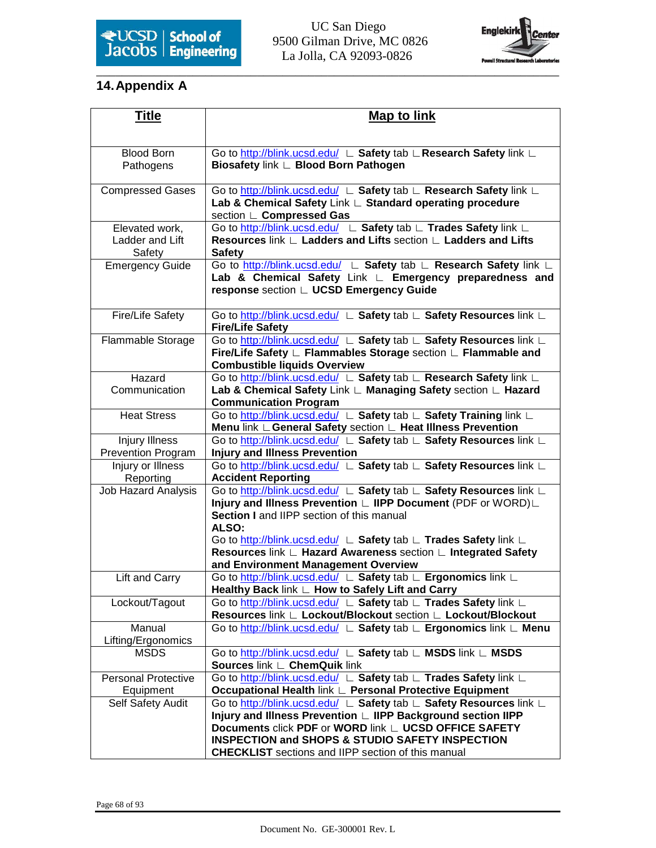# 9500 Gilman Drive, MC 0826 La Jolla, CA 92093-0826



# **14. Appendix A**

| Title                                       | <b>Map to link</b>                                                                                                                                                          |
|---------------------------------------------|-----------------------------------------------------------------------------------------------------------------------------------------------------------------------------|
|                                             |                                                                                                                                                                             |
| <b>Blood Born</b>                           | Go to http://blink.ucsd.edu/ L Safety tab L Research Safety link L                                                                                                          |
| Pathogens                                   | Biosafety link L Blood Born Pathogen                                                                                                                                        |
| <b>Compressed Gases</b>                     | Go to http://blink.ucsd.edu/ L Safety tab L Research Safety link L<br>Lab & Chemical Safety Link L Standard operating procedure<br>section L Compressed Gas                 |
| Elevated work,<br>Ladder and Lift<br>Safety | Go to http://blink.ucsd.edu/ L Safety tab L Trades Safety link L<br>Resources link ∟ Ladders and Lifts section ∟ Ladders and Lifts<br><b>Safety</b>                         |
| <b>Emergency Guide</b>                      | Go to http://blink.ucsd.edu/ L Safety tab L Research Safety link L<br>Lab & Chemical Safety Link L Emergency preparedness and<br>response section ∟ UCSD Emergency Guide    |
| Fire/Life Safety                            | Go to http://blink.ucsd.edu/ L Safety tab L Safety Resources link L<br><b>Fire/Life Safety</b>                                                                              |
| Flammable Storage                           | Go to http://blink.ucsd.edu/ L Safety tab L Safety Resources link L<br>Fire/Life Safety ∟ Flammables Storage section ∟ Flammable and<br><b>Combustible liquids Overview</b> |
| Hazard                                      | Go to http://blink.ucsd.edu/ L Safety tab L Research Safety link L                                                                                                          |
| Communication                               | Lab & Chemical Safety Link L Managing Safety section L Hazard<br><b>Communication Program</b>                                                                               |
| <b>Heat Stress</b>                          | Go to http://blink.ucsd.edu/ L Safety tab L Safety Training link L<br>Menu link L General Safety section L Heat Illness Prevention                                          |
| <b>Injury Illness</b>                       | Go to http://blink.ucsd.edu/ L Safety tab L Safety Resources link L                                                                                                         |
| <b>Prevention Program</b>                   | <b>Injury and Illness Prevention</b>                                                                                                                                        |
| Injury or Illness<br>Reporting              | Go to http://blink.ucsd.edu/ L Safety tab L Safety Resources link L<br><b>Accident Reporting</b>                                                                            |
| <b>Job Hazard Analysis</b>                  | Go to http://blink.ucsd.edu/ L Safety tab L Safety Resources link L                                                                                                         |
|                                             | Injury and Illness Prevention L IIPP Document (PDF or WORD)L                                                                                                                |
|                                             | Section I and IIPP section of this manual<br>ALSO:                                                                                                                          |
|                                             | Go to http://blink.ucsd.edu/ L Safety tab L Trades Safety link L                                                                                                            |
|                                             | Resources link ∟ Hazard Awareness section ∟ Integrated Safety                                                                                                               |
|                                             | and Environment Management Overview                                                                                                                                         |
| Lift and Carry                              | Go to http://blink.ucsd.edu/ L Safety tab L Ergonomics link L<br>Healthy Back link L How to Safely Lift and Carry                                                           |
| Lockout/Tagout                              | Go to http://blink.ucsd.edu/ L Safety tab L Trades Safety link L                                                                                                            |
|                                             | Resources link ∟ Lockout/Blockout section ∟ Lockout/Blockout                                                                                                                |
| Manual                                      | Go to http://blink.ucsd.edu/ L Safety tab L Ergonomics link L Menu                                                                                                          |
| Lifting/Ergonomics                          |                                                                                                                                                                             |
| <b>MSDS</b>                                 | Go to http://blink.ucsd.edu/ L Safety tab L MSDS link L MSDS                                                                                                                |
|                                             | Sources link L ChemQuik link                                                                                                                                                |
| <b>Personal Protective</b>                  | Go to http://blink.ucsd.edu/ L Safety tab L Trades Safety link L<br>Occupational Health link ∟ Personal Protective Equipment                                                |
| Equipment<br>Self Safety Audit              | Go to http://blink.ucsd.edu/ L Safety tab L Safety Resources link L                                                                                                         |
|                                             | Injury and Illness Prevention L IIPP Background section IIPP                                                                                                                |
|                                             | <b>Documents click PDF or WORD link ∟ UCSD OFFICE SAFETY</b>                                                                                                                |
|                                             | <b>INSPECTION and SHOPS &amp; STUDIO SAFETY INSPECTION</b>                                                                                                                  |
|                                             | <b>CHECKLIST</b> sections and IIPP section of this manual                                                                                                                   |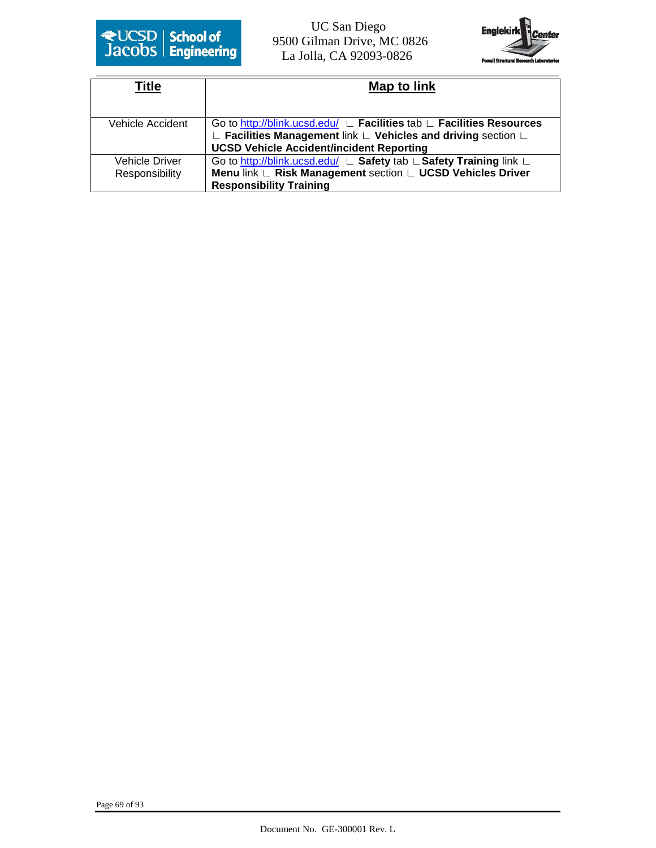

 9500 Gilman Drive, MC 0826 La Jolla, CA 92093-0826



| Title            | Map to link                                                                                          |
|------------------|------------------------------------------------------------------------------------------------------|
|                  |                                                                                                      |
|                  |                                                                                                      |
| Vehicle Accident | Go to http://blink.ucsd.edu/ ∟ Facilities tab ∟ Facilities Resources                                 |
|                  | $\mathsf{L}\,$ Facilities Management link $\mathsf{L}\,$ Vehicles and driving section $\mathsf{L}\,$ |
|                  | <b>UCSD Vehicle Accident/incident Reporting</b>                                                      |
| Vehicle Driver   | Go to http://blink.ucsd.edu/ ∟ Safety tab ∟ Safety Training link ∟                                   |
| Responsibility   | Menu link ∟ Risk Management section ∟ UCSD Vehicles Driver                                           |
|                  | <b>Responsibility Training</b>                                                                       |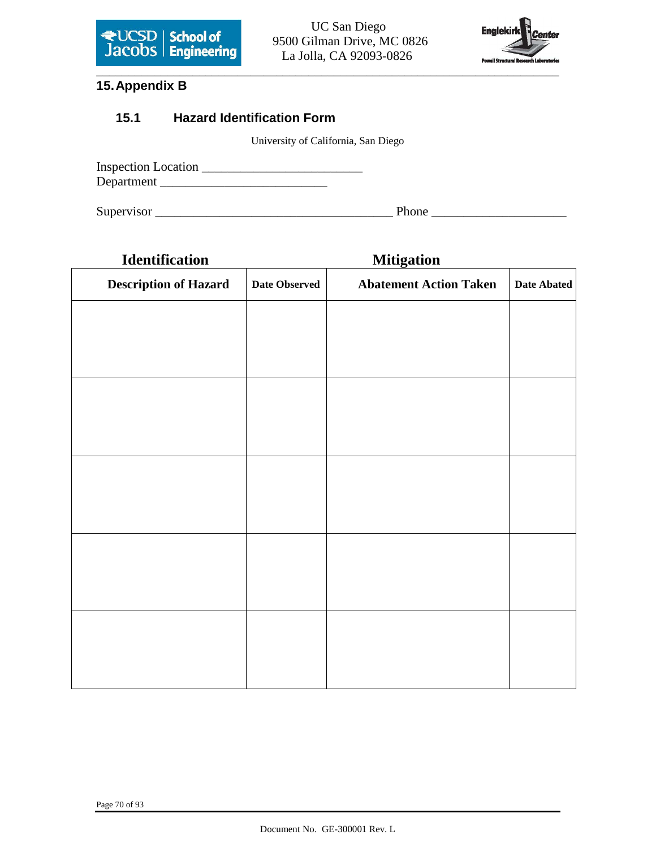



### **15. Appendix B**

#### **15.1 Hazard Identification Form**

University of California, San Diego

| <b>Inspection Location</b> |  |  |
|----------------------------|--|--|
| Department                 |  |  |

Supervisor \_\_\_\_\_\_\_\_\_\_\_\_\_\_\_\_\_\_\_\_\_\_\_\_\_\_\_\_\_\_\_\_\_\_\_\_\_ Phone \_\_\_\_\_\_\_\_\_\_\_\_\_\_\_\_\_\_\_\_\_

|                      | <b>Mitigation</b>             |                    |
|----------------------|-------------------------------|--------------------|
| <b>Date Observed</b> | <b>Abatement Action Taken</b> | <b>Date Abated</b> |
|                      |                               |                    |
|                      |                               |                    |
|                      |                               |                    |
|                      |                               |                    |
|                      |                               |                    |
|                      |                               |                    |
|                      |                               |                    |
|                      |                               |                    |
|                      |                               |                    |
|                      |                               |                    |
|                      |                               |                    |
|                      |                               |                    |
|                      |                               |                    |
|                      |                               |                    |
|                      |                               |                    |
|                      |                               |                    |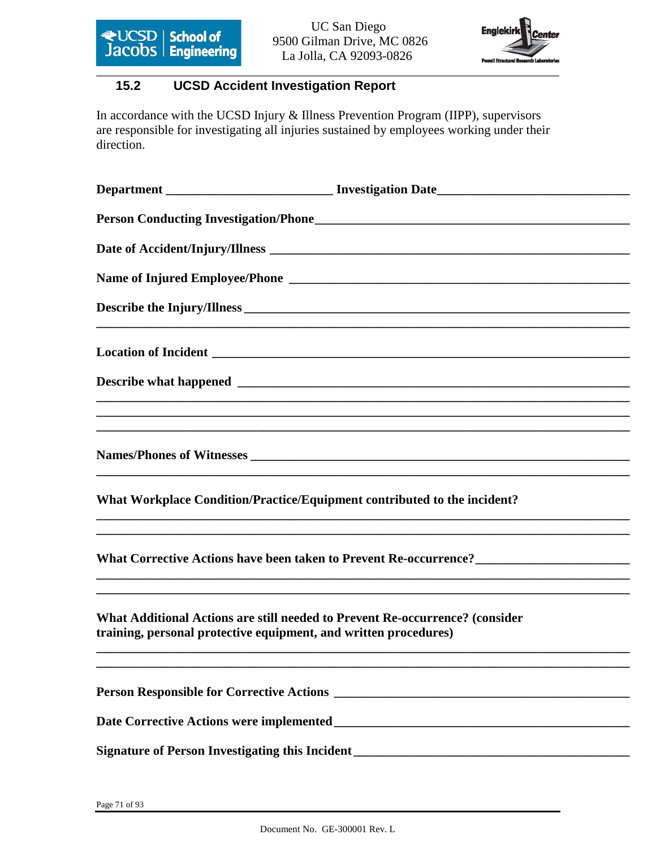



### **15.2 UCSD Accident Investigation Report**

In accordance with the UCSD Injury & Illness Prevention Program (IIPP), supervisors are responsible for investigating all injuries sustained by employees working under their direction.

| What Workplace Condition/Practice/Equipment contributed to the incident?                                                                         |                                                                                   |
|--------------------------------------------------------------------------------------------------------------------------------------------------|-----------------------------------------------------------------------------------|
|                                                                                                                                                  | ,我们也不能在这里的时候,我们也不能在这里的时候,我们也不能在这里的时候,我们也不能会在这里的时候,我们也不能会在这里的时候,我们也不能会在这里的时候,我们也不能 |
| What Additional Actions are still needed to Prevent Re-occurrence? (consider<br>training, personal protective equipment, and written procedures) | ,我们也不能在这里的时候,我们也不能在这里的时候,我们也不能会在这里的时候,我们也不能会在这里的时候,我们也不能会在这里的时候,我们也不能会在这里的时候,我们也不 |
|                                                                                                                                                  |                                                                                   |
|                                                                                                                                                  |                                                                                   |
|                                                                                                                                                  |                                                                                   |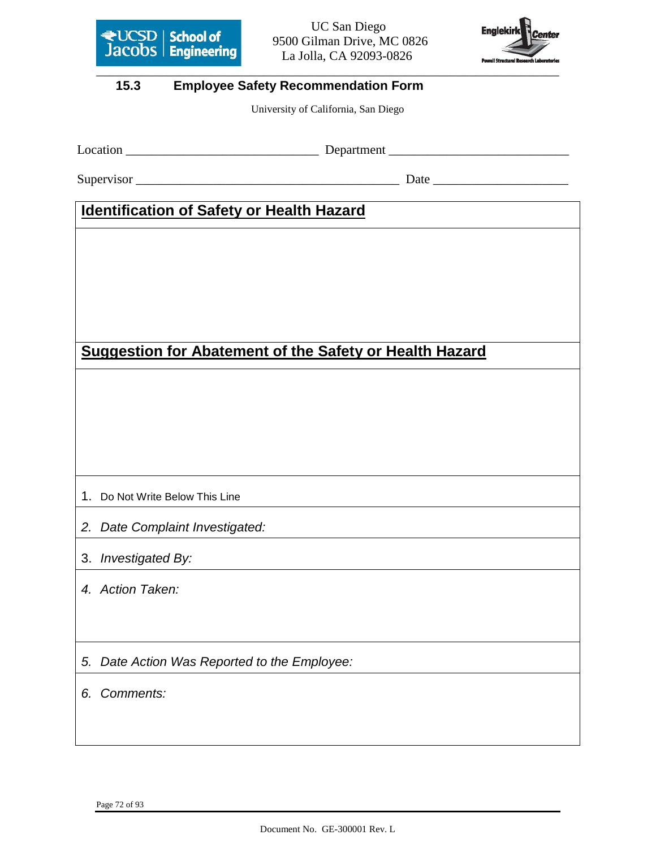

**Jacobs Engineering** 9500 Gilman Drive, MC 0826 La Jolla, CA 92093-0826



#### **15.3 Employee Safety Recommendation Form**

University of California, San Diego

Location \_\_\_\_\_\_\_\_\_\_\_\_\_\_\_\_\_\_\_\_\_\_\_\_\_\_\_\_\_\_ Department \_\_\_\_\_\_\_\_\_\_\_\_\_\_\_\_\_\_\_\_\_\_\_\_\_\_\_\_

Supervisor \_\_\_\_\_\_\_\_\_\_\_\_\_\_\_\_\_\_\_\_\_\_\_\_\_\_\_\_\_\_\_\_\_\_\_\_\_\_\_\_\_ Date \_\_\_\_\_\_\_\_\_\_\_\_\_\_\_\_\_\_\_\_\_

## **Identification of Safety or Health Hazard**

# **Suggestion for Abatement of the Safety or Health Hazard**

- 1. Do Not Write Below This Line
- 2. Date Complaint Investigated:
- 3. Investigated By:
- 4. Action Taken:
- 5. Date Action Was Reported to the Employee:
- 6. Comments: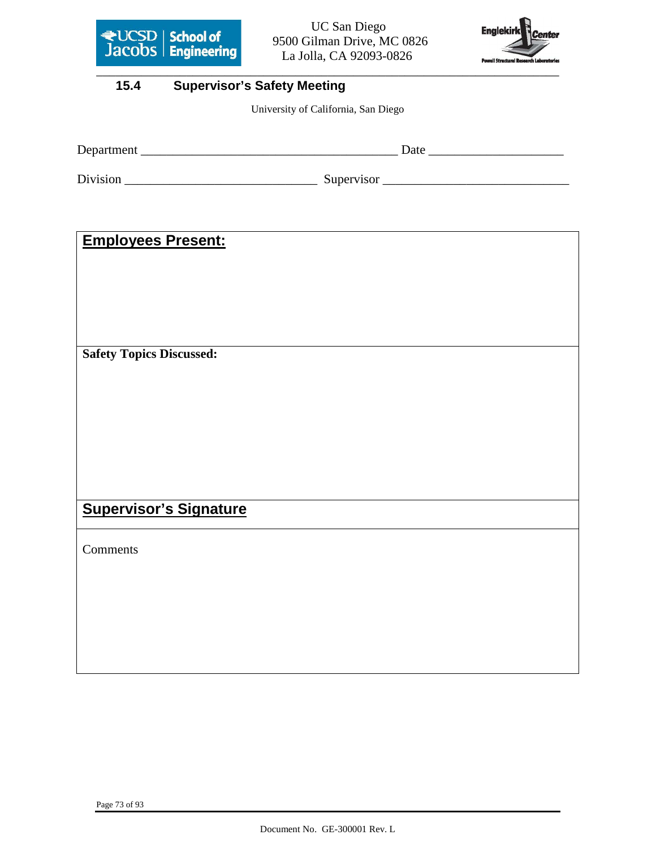

**Except School of** 9500 Gilman Drive, MC 0826 La Jolla, CA 92093-0826



# **15.4 Supervisor's Safety Meeting**

University of California, San Diego

| Department | Date       |
|------------|------------|
| Division   | Supervisor |

# **Employees Present:**

**Safety Topics Discussed:**

# **Supervisor's Signature**

Comments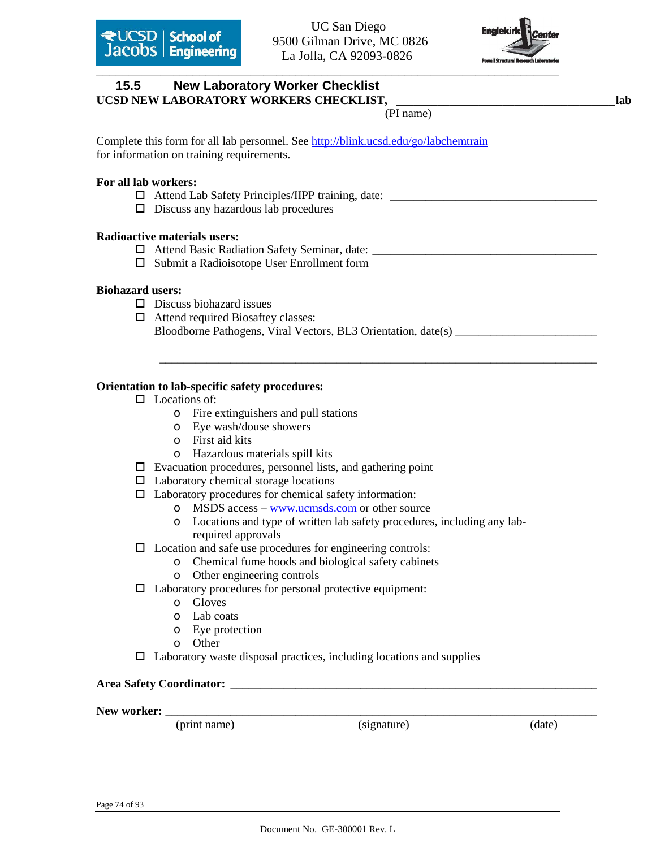

# \_\_\_\_\_\_\_\_\_\_\_\_\_\_\_\_\_\_\_\_\_\_\_\_\_\_\_\_\_\_\_\_\_\_\_\_\_\_\_\_\_\_\_\_\_\_\_\_\_\_\_\_\_\_\_\_\_\_\_\_\_\_\_\_\_\_\_\_\_\_\_\_ **15.5 New Laboratory Worker Checklist**  UCSD NEW LABORATORY WORKERS CHECKLIST, \_\_\_\_\_\_\_\_\_\_\_\_\_\_\_\_\_\_\_\_\_\_\_\_\_\_\_\_\_\_\_\_\_\_\_lab (PI name) Complete this form for all lab personnel. See http://blink.ucsd.edu/go/labchemtrain for information on training requirements. **For all lab workers:**   $\Box$  Attend Lab Safety Principles/IIPP training, date:  $\square$  Discuss any hazardous lab procedures **Radioactive materials users:**  Attend Basic Radiation Safety Seminar, date: \_\_\_\_\_\_\_\_\_\_\_\_\_\_\_\_\_\_\_\_\_\_\_\_\_\_\_\_\_\_\_\_\_\_\_\_\_\_  $\square$  Submit a Radioisotope User Enrollment form **Biohazard users:**   $\square$  Discuss biohazard issues Attend required Biosaftey classes: Bloodborne Pathogens, Viral Vectors, BL3 Orientation, date(s) \_\_\_\_\_\_\_\_\_\_\_\_\_\_\_\_\_\_\_\_\_\_\_\_\_\_\_\_\_\_\_\_\_\_\_\_\_\_\_\_\_\_\_\_\_\_\_\_\_\_\_\_\_\_\_\_\_\_\_\_\_\_\_\_\_\_\_\_\_\_\_\_\_\_ **Orientation to lab-specific safety procedures:**   $\Box$  Locations of: o Fire extinguishers and pull stations o Eye wash/douse showers o First aid kits o Hazardous materials spill kits  $\square$  Evacuation procedures, personnel lists, and gathering point  $\Box$  Laboratory chemical storage locations  $\Box$  Laboratory procedures for chemical safety information: o MSDS access – www.ucmsds.com or other source o Locations and type of written lab safety procedures, including any labrequired approvals  $\Box$  Location and safe use procedures for engineering controls: o Chemical fume hoods and biological safety cabinets o Other engineering controls  $\Box$  Laboratory procedures for personal protective equipment: o Gloves o Lab coats o Eye protection o Other  $\Box$  Laboratory waste disposal practices, including locations and supplies

#### **Area Safety Coordinator: \_\_\_\_\_\_\_\_\_\_\_\_\_\_\_\_\_\_\_\_\_\_\_\_\_\_\_\_\_\_\_\_\_\_\_\_\_\_\_\_\_\_\_\_\_\_\_\_\_\_\_\_\_\_\_\_\_\_\_\_\_\_**

**New worker: \_\_\_\_\_\_\_\_\_\_\_\_\_\_\_\_\_\_\_\_\_\_\_\_\_\_\_\_\_\_\_\_\_\_\_\_\_\_\_\_\_\_\_\_\_\_\_\_\_\_\_\_\_\_\_\_\_\_\_\_\_\_\_\_\_\_\_\_\_\_\_\_\_** 

(print name) (signature) (date)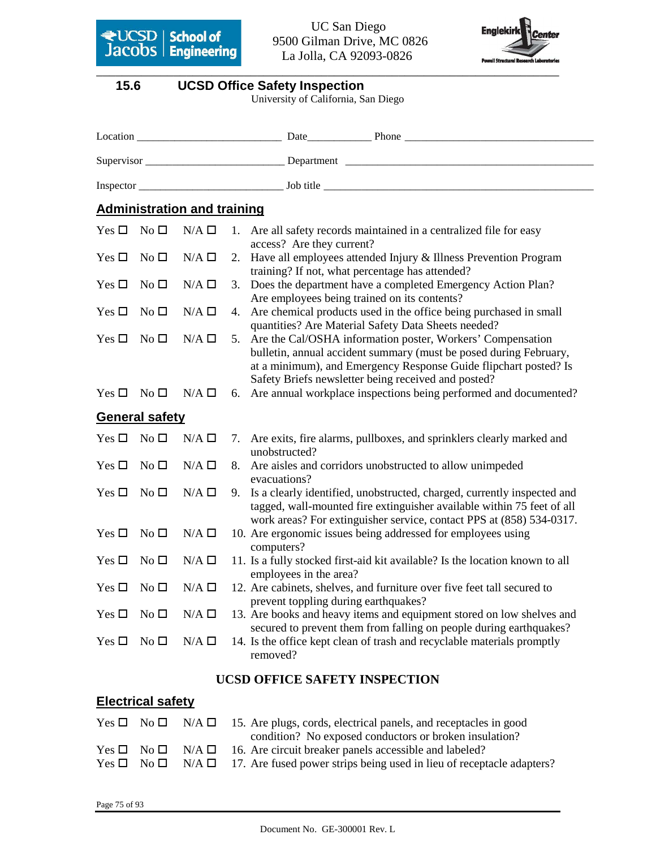

 9500 Gilman Drive, MC 0826 La Jolla, CA 92093-0826



# **15.6 UCSD Office Safety Inspection**

University of California, San Diego

|               |                       | <b>Administration and training</b> |    |                                                                                                                                                                                                                                                            |
|---------------|-----------------------|------------------------------------|----|------------------------------------------------------------------------------------------------------------------------------------------------------------------------------------------------------------------------------------------------------------|
| Yes $\Box$    | No <sub>1</sub>       | $N/A \Box$                         |    | 1. Are all safety records maintained in a centralized file for easy<br>access? Are they current?                                                                                                                                                           |
| Yes $\Box$    | No <sub>1</sub>       | $N/A \Box$                         | 2. | Have all employees attended Injury & Illness Prevention Program<br>training? If not, what percentage has attended?                                                                                                                                         |
| Yes $\square$ | No <sub>1</sub>       | $N/A \Box$                         | 3. | Does the department have a completed Emergency Action Plan?<br>Are employees being trained on its contents?                                                                                                                                                |
| Yes $\Box$    | No <sub>1</sub>       | $N/A \Box$                         | 4. | Are chemical products used in the office being purchased in small<br>quantities? Are Material Safety Data Sheets needed?                                                                                                                                   |
| Yes $\Box$    | No <sub>1</sub>       | $N/A \Box$                         | 5. | Are the Cal/OSHA information poster, Workers' Compensation<br>bulletin, annual accident summary (must be posed during February,<br>at a minimum), and Emergency Response Guide flipchart posted? Is<br>Safety Briefs newsletter being received and posted? |
| Yes $\Box$    | No <sub>l</sub>       | $N/A \Box$                         | 6. | Are annual workplace inspections being performed and documented?                                                                                                                                                                                           |
|               | <b>General safety</b> |                                    |    |                                                                                                                                                                                                                                                            |
| Yes $\square$ | No <sub>1</sub>       | $N/A \Box$                         |    | 7. Are exits, fire alarms, pullboxes, and sprinklers clearly marked and<br>unobstructed?                                                                                                                                                                   |
| Yes $\square$ | No <sub>1</sub>       | $N/A \Box$                         | 8. | Are aisles and corridors unobstructed to allow unimpeded<br>evacuations?                                                                                                                                                                                   |
| Yes $\square$ | No <sub>1</sub>       | $N/A \Box$                         | 9. | Is a clearly identified, unobstructed, charged, currently inspected and<br>tagged, wall-mounted fire extinguisher available within 75 feet of all<br>work areas? For extinguisher service, contact PPS at (858) 534-0317.                                  |
| Yes $\square$ | No <sub>1</sub>       | $N/A \Box$                         |    | 10. Are ergonomic issues being addressed for employees using<br>computers?                                                                                                                                                                                 |
| Yes $\square$ | No <sub>1</sub>       | $N/A \Box$                         |    | 11. Is a fully stocked first-aid kit available? Is the location known to all<br>employees in the area?                                                                                                                                                     |
| Yes $\square$ | No <sub>l</sub>       | $N/A \Box$                         |    | 12. Are cabinets, shelves, and furniture over five feet tall secured to<br>prevent toppling during earthquakes?                                                                                                                                            |
| Yes $\square$ | No $\square$          | $N/A \Box$                         |    | 13. Are books and heavy items and equipment stored on low shelves and<br>secured to prevent them from falling on people during earthquakes?                                                                                                                |
| Yes $\Box$    | No <sub>1</sub>       | $N/A \Box$                         |    | 14. Is the office kept clean of trash and recyclable materials promptly<br>removed?                                                                                                                                                                        |
|               |                       |                                    |    | <b>UCSD OFFICE SAFETY INSPECTION</b>                                                                                                                                                                                                                       |

## **Electrical safety**

|  | Yes $\Box$ No $\Box$ N/A $\Box$ 15. Are plugs, cords, electrical panels, and receptacles in good      |
|--|-------------------------------------------------------------------------------------------------------|
|  | condition? No exposed conductors or broken insulation?                                                |
|  | $Yes \Box No \Box N/A \Box 16$ . Are circuit breaker panels accessible and labeled?                   |
|  | Yes $\Box$ No $\Box$ N/A $\Box$ 17. Are fused power strips being used in lieu of receptacle adapters? |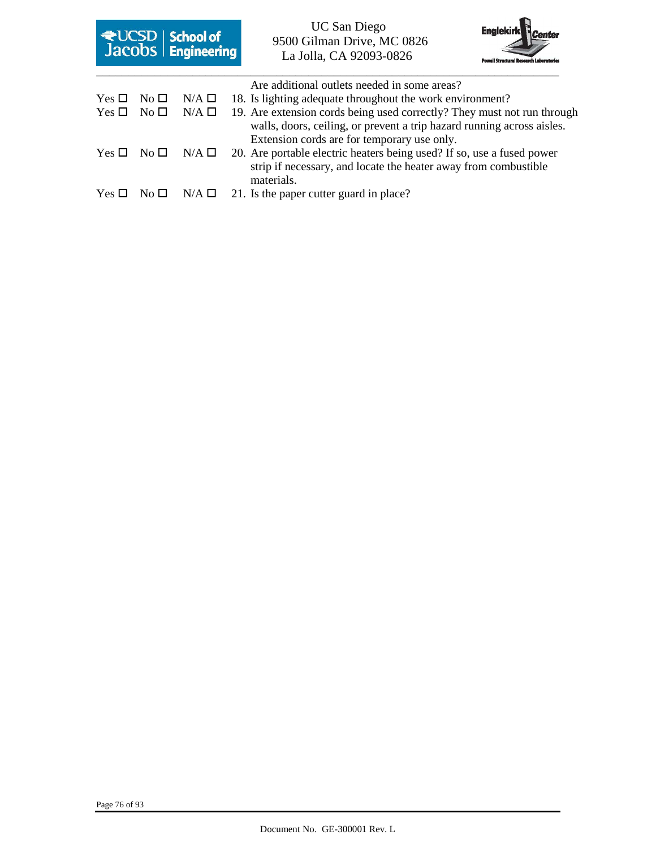|               |              | <b>E</b> UCSD   <b>School of</b><br><b>Jacobs</b>   <b>Engineering</b> | <b>UC San Diego</b><br>9500 Gilman Drive, MC 0826<br>La Jolla, CA 92093-0826                                                                                                                     | <b>Powell Structural Research Laborator</b> |
|---------------|--------------|------------------------------------------------------------------------|--------------------------------------------------------------------------------------------------------------------------------------------------------------------------------------------------|---------------------------------------------|
|               |              |                                                                        | Are additional outlets needed in some areas?                                                                                                                                                     |                                             |
| Yes $\Box$    | $No\square$  | $N/A \Box$                                                             | 18. Is lighting adequate throughout the work environment?                                                                                                                                        |                                             |
| Yes $\Box$    | No $\square$ | $N/A \Box$                                                             | 19. Are extension cords being used correctly? They must not run through<br>walls, doors, ceiling, or prevent a trip hazard running across aisles.<br>Extension cords are for temporary use only. |                                             |
| Yes $\Box$    | No $\Box$    | $N/A$ $\square$                                                        | 20. Are portable electric heaters being used? If so, use a fused power<br>strip if necessary, and locate the heater away from combustible<br>materials.                                          |                                             |
| Yes $\square$ |              | $N/A \Box$                                                             | 21. Is the paper cutter guard in place?                                                                                                                                                          |                                             |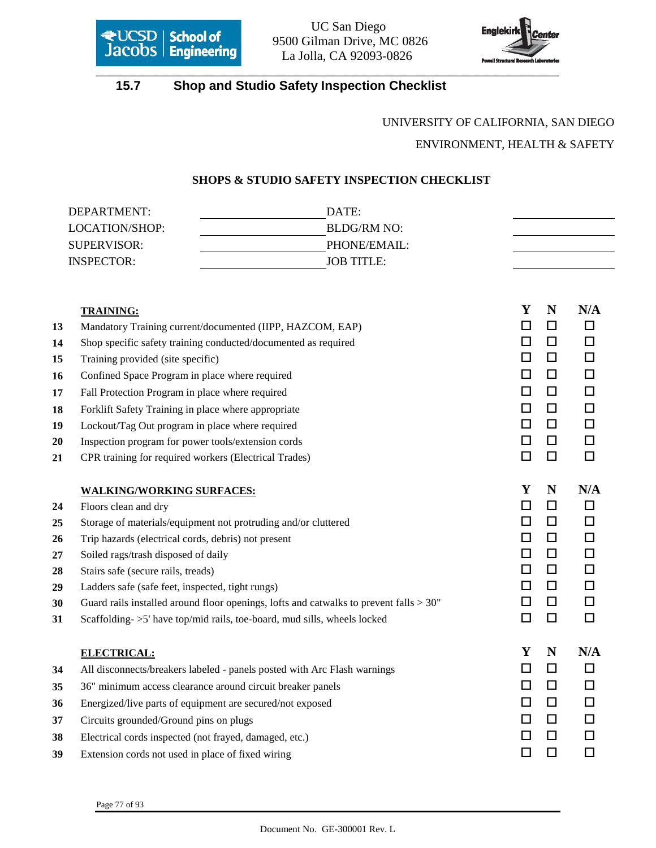

**Except School of** 9500 Gilman Drive, MC 0826 La Jolla, CA 92093-0826



# **15.7 Shop and Studio Safety Inspection Checklist**

# UNIVERSITY OF CALIFORNIA, SAN DIEGO ENVIRONMENT, HEALTH & SAFETY

#### **SHOPS & STUDIO SAFETY INSPECTION CHECKLIST**

|          | DEPARTMENT:                                                    | DATE:                                                                                     |                  |        |
|----------|----------------------------------------------------------------|-------------------------------------------------------------------------------------------|------------------|--------|
|          | LOCATION/SHOP:                                                 | <b>BLDG/RM NO:</b>                                                                        |                  |        |
|          | <b>SUPERVISOR:</b>                                             | PHONE/EMAIL:                                                                              |                  |        |
|          | <b>INSPECTOR:</b>                                              | <b>JOB TITLE:</b>                                                                         |                  |        |
|          |                                                                |                                                                                           |                  |        |
|          | <b>TRAINING:</b>                                               |                                                                                           | Y<br>N           | N/A    |
| 13       |                                                                | Mandatory Training current/documented (IIPP, HAZCOM, EAP)                                 | $\Box$<br>$\Box$ | $\Box$ |
| 14       |                                                                | Shop specific safety training conducted/documented as required                            | $\Box$<br>□      | $\Box$ |
| 15       | Training provided (site specific)                              |                                                                                           | $\Box$<br>□      | $\Box$ |
| 16       | Confined Space Program in place where required                 |                                                                                           | $\Box$<br>$\Box$ | $\Box$ |
| 17       | Fall Protection Program in place where required                |                                                                                           | $\Box$<br>$\Box$ | $\Box$ |
| 18       |                                                                | Forklift Safety Training in place where appropriate                                       | $\Box$<br>$\Box$ | $\Box$ |
| 19       | Lockout/Tag Out program in place where required                |                                                                                           | $\Box$<br>$\Box$ | $\Box$ |
| 20       |                                                                | Inspection program for power tools/extension cords                                        | $\Box$<br>$\Box$ | $\Box$ |
| 21       | CPR training for required workers (Electrical Trades)          |                                                                                           |                  | $\Box$ |
|          |                                                                |                                                                                           |                  |        |
|          | <b>WALKING/WORKING SURFACES:</b>                               |                                                                                           | Y<br>N           | N/A    |
| 24       | Floors clean and dry                                           |                                                                                           | $\Box$<br>$\Box$ | $\Box$ |
| 25       | Storage of materials/equipment not protruding and/or cluttered | $\Box$<br>$\Box$                                                                          | $\Box$           |        |
| 26       | Trip hazards (electrical cords, debris) not present            | $\Box$<br>$\Box$                                                                          | $\Box$           |        |
| 27       | Soiled rags/trash disposed of daily                            |                                                                                           | $\Box$<br>$\Box$ | $\Box$ |
| 28       | Stairs safe (secure rails, treads)                             |                                                                                           | $\Box$<br>$\Box$ | $\Box$ |
| 29       | Ladders safe (safe feet, inspected, tight rungs)               |                                                                                           | $\Box$<br>$\Box$ | $\Box$ |
| 30       |                                                                | Guard rails installed around floor openings, lofts and catwalks to prevent falls $> 30$ " | $\Box$<br>$\Box$ | $\Box$ |
| 31       |                                                                |                                                                                           | $\Box$<br>$\Box$ | $\Box$ |
|          |                                                                | Scaffolding->5' have top/mid rails, toe-board, mud sills, wheels locked                   |                  |        |
|          |                                                                |                                                                                           | Y<br>N           | N/A    |
| 34       | <b>ELECTRICAL:</b>                                             |                                                                                           | $\Box$<br>□      | $\Box$ |
|          |                                                                | All disconnects/breakers labeled - panels posted with Arc Flash warnings                  | $\Box$<br>$\Box$ | $\Box$ |
| 35       |                                                                | 36" minimum access clearance around circuit breaker panels                                | □<br>□           | □      |
| 36       |                                                                | Energized/live parts of equipment are secured/not exposed                                 | $\Box$<br>$\Box$ | □      |
| 37       | Circuits grounded/Ground pins on plugs                         |                                                                                           | $\Box$<br>ப      | П      |
| 38<br>39 | Extension cords not used in place of fixed wiring              | Electrical cords inspected (not frayed, damaged, etc.)                                    | $\Box$<br>ப      | □      |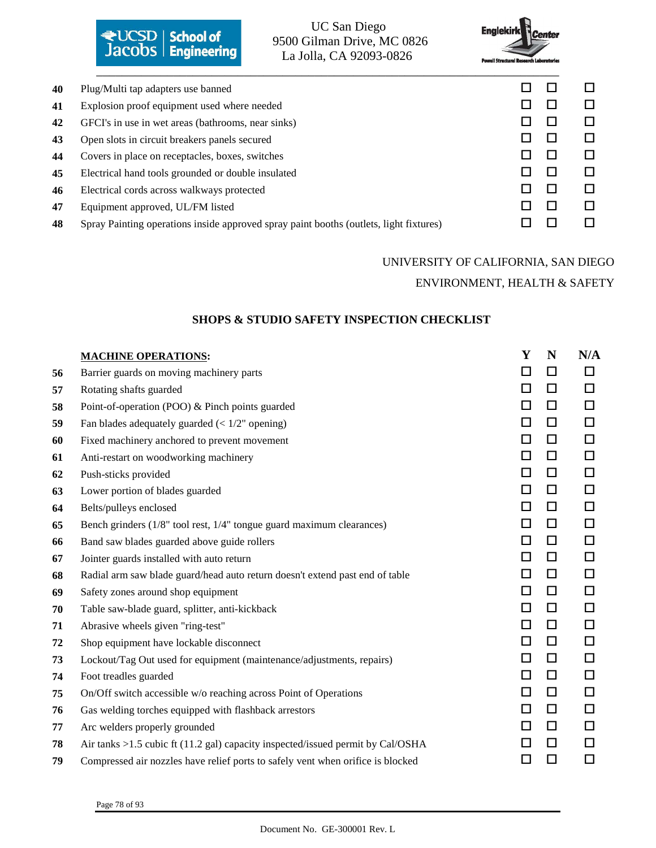|    | ₹UCSD   School of<br>Jacobs   Engineering          | <b>UC San Diego</b><br>9500 Gilman Drive, MC 0826<br>La Jolla, CA 92093-0826           | <b>Englekirk</b><br><b>Powell Structural Research Laboratories</b> | <b><i><u>A</u></i></b> Center |        |
|----|----------------------------------------------------|----------------------------------------------------------------------------------------|--------------------------------------------------------------------|-------------------------------|--------|
| 40 | Plug/Multi tap adapters use banned                 |                                                                                        |                                                                    |                               |        |
| 41 | Explosion proof equipment used where needed        |                                                                                        |                                                                    |                               | $\Box$ |
| 42 | GFCI's in use in wet areas (bathrooms, near sinks) |                                                                                        |                                                                    |                               | $\Box$ |
| 43 | Open slots in circuit breakers panels secured      |                                                                                        |                                                                    |                               | П      |
| 44 | Covers in place on receptacles, boxes, switches    |                                                                                        |                                                                    |                               | П      |
| 45 | Electrical hand tools grounded or double insulated |                                                                                        |                                                                    |                               | П      |
| 46 | Electrical cords across walkways protected         |                                                                                        |                                                                    |                               | П      |
| 47 | Equipment approved, UL/FM listed                   |                                                                                        |                                                                    |                               | П      |
| 48 |                                                    | Spray Painting operations inside approved spray paint booths (outlets, light fixtures) |                                                                    |                               |        |

# UNIVERSITY OF CALIFORNIA, SAN DIEGO ENVIRONMENT, HEALTH & SAFETY

### **SHOPS & STUDIO SAFETY INSPECTION CHECKLIST**

|    | <b>MACHINE OPERATIONS:</b>                                                      | Y      | N      | N/A    |
|----|---------------------------------------------------------------------------------|--------|--------|--------|
| 56 | Barrier guards on moving machinery parts                                        | □      | $\Box$ | $\Box$ |
| 57 | Rotating shafts guarded                                                         | $\Box$ | $\Box$ | $\Box$ |
| 58 | Point-of-operation (POO) & Pinch points guarded                                 | $\Box$ | $\Box$ | $\Box$ |
| 59 | Fan blades adequately guarded $\left($ < 1/2" opening)                          | $\Box$ | $\Box$ | $\Box$ |
| 60 | Fixed machinery anchored to prevent movement                                    | $\Box$ | $\Box$ | $\Box$ |
| 61 | Anti-restart on woodworking machinery                                           | $\Box$ | $\Box$ | $\Box$ |
| 62 | Push-sticks provided                                                            | $\Box$ | $\Box$ | $\Box$ |
| 63 | Lower portion of blades guarded                                                 | $\Box$ | $\Box$ | □      |
| 64 | Belts/pulleys enclosed                                                          | $\Box$ | $\Box$ | $\Box$ |
| 65 | Bench grinders (1/8" tool rest, 1/4" tongue guard maximum clearances)           | $\Box$ | $\Box$ | $\Box$ |
| 66 | Band saw blades guarded above guide rollers                                     | $\Box$ | $\Box$ | $\Box$ |
| 67 | Jointer guards installed with auto return                                       | □      | $\Box$ | $\Box$ |
| 68 | Radial arm saw blade guard/head auto return doesn't extend past end of table    | $\Box$ | $\Box$ | $\Box$ |
| 69 | Safety zones around shop equipment                                              | □      | $\Box$ | □      |
| 70 | Table saw-blade guard, splitter, anti-kickback                                  | $\Box$ | $\Box$ | $\Box$ |
| 71 | Abrasive wheels given "ring-test"                                               | $\Box$ | $\Box$ | $\Box$ |
| 72 | Shop equipment have lockable disconnect                                         | $\Box$ | $\Box$ | $\Box$ |
| 73 | Lockout/Tag Out used for equipment (maintenance/adjustments, repairs)           | $\Box$ | $\Box$ | □      |
| 74 | Foot treadles guarded                                                           | $\Box$ | $\Box$ | $\Box$ |
| 75 | On/Off switch accessible w/o reaching across Point of Operations                | $\Box$ | $\Box$ | $\Box$ |
| 76 | Gas welding torches equipped with flashback arrestors                           | $\Box$ | $\Box$ | $\Box$ |
| 77 | Arc welders properly grounded                                                   | $\Box$ | $\Box$ | □      |
| 78 | Air tanks >1.5 cubic ft (11.2 gal) capacity inspected/issued permit by Cal/OSHA | □      | $\Box$ | п      |
| 79 | Compressed air nozzles have relief ports to safely vent when orifice is blocked | $\Box$ | $\Box$ | $\Box$ |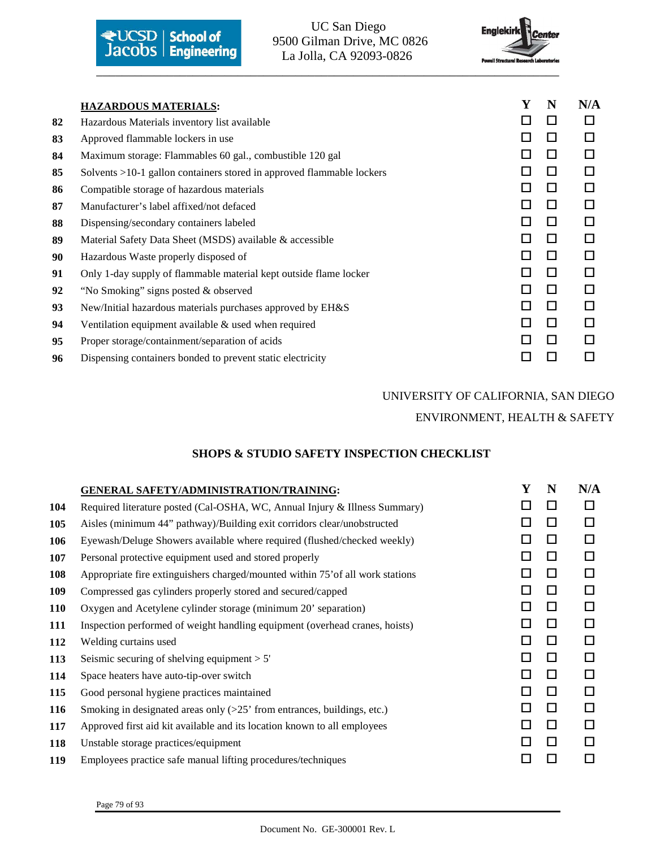

9500 Gilman Drive, MC 0826



|    | <b>HAZARDOUS MATERIALS:</b>                                           | Y  | N      | N/A |
|----|-----------------------------------------------------------------------|----|--------|-----|
| 82 | Hazardous Materials inventory list available                          | H  | П      | П   |
| 83 | Approved flammable lockers in use                                     | П  | $\Box$ | □   |
| 84 | Maximum storage: Flammables 60 gal., combustible 120 gal              |    | П      | п   |
| 85 | Solvents >10-1 gallon containers stored in approved flammable lockers | ы  | П      | □   |
| 86 | Compatible storage of hazardous materials                             | П  | П      | П   |
| 87 | Manufacturer's label affixed/not defaced                              |    | П      | П   |
| 88 | Dispensing/secondary containers labeled                               | П  | П      | П   |
| 89 | Material Safety Data Sheet (MSDS) available & accessible              | П  | П      | П   |
| 90 | Hazardous Waste properly disposed of                                  |    | П      | п   |
| 91 | Only 1-day supply of flammable material kept outside flame locker     | ΙI | $\Box$ | П   |
| 92 | "No Smoking" signs posted & observed                                  | П  | П      | П   |
| 93 | New/Initial hazardous materials purchases approved by EH&S            |    | П      | п   |
| 94 | Ventilation equipment available $\&$ used when required               | П  | $\Box$ | П   |
| 95 | Proper storage/containment/separation of acids                        |    | П      | п   |
| 96 | Dispensing containers bonded to prevent static electricity            |    |        |     |

# UNIVERSITY OF CALIFORNIA, SAN DIEGO ENVIRONMENT, HEALTH & SAFETY

#### **SHOPS & STUDIO SAFETY INSPECTION CHECKLIST**

|            | <b>GENERAL SAFETY/ADMINISTRATION/TRAINING:</b>                                 | Y | N      | N/A    |
|------------|--------------------------------------------------------------------------------|---|--------|--------|
| 104        | Required literature posted (Cal-OSHA, WC, Annual Injury & Illness Summary)     | П | П      | □      |
| 105        | Aisles (minimum 44" pathway)/Building exit corridors clear/unobstructed        | □ | □      | $\Box$ |
| 106        | Eyewash/Deluge Showers available where required (flushed/checked weekly)       | □ | □      | □      |
| 107        | Personal protective equipment used and stored properly                         | П | п      | $\Box$ |
| 108        | Appropriate fire extinguishers charged/mounted within 75' of all work stations | П | □      | $\Box$ |
| 109        | Compressed gas cylinders properly stored and secured/capped                    | П | П      | П      |
| <b>110</b> | Oxygen and Acetylene cylinder storage (minimum 20' separation)                 | □ | $\Box$ | $\Box$ |
| 111        | Inspection performed of weight handling equipment (overhead cranes, hoists)    | □ | □      | □      |
| 112        | Welding curtains used                                                          | П | п      | $\Box$ |
| 113        | Seismic securing of shelving equipment $> 5'$                                  | П | П      | $\Box$ |
| 114        | Space heaters have auto-tip-over switch                                        | П | □      | $\Box$ |
| 115        | Good personal hygiene practices maintained                                     | П | П      | □      |
| <b>116</b> | Smoking in designated areas only $(>25$ from entrances, buildings, etc.)       | □ | $\Box$ | $\Box$ |
| 117        | Approved first aid kit available and its location known to all employees       | П | п      | П      |
| 118        | Unstable storage practices/equipment                                           | П | П      | □      |
| 119        | Employees practice safe manual lifting procedures/techniques                   | П | П      | □      |
|            |                                                                                |   |        |        |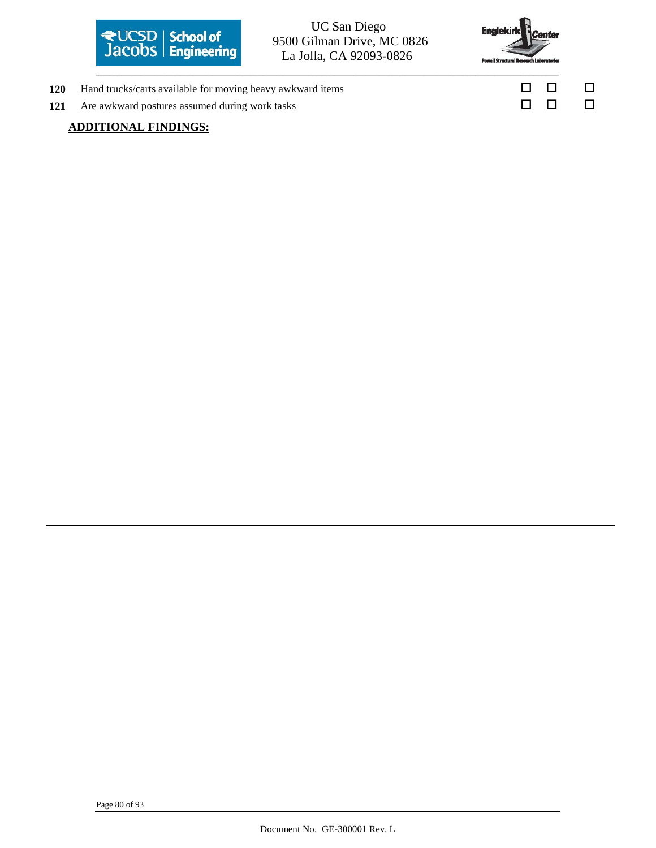

# 9500 Gilman Drive, MC 0826 La Jolla, CA 92093-0826



- 120 Hand trucks/carts available for moving heavy awkward items  $\square$
- **121** Are awkward postures assumed during work tasks □ □ □ □ □

### **ADDITIONAL FINDINGS:**

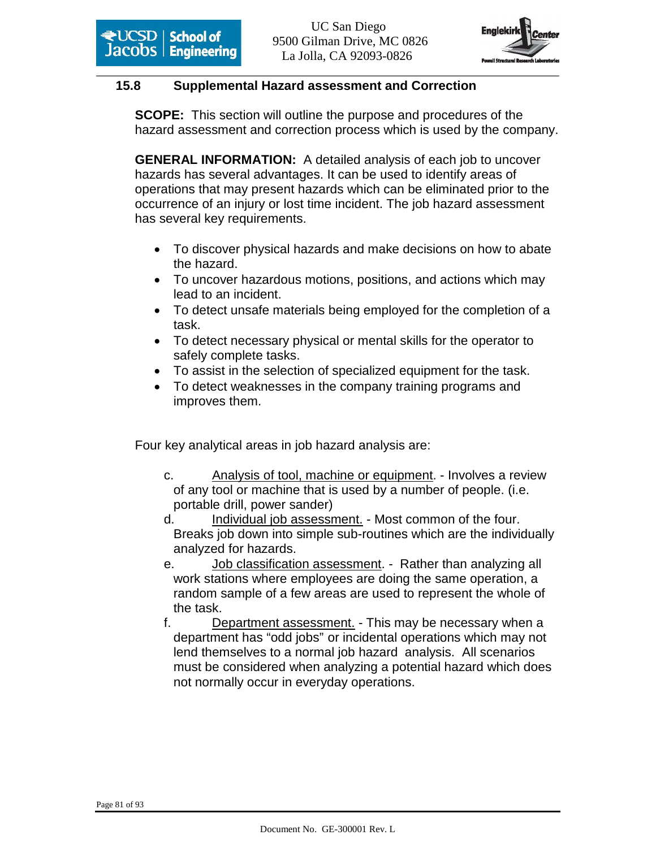

## **15.8 Supplemental Hazard assessment and Correction**

**SCOPE:** This section will outline the purpose and procedures of the hazard assessment and correction process which is used by the company.

**GENERAL INFORMATION:** A detailed analysis of each job to uncover hazards has several advantages. It can be used to identify areas of operations that may present hazards which can be eliminated prior to the occurrence of an injury or lost time incident. The job hazard assessment has several key requirements.

- To discover physical hazards and make decisions on how to abate the hazard.
- To uncover hazardous motions, positions, and actions which may lead to an incident.
- To detect unsafe materials being employed for the completion of a task.
- To detect necessary physical or mental skills for the operator to safely complete tasks.
- To assist in the selection of specialized equipment for the task.
- To detect weaknesses in the company training programs and improves them.

Four key analytical areas in job hazard analysis are:

- c. Analysis of tool, machine or equipment. Involves a review of any tool or machine that is used by a number of people. (i.e. portable drill, power sander)
- d. Individual job assessment. Most common of the four. Breaks job down into simple sub-routines which are the individually analyzed for hazards.
- e. Job classification assessment. Rather than analyzing all work stations where employees are doing the same operation, a random sample of a few areas are used to represent the whole of the task.
- f. Department assessment. This may be necessary when a department has "odd jobs" or incidental operations which may not lend themselves to a normal job hazard analysis. All scenarios must be considered when analyzing a potential hazard which does not normally occur in everyday operations.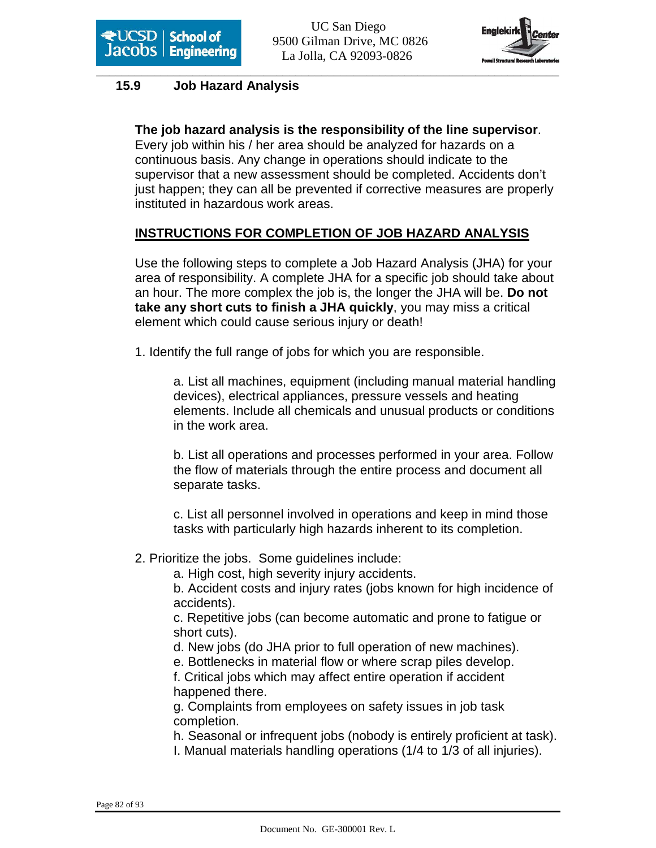

## **15.9 Job Hazard Analysis**

**The job hazard analysis is the responsibility of the line supervisor**. Every job within his / her area should be analyzed for hazards on a continuous basis. Any change in operations should indicate to the supervisor that a new assessment should be completed. Accidents don't just happen; they can all be prevented if corrective measures are properly instituted in hazardous work areas.

## **INSTRUCTIONS FOR COMPLETION OF JOB HAZARD ANALYSIS**

Use the following steps to complete a Job Hazard Analysis (JHA) for your area of responsibility. A complete JHA for a specific job should take about an hour. The more complex the job is, the longer the JHA will be. **Do not take any short cuts to finish a JHA quickly**, you may miss a critical element which could cause serious injury or death!

1. Identify the full range of jobs for which you are responsible.

 a. List all machines, equipment (including manual material handling devices), electrical appliances, pressure vessels and heating elements. Include all chemicals and unusual products or conditions in the work area.

 b. List all operations and processes performed in your area. Follow the flow of materials through the entire process and document all separate tasks.

 c. List all personnel involved in operations and keep in mind those tasks with particularly high hazards inherent to its completion.

2. Prioritize the jobs. Some guidelines include:

a. High cost, high severity injury accidents.

 b. Accident costs and injury rates (jobs known for high incidence of accidents).

 c. Repetitive jobs (can become automatic and prone to fatigue or short cuts).

d. New jobs (do JHA prior to full operation of new machines).

e. Bottlenecks in material flow or where scrap piles develop.

 f. Critical jobs which may affect entire operation if accident happened there.

 g. Complaints from employees on safety issues in job task completion.

h. Seasonal or infrequent jobs (nobody is entirely proficient at task).

I. Manual materials handling operations (1/4 to 1/3 of all injuries).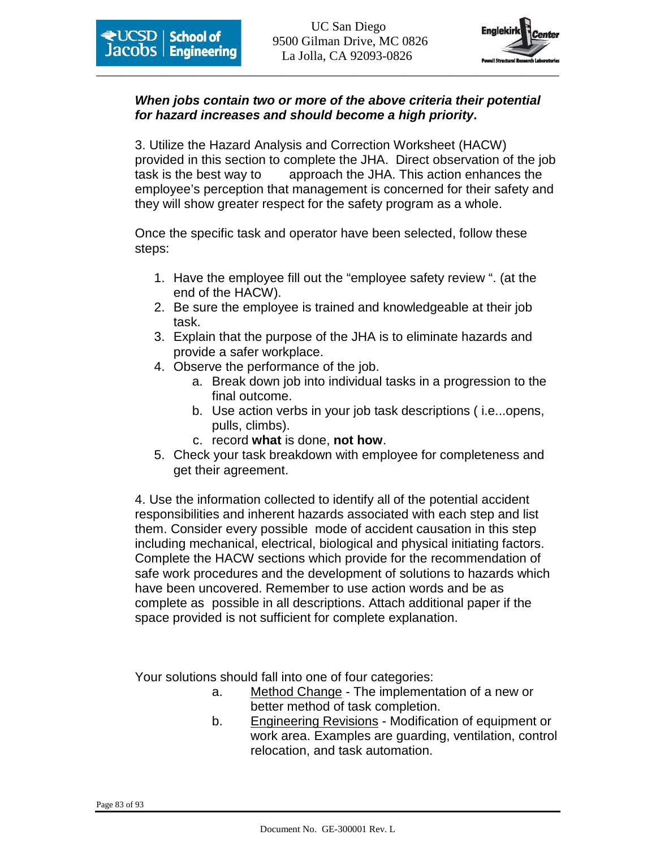

## **When jobs contain two or more of the above criteria their potential for hazard increases and should become a high priority.**

3. Utilize the Hazard Analysis and Correction Worksheet (HACW) provided in this section to complete the JHA. Direct observation of the job task is the best way to approach the JHA. This action enhances the employee's perception that management is concerned for their safety and they will show greater respect for the safety program as a whole.

 Once the specific task and operator have been selected, follow these steps:

- 1. Have the employee fill out the "employee safety review ". (at the end of the HACW).
- 2. Be sure the employee is trained and knowledgeable at their job task.
- 3. Explain that the purpose of the JHA is to eliminate hazards and provide a safer workplace.
- 4. Observe the performance of the job.
	- a. Break down job into individual tasks in a progression to the final outcome.
	- b. Use action verbs in your job task descriptions ( i.e...opens, pulls, climbs).
	- c. record **what** is done, **not how**.
- 5. Check your task breakdown with employee for completeness and get their agreement.

4. Use the information collected to identify all of the potential accident responsibilities and inherent hazards associated with each step and list them. Consider every possible mode of accident causation in this step including mechanical, electrical, biological and physical initiating factors. Complete the HACW sections which provide for the recommendation of safe work procedures and the development of solutions to hazards which have been uncovered. Remember to use action words and be as complete as possible in all descriptions. Attach additional paper if the space provided is not sufficient for complete explanation.

Your solutions should fall into one of four categories:

- a. Method Change The implementation of a new or better method of task completion.
- b. Engineering Revisions Modification of equipment or work area. Examples are guarding, ventilation, control relocation, and task automation.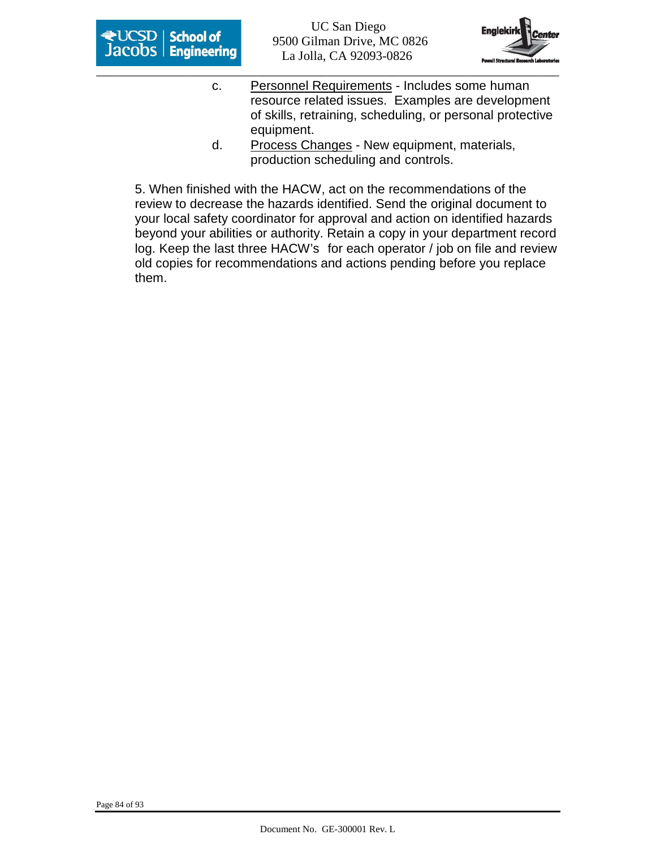



- c. Personnel Requirements Includes some human resource related issues. Examples are development of skills, retraining, scheduling, or personal protective equipment.
- d. Process Changes New equipment, materials, production scheduling and controls.

5. When finished with the HACW, act on the recommendations of the review to decrease the hazards identified. Send the original document to your local safety coordinator for approval and action on identified hazards beyond your abilities or authority. Retain a copy in your department record log. Keep the last three HACW's for each operator / job on file and review old copies for recommendations and actions pending before you replace them.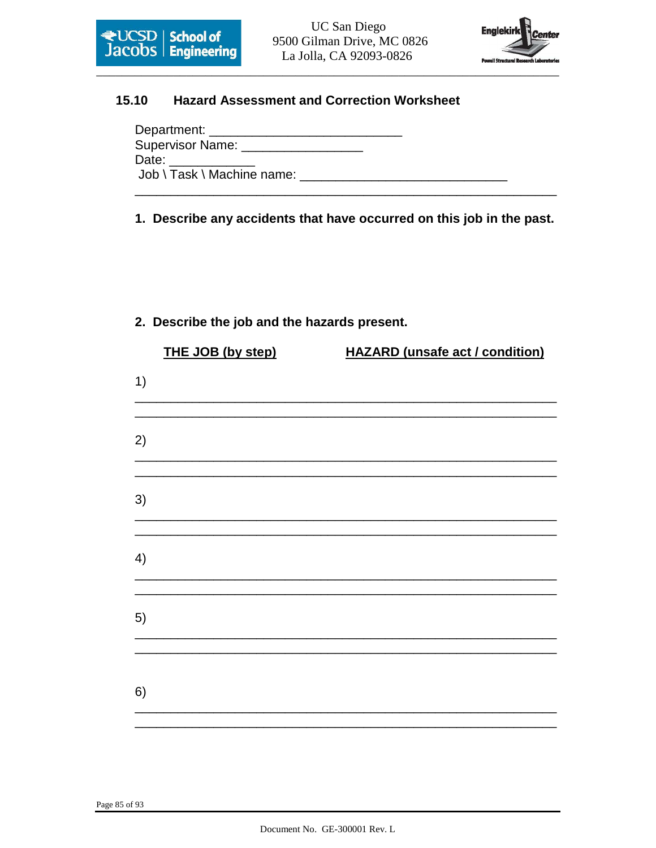

**UC San Diego** 9500 Gilman Drive, MC 0826 La Jolla, CA 92093-0826



#### 15.10 **Hazard Assessment and Correction Worksheet**

| Department: _____________         |  |  |
|-----------------------------------|--|--|
| Supervisor Name: ________________ |  |  |
|                                   |  |  |
| Job \ Task \ Machine name:        |  |  |
|                                   |  |  |

1. Describe any accidents that have occurred on this job in the past.

## 2. Describe the job and the hazards present.

|    | THE JOB (by step) | <b>HAZARD</b> (unsafe act / condition) |  |  |  |  |
|----|-------------------|----------------------------------------|--|--|--|--|
| 1) |                   |                                        |  |  |  |  |
| 2) |                   |                                        |  |  |  |  |
| 3) |                   |                                        |  |  |  |  |
| 4) |                   |                                        |  |  |  |  |
| 5) |                   |                                        |  |  |  |  |
| 6) |                   |                                        |  |  |  |  |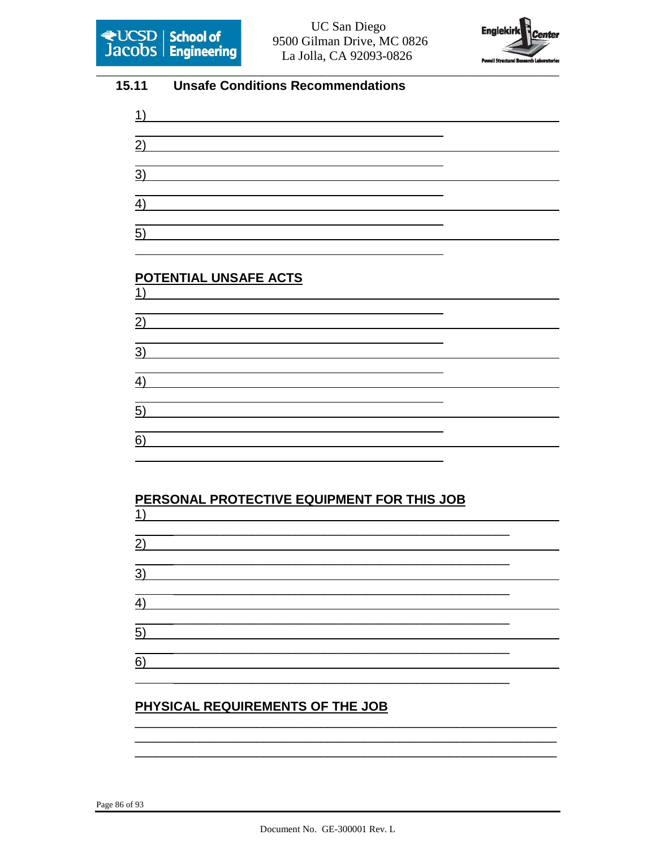



#### 15.11 **Unsafe Conditions Recommendations**

| <u> 1989 - Andrea Andrew Maria (h. 1989).</u>                                                                                                                        |  |
|----------------------------------------------------------------------------------------------------------------------------------------------------------------------|--|
| 2)                                                                                                                                                                   |  |
| ,我们也不会有一个人的事情。""我们的人们,我们也不会有一个人的人,我们也不会有一个人的人,我们也不会有一个人的人,我们也不会有一个人的人,我们也不会有一个人的<br>第一百一章 一个人的人,我们的人们的人们,我们的人们的人们的人们,我们的人们的人们的人们,我们的人们的人们,我们的人们的人们,我们的人们的人们,我们的人们的人们 |  |
| $\overline{3)}$                                                                                                                                                      |  |
|                                                                                                                                                                      |  |
| 4)                                                                                                                                                                   |  |
|                                                                                                                                                                      |  |
| 5)                                                                                                                                                                   |  |

#### POTENTIAL UNSAFE ACTS  $1)$

| $\overline{2}$ ) |  |
|------------------|--|
|                  |  |
| $\overline{3}$ ) |  |
| $\overline{4)}$  |  |
|                  |  |
| $\overline{5}$ ) |  |
|                  |  |
| $\overline{6)}$  |  |

#### PERSONAL PROTECTIVE EQUIPMENT FOR THIS JOB  $1)$

 $\overline{2)}$ 

 $3)$  $4)$  $5)$  $6)$ 

# PHYSICAL REQUIREMENTS OF THE JOB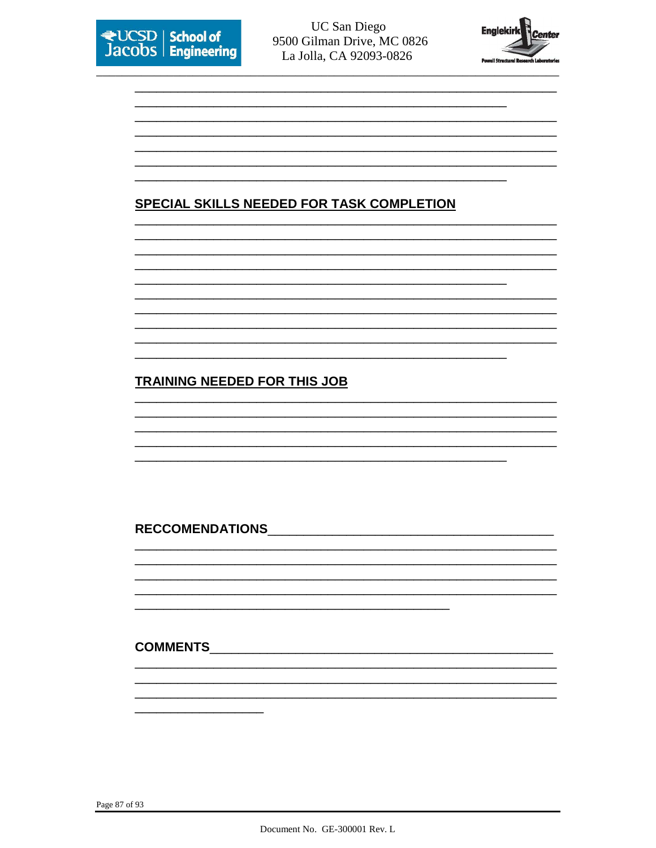



# **SPECIAL SKILLS NEEDED FOR TASK COMPLETION**

# **TRAINING NEEDED FOR THIS JOB**

## RECCOMENDATIONS AND RECOMENDATIONS

#### COMMENTS\_\_\_\_\_\_\_\_

Page 87 of 93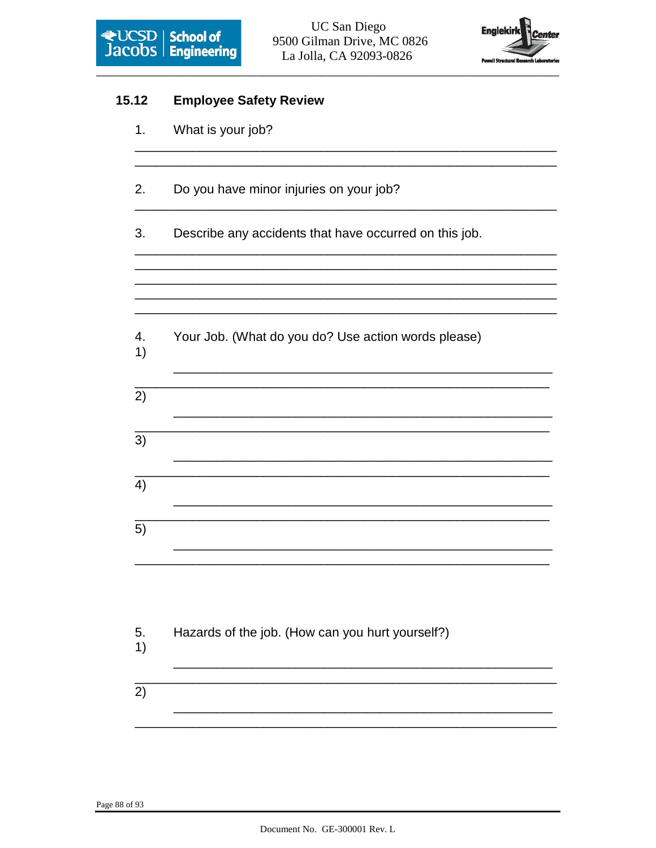



| 15.12    | <b>Employee Safety Review</b>                          |
|----------|--------------------------------------------------------|
| 1.       | What is your job?                                      |
| 2.       | Do you have minor injuries on your job?                |
| 3.       | Describe any accidents that have occurred on this job. |
|          |                                                        |
| 4.<br>1) | Your Job. (What do you do? Use action words please)    |
| 2)       |                                                        |
| 3)       |                                                        |
| 4)       |                                                        |
| 5)       |                                                        |
|          |                                                        |
| 5.<br>1) | Hazards of the job. (How can you hurt yourself?)       |
| 2)       |                                                        |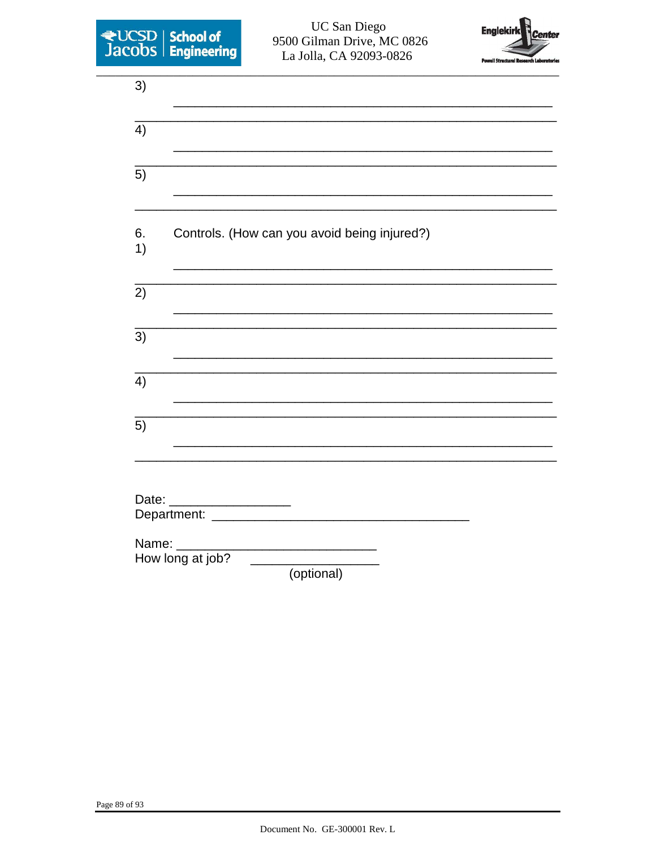



| 3)       |                                                                                                                                                   |
|----------|---------------------------------------------------------------------------------------------------------------------------------------------------|
| 4)       |                                                                                                                                                   |
| 5)       |                                                                                                                                                   |
| 6.<br>1) | Controls. (How can you avoid being injured?)                                                                                                      |
| 2)       |                                                                                                                                                   |
| 3)       |                                                                                                                                                   |
| 4)       |                                                                                                                                                   |
| 5)       |                                                                                                                                                   |
|          |                                                                                                                                                   |
| Date:    | <u> 1986 - Jan Stein Stein Stein Stein Stein Stein Stein Stein Stein Stein Stein Stein Stein Stein Stein Stein S</u><br>Department: _____________ |
| Name:    | How long at job?<br>(optional)                                                                                                                    |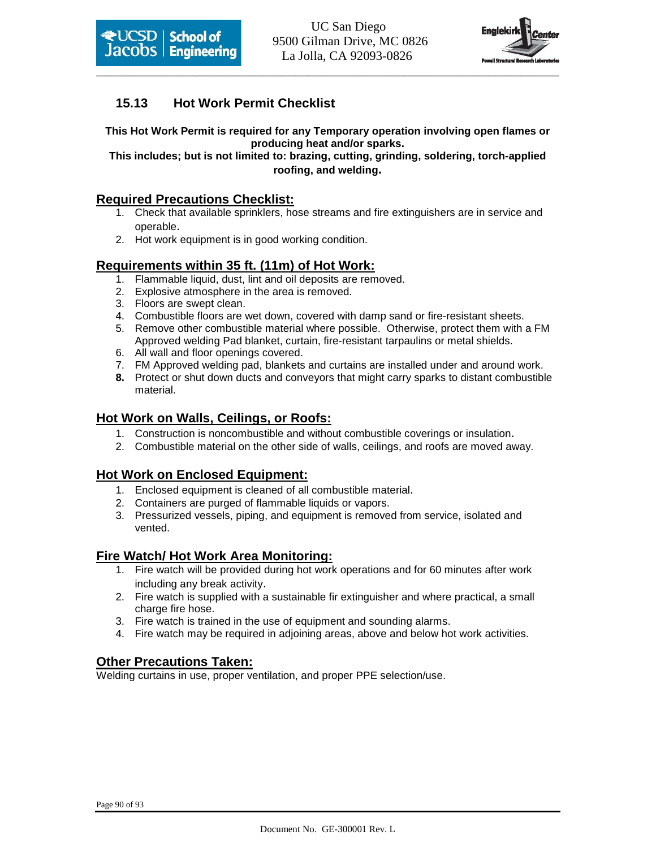



## **15.13 Hot Work Permit Checklist**

**This Hot Work Permit is required for any Temporary operation involving open flames or producing heat and/or sparks.** 

**This includes; but is not limited to: brazing, cutting, grinding, soldering, torch-applied roofing, and welding.** 

### **Required Precautions Checklist:**

- 1. Check that available sprinklers, hose streams and fire extinguishers are in service and operable.
- 2. Hot work equipment is in good working condition.

#### **Requirements within 35 ft. (11m) of Hot Work:**

- 1. Flammable liquid, dust, lint and oil deposits are removed.
- 2. Explosive atmosphere in the area is removed.
- 3. Floors are swept clean.
- 4. Combustible floors are wet down, covered with damp sand or fire-resistant sheets.
- 5. Remove other combustible material where possible. Otherwise, protect them with a FM Approved welding Pad blanket, curtain, fire-resistant tarpaulins or metal shields.
- 6. All wall and floor openings covered.
- 7. FM Approved welding pad, blankets and curtains are installed under and around work.
- **8.** Protect or shut down ducts and conveyors that might carry sparks to distant combustible material.

#### **Hot Work on Walls, Ceilings, or Roofs:**

- 1. Construction is noncombustible and without combustible coverings or insulation.
- 2. Combustible material on the other side of walls, ceilings, and roofs are moved away.

#### **Hot Work on Enclosed Equipment:**

- 1. Enclosed equipment is cleaned of all combustible material.
- 2. Containers are purged of flammable liquids or vapors.
- 3. Pressurized vessels, piping, and equipment is removed from service, isolated and vented.

#### **Fire Watch/ Hot Work Area Monitoring:**

- 1. Fire watch will be provided during hot work operations and for 60 minutes after work including any break activity.
- 2. Fire watch is supplied with a sustainable fir extinguisher and where practical, a small charge fire hose.
- 3. Fire watch is trained in the use of equipment and sounding alarms.
- 4. Fire watch may be required in adjoining areas, above and below hot work activities.

#### **Other Precautions Taken:**

Welding curtains in use, proper ventilation, and proper PPE selection/use.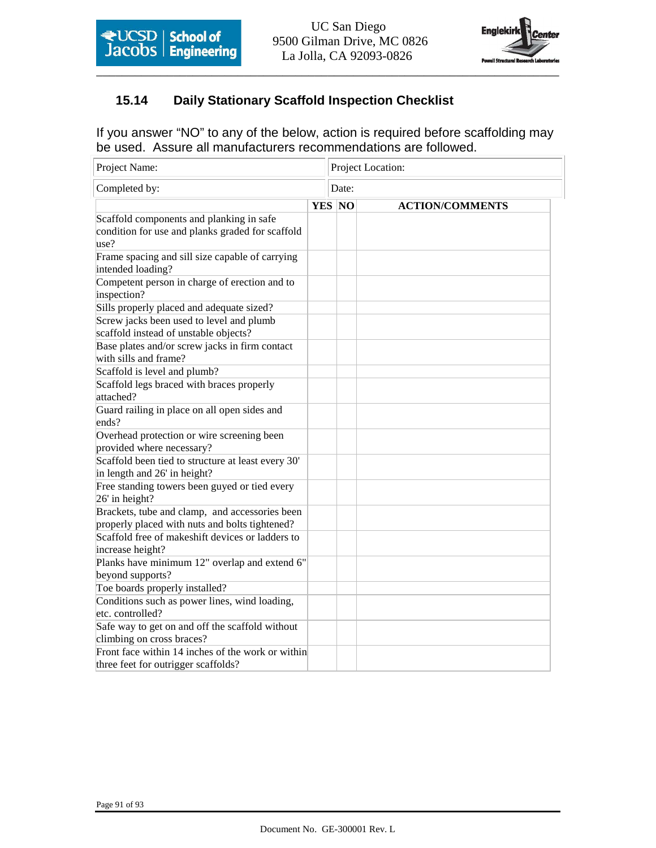

## **15.14 Daily Stationary Scaffold Inspection Checklist**

If you answer "NO" to any of the below, action is required before scaffolding may be used. Assure all manufacturers recommendations are followed.

| Project Name:                                                                                        |  |               | Project Location:      |  |  |  |
|------------------------------------------------------------------------------------------------------|--|---------------|------------------------|--|--|--|
| Completed by:                                                                                        |  |               | Date:                  |  |  |  |
|                                                                                                      |  | <b>YES</b> NO | <b>ACTION/COMMENTS</b> |  |  |  |
| Scaffold components and planking in safe<br>condition for use and planks graded for scaffold<br>use? |  |               |                        |  |  |  |
| Frame spacing and sill size capable of carrying<br>intended loading?                                 |  |               |                        |  |  |  |
| Competent person in charge of erection and to<br>inspection?                                         |  |               |                        |  |  |  |
| Sills properly placed and adequate sized?                                                            |  |               |                        |  |  |  |
| Screw jacks been used to level and plumb<br>scaffold instead of unstable objects?                    |  |               |                        |  |  |  |
| Base plates and/or screw jacks in firm contact<br>with sills and frame?                              |  |               |                        |  |  |  |
| Scaffold is level and plumb?                                                                         |  |               |                        |  |  |  |
| Scaffold legs braced with braces properly<br>attached?                                               |  |               |                        |  |  |  |
| Guard railing in place on all open sides and<br>ends?                                                |  |               |                        |  |  |  |
| Overhead protection or wire screening been<br>provided where necessary?                              |  |               |                        |  |  |  |
| Scaffold been tied to structure at least every 30'<br>in length and 26' in height?                   |  |               |                        |  |  |  |
| Free standing towers been guyed or tied every<br>26' in height?                                      |  |               |                        |  |  |  |
| Brackets, tube and clamp, and accessories been<br>properly placed with nuts and bolts tightened?     |  |               |                        |  |  |  |
| Scaffold free of makeshift devices or ladders to<br>increase height?                                 |  |               |                        |  |  |  |
| Planks have minimum 12" overlap and extend 6"<br>beyond supports?                                    |  |               |                        |  |  |  |
| Toe boards properly installed?                                                                       |  |               |                        |  |  |  |
| Conditions such as power lines, wind loading,<br>etc. controlled?                                    |  |               |                        |  |  |  |
| Safe way to get on and off the scaffold without<br>climbing on cross braces?                         |  |               |                        |  |  |  |
| Front face within 14 inches of the work or within<br>three feet for outrigger scaffolds?             |  |               |                        |  |  |  |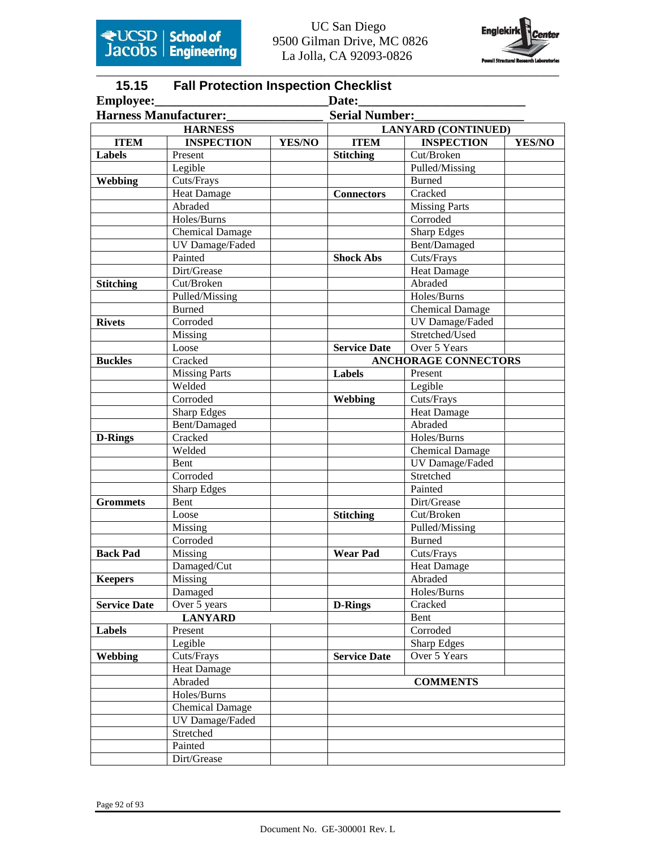

# **15.15 Fall Protection Inspection Checklist**

| Employee:           |                              |        | Date:                 |                             |        |
|---------------------|------------------------------|--------|-----------------------|-----------------------------|--------|
|                     | <b>Harness Manufacturer:</b> |        | <b>Serial Number:</b> |                             |        |
|                     | <b>HARNESS</b>               |        |                       | <b>LANYARD (CONTINUED)</b>  |        |
| <b>ITEM</b>         | <b>INSPECTION</b>            | YES/NO | <b>ITEM</b>           | <b>INSPECTION</b>           | YES/NO |
| <b>Labels</b>       | Present                      |        | <b>Stitching</b>      | Cut/Broken                  |        |
|                     | Legible                      |        |                       | Pulled/Missing              |        |
| Webbing             | Cuts/Frays                   |        |                       | <b>Burned</b>               |        |
|                     | <b>Heat Damage</b>           |        | <b>Connectors</b>     | Cracked                     |        |
|                     | Abraded                      |        |                       | <b>Missing Parts</b>        |        |
|                     | Holes/Burns                  |        |                       | Corroded                    |        |
|                     | <b>Chemical Damage</b>       |        |                       | <b>Sharp Edges</b>          |        |
|                     | UV Damage/Faded              |        |                       | Bent/Damaged                |        |
|                     | Painted                      |        | <b>Shock Abs</b>      | Cuts/Frays                  |        |
|                     | Dirt/Grease                  |        |                       | <b>Heat Damage</b>          |        |
| <b>Stitching</b>    | Cut/Broken                   |        |                       | Abraded                     |        |
|                     | Pulled/Missing               |        |                       | Holes/Burns                 |        |
|                     | <b>Burned</b>                |        |                       | <b>Chemical Damage</b>      |        |
| <b>Rivets</b>       | Corroded                     |        |                       | UV Damage/Faded             |        |
|                     | Missing                      |        |                       | Stretched/Used              |        |
|                     | Loose                        |        | <b>Service Date</b>   | Over 5 Years                |        |
| <b>Buckles</b>      | Cracked                      |        |                       | <b>ANCHORAGE CONNECTORS</b> |        |
|                     | <b>Missing Parts</b>         |        | Labels                | Present                     |        |
|                     | Welded                       |        |                       | Legible                     |        |
|                     | Corroded                     |        | Webbing               | Cuts/Frays                  |        |
|                     | <b>Sharp Edges</b>           |        |                       | <b>Heat Damage</b>          |        |
|                     | Bent/Damaged                 |        |                       | Abraded                     |        |
| <b>D-Rings</b>      | Cracked                      |        |                       | Holes/Burns                 |        |
|                     | Welded                       |        |                       | <b>Chemical Damage</b>      |        |
|                     | Bent                         |        |                       | UV Damage/Faded             |        |
|                     | Corroded                     |        |                       | Stretched                   |        |
|                     | <b>Sharp Edges</b>           |        |                       | Painted                     |        |
| <b>Grommets</b>     | <b>Bent</b>                  |        |                       | Dirt/Grease                 |        |
|                     | Loose                        |        | <b>Stitching</b>      | Cut/Broken                  |        |
|                     | Missing                      |        |                       | Pulled/Missing              |        |
|                     | Corroded                     |        |                       | <b>Burned</b>               |        |
| <b>Back Pad</b>     | Missing                      |        | <b>Wear Pad</b>       | Cuts/Frays                  |        |
|                     | Damaged/Cut                  |        |                       | <b>Heat Damage</b>          |        |
| <b>Keepers</b>      | Missing                      |        |                       | Abraded                     |        |
|                     | Damaged                      |        |                       | Holes/Burns                 |        |
| <b>Service Date</b> | Over 5 years                 |        | <b>D-Rings</b>        | Cracked                     |        |
|                     | <b>LANYARD</b>               |        |                       | Bent                        |        |
| Labels              | Present                      |        |                       | Corroded                    |        |
|                     | Legible                      |        |                       | <b>Sharp Edges</b>          |        |
| Webbing             | Cuts/Frays                   |        | <b>Service Date</b>   | Over 5 Years                |        |
|                     | <b>Heat Damage</b>           |        |                       |                             |        |
|                     | Abraded                      |        |                       | <b>COMMENTS</b>             |        |
|                     | Holes/Burns                  |        |                       |                             |        |
|                     | <b>Chemical Damage</b>       |        |                       |                             |        |
|                     | UV Damage/Faded              |        |                       |                             |        |
|                     | Stretched                    |        |                       |                             |        |
|                     | Painted                      |        |                       |                             |        |
|                     | Dirt/Grease                  |        |                       |                             |        |
|                     |                              |        |                       |                             |        |